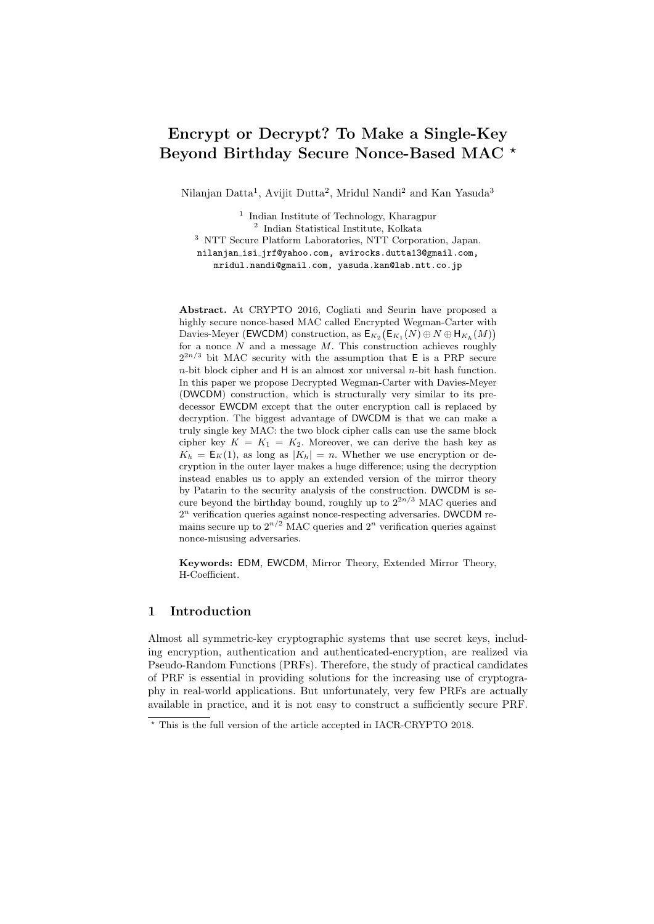# Encrypt or Decrypt? To Make a Single-Key Beyond Birthday Secure Nonce-Based MAC \*

Nilanjan Datta<sup>1</sup>, Avijit Dutta<sup>2</sup>, Mridul Nandi<sup>2</sup> and Kan Yasuda<sup>3</sup>

<sup>1</sup> Indian Institute of Technology, Kharagpur 2 Indian Statistical Institute, Kolkata <sup>3</sup> NTT Secure Platform Laboratories, NTT Corporation, Japan. nilanjan isi jrf@yahoo.com, avirocks.dutta13@gmail.com, mridul.nandi@gmail.com, yasuda.kan@lab.ntt.co.jp

Abstract. At CRYPTO 2016, Cogliati and Seurin have proposed a highly secure nonce-based MAC called Encrypted Wegman-Carter with Davies-Meyer (EWCDM) construction, as  $\mathsf{E}_{K_2}(\mathsf{E}_{K_1}(N) \oplus N \oplus \mathsf{H}_{K_h}(M))$ for a nonce  $N$  and a message  $M$ . This construction achieves roughly  $2^{2n/3}$  bit MAC security with the assumption that E is a PRP secure  $n$ -bit block cipher and H is an almost xor universal  $n$ -bit hash function. In this paper we propose Decrypted Wegman-Carter with Davies-Meyer (DWCDM) construction, which is structurally very similar to its predecessor EWCDM except that the outer encryption call is replaced by decryption. The biggest advantage of DWCDM is that we can make a truly single key MAC: the two block cipher calls can use the same block cipher key  $K = K_1 = K_2$ . Moreover, we can derive the hash key as  $K_h = \mathsf{E}_K(1)$ , as long as  $|K_h| = n$ . Whether we use encryption or decryption in the outer layer makes a huge difference; using the decryption instead enables us to apply an extended version of the mirror theory by Patarin to the security analysis of the construction. DWCDM is secure beyond the birthday bound, roughly up to  $2^{2n/3}$  MAC queries and  $2<sup>n</sup>$  verification queries against nonce-respecting adversaries. DWCDM remains secure up to  $2^{n/2}$  MAC queries and  $2^n$  verification queries against nonce-misusing adversaries.

Keywords: EDM, EWCDM, Mirror Theory, Extended Mirror Theory, H-Coefficient.

## 1 Introduction

Almost all symmetric-key cryptographic systems that use secret keys, including encryption, authentication and authenticated-encryption, are realized via Pseudo-Random Functions (PRFs). Therefore, the study of practical candidates of PRF is essential in providing solutions for the increasing use of cryptography in real-world applications. But unfortunately, very few PRFs are actually available in practice, and it is not easy to construct a sufficiently secure PRF.

 $^\star$  This is the full version of the article accepted in IACR-CRYPTO 2018.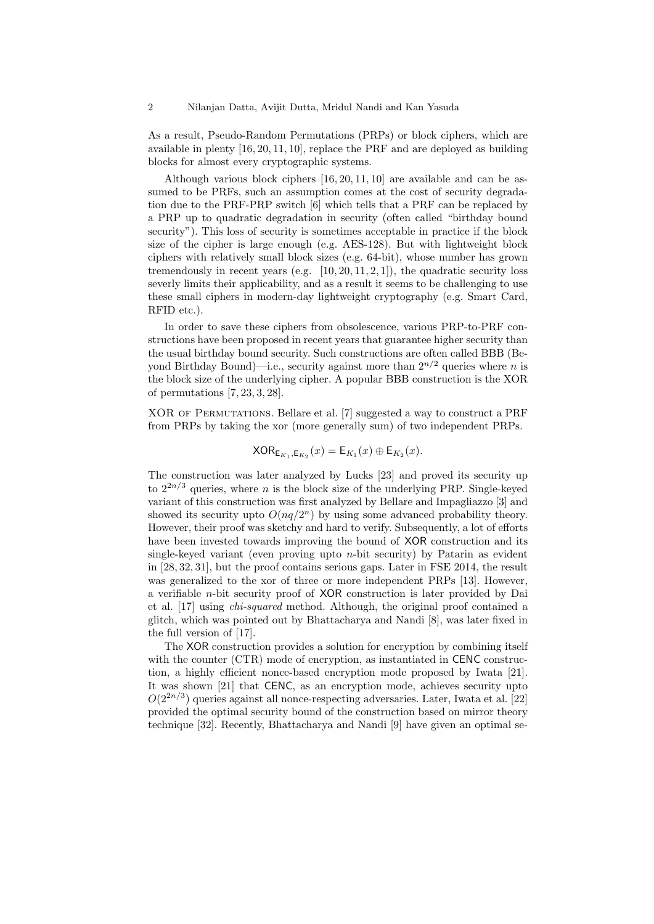As a result, Pseudo-Random Permutations (PRPs) or block ciphers, which are available in plenty [16, 20, 11, 10], replace the PRF and are deployed as building blocks for almost every cryptographic systems.

Although various block ciphers [16, 20, 11, 10] are available and can be assumed to be PRFs, such an assumption comes at the cost of security degradation due to the PRF-PRP switch [6] which tells that a PRF can be replaced by a PRP up to quadratic degradation in security (often called "birthday bound security"). This loss of security is sometimes acceptable in practice if the block size of the cipher is large enough (e.g. AES-128). But with lightweight block ciphers with relatively small block sizes (e.g. 64-bit), whose number has grown tremendously in recent years (e.g.  $[10, 20, 11, 2, 1]$ ), the quadratic security loss severly limits their applicability, and as a result it seems to be challenging to use these small ciphers in modern-day lightweight cryptography (e.g. Smart Card, RFID etc.).

In order to save these ciphers from obsolescence, various PRP-to-PRF constructions have been proposed in recent years that guarantee higher security than the usual birthday bound security. Such constructions are often called BBB (Beyond Birthday Bound)—i.e., security against more than  $2^{n/2}$  queries where n is the block size of the underlying cipher. A popular BBB construction is the XOR of permutations [7, 23, 3, 28].

XOR of Permutations. Bellare et al. [7] suggested a way to construct a PRF from PRPs by taking the xor (more generally sum) of two independent PRPs.

$$
\mathsf{XOR}_{\mathsf{E}_{K_1},\mathsf{E}_{K_2}}(x) = \mathsf{E}_{K_1}(x) \oplus \mathsf{E}_{K_2}(x).
$$

The construction was later analyzed by Lucks [23] and proved its security up to  $2^{2n/3}$  queries, where *n* is the block size of the underlying PRP. Single-keyed variant of this construction was first analyzed by Bellare and Impagliazzo [3] and showed its security upto  $O(nq/2^n)$  by using some advanced probability theory. However, their proof was sketchy and hard to verify. Subsequently, a lot of efforts have been invested towards improving the bound of XOR construction and its single-keyed variant (even proving upto  $n$ -bit security) by Patarin as evident in [28, 32, 31], but the proof contains serious gaps. Later in FSE 2014, the result was generalized to the xor of three or more independent PRPs [13]. However, a verifiable n-bit security proof of XOR construction is later provided by Dai et al. [17] using chi-squared method. Although, the original proof contained a glitch, which was pointed out by Bhattacharya and Nandi [8], was later fixed in the full version of [17].

The XOR construction provides a solution for encryption by combining itself with the counter (CTR) mode of encryption, as instantiated in CENC construction, a highly efficient nonce-based encryption mode proposed by Iwata [21]. It was shown [21] that CENC, as an encryption mode, achieves security upto  $O(2^{2n/3})$  queries against all nonce-respecting adversaries. Later, Iwata et al. [22] provided the optimal security bound of the construction based on mirror theory technique [32]. Recently, Bhattacharya and Nandi [9] have given an optimal se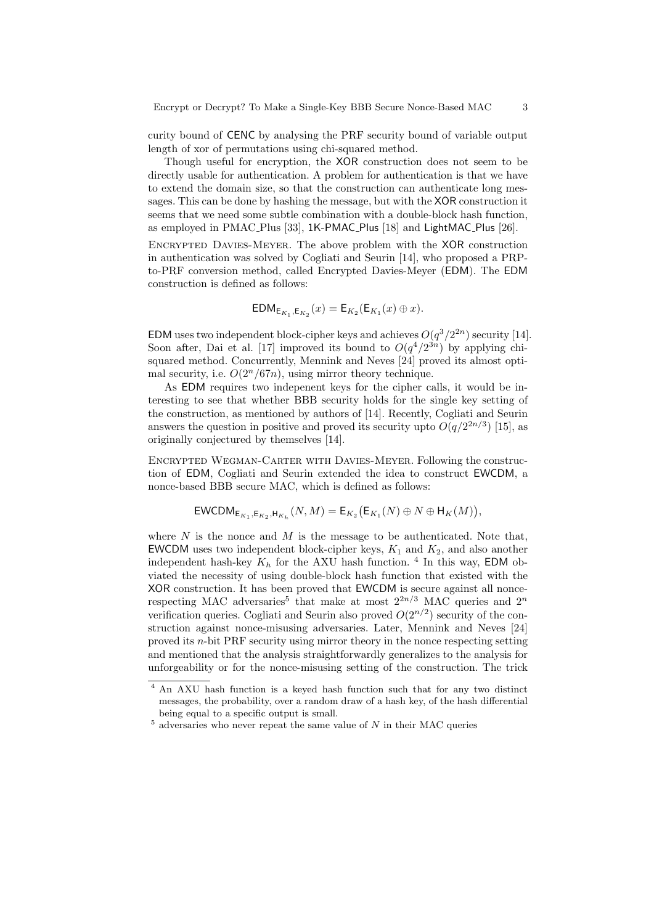curity bound of CENC by analysing the PRF security bound of variable output length of xor of permutations using chi-squared method.

Though useful for encryption, the XOR construction does not seem to be directly usable for authentication. A problem for authentication is that we have to extend the domain size, so that the construction can authenticate long messages. This can be done by hashing the message, but with the XOR construction it seems that we need some subtle combination with a double-block hash function, as employed in PMAC Plus [33], 1K-PMAC Plus [18] and LightMAC Plus [26].

Encrypted Davies-Meyer. The above problem with the XOR construction in authentication was solved by Cogliati and Seurin [14], who proposed a PRPto-PRF conversion method, called Encrypted Davies-Meyer (EDM). The EDM construction is defined as follows:

$$
\mathsf{EDM}_{\mathsf{E}_{K_1},\mathsf{E}_{K_2}}(x) = \mathsf{E}_{K_2}(\mathsf{E}_{K_1}(x) \oplus x).
$$

EDM uses two independent block-cipher keys and achieves  $O(q^3/2^{2n})$  security [14]. Soon after, Dai et al. [17] improved its bound to  $O(q^4/2^{3n})$  by applying chisquared method. Concurrently, Mennink and Neves [24] proved its almost optimal security, i.e.  $O(2^n/67n)$ , using mirror theory technique.

As EDM requires two indepenent keys for the cipher calls, it would be interesting to see that whether BBB security holds for the single key setting of the construction, as mentioned by authors of [14]. Recently, Cogliati and Seurin answers the question in positive and proved its security upto  $O(q/2^{2n/3})$  [15], as originally conjectured by themselves [14].

Encrypted Wegman-Carter with Davies-Meyer. Following the construction of EDM, Cogliati and Seurin extended the idea to construct EWCDM, a nonce-based BBB secure MAC, which is defined as follows:

$$
\mathsf{EWCDM}_{\mathsf{E}_{K_1},\mathsf{E}_{K_2},\mathsf{H}_{K_h}}(N,M) = \mathsf{E}_{K_2}(\mathsf{E}_{K_1}(N) \oplus N \oplus \mathsf{H}_K(M)),
$$

where  $N$  is the nonce and  $M$  is the message to be authenticated. Note that, EWCDM uses two independent block-cipher keys,  $K_1$  and  $K_2$ , and also another independent hash-key  $K_h$  for the AXU hash function. <sup>4</sup> In this way, EDM obviated the necessity of using double-block hash function that existed with the XOR construction. It has been proved that EWCDM is secure against all noncerespecting MAC adversaries<sup>5</sup> that make at most  $2^{2n/3}$  MAC queries and  $2^n$ verification queries. Cogliati and Seurin also proved  $O(2^{n/2})$  security of the construction against nonce-misusing adversaries. Later, Mennink and Neves [24] proved its n-bit PRF security using mirror theory in the nonce respecting setting and mentioned that the analysis straightforwardly generalizes to the analysis for unforgeability or for the nonce-misusing setting of the construction. The trick

<sup>4</sup> An AXU hash function is a keyed hash function such that for any two distinct messages, the probability, over a random draw of a hash key, of the hash differential being equal to a specific output is small.

 $5$  adversaries who never repeat the same value of  $N$  in their MAC queries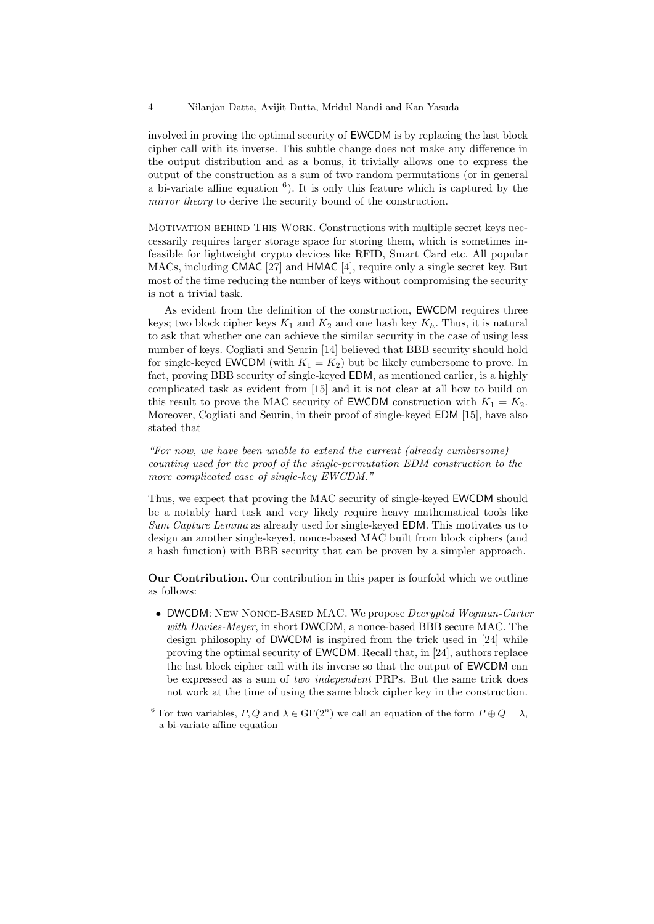involved in proving the optimal security of EWCDM is by replacing the last block cipher call with its inverse. This subtle change does not make any difference in the output distribution and as a bonus, it trivially allows one to express the output of the construction as a sum of two random permutations (or in general a bi-variate affine equation  $<sup>6</sup>$ ). It is only this feature which is captured by the</sup> mirror theory to derive the security bound of the construction.

Motivation behind This Work. Constructions with multiple secret keys neccessarily requires larger storage space for storing them, which is sometimes infeasible for lightweight crypto devices like RFID, Smart Card etc. All popular MACs, including CMAC [27] and HMAC [4], require only a single secret key. But most of the time reducing the number of keys without compromising the security is not a trivial task.

As evident from the definition of the construction, EWCDM requires three keys; two block cipher keys  $K_1$  and  $K_2$  and one hash key  $K_h$ . Thus, it is natural to ask that whether one can achieve the similar security in the case of using less number of keys. Cogliati and Seurin [14] believed that BBB security should hold for single-keyed EWCDM (with  $K_1 = K_2$ ) but be likely cumbersome to prove. In fact, proving BBB security of single-keyed EDM, as mentioned earlier, is a highly complicated task as evident from [15] and it is not clear at all how to build on this result to prove the MAC security of **EWCDM** construction with  $K_1 = K_2$ . Moreover, Cogliati and Seurin, in their proof of single-keyed EDM [15], have also stated that

"For now, we have been unable to extend the current (already cumbersome) counting used for the proof of the single-permutation EDM construction to the more complicated case of single-key EWCDM."

Thus, we expect that proving the MAC security of single-keyed EWCDM should be a notably hard task and very likely require heavy mathematical tools like Sum Capture Lemma as already used for single-keyed EDM. This motivates us to design an another single-keyed, nonce-based MAC built from block ciphers (and a hash function) with BBB security that can be proven by a simpler approach.

Our Contribution. Our contribution in this paper is fourfold which we outline as follows:

• DWCDM: NEW NONCE-BASED MAC. We propose *Decrypted Wegman-Carter* with Davies-Meyer, in short DWCDM, a nonce-based BBB secure MAC. The design philosophy of DWCDM is inspired from the trick used in [24] while proving the optimal security of EWCDM. Recall that, in [24], authors replace the last block cipher call with its inverse so that the output of EWCDM can be expressed as a sum of two independent PRPs. But the same trick does not work at the time of using the same block cipher key in the construction.

<sup>&</sup>lt;sup>6</sup> For two variables, P, Q and  $\lambda \in \mathrm{GF}(2^n)$  we call an equation of the form  $P \oplus Q = \lambda$ , a bi-variate affine equation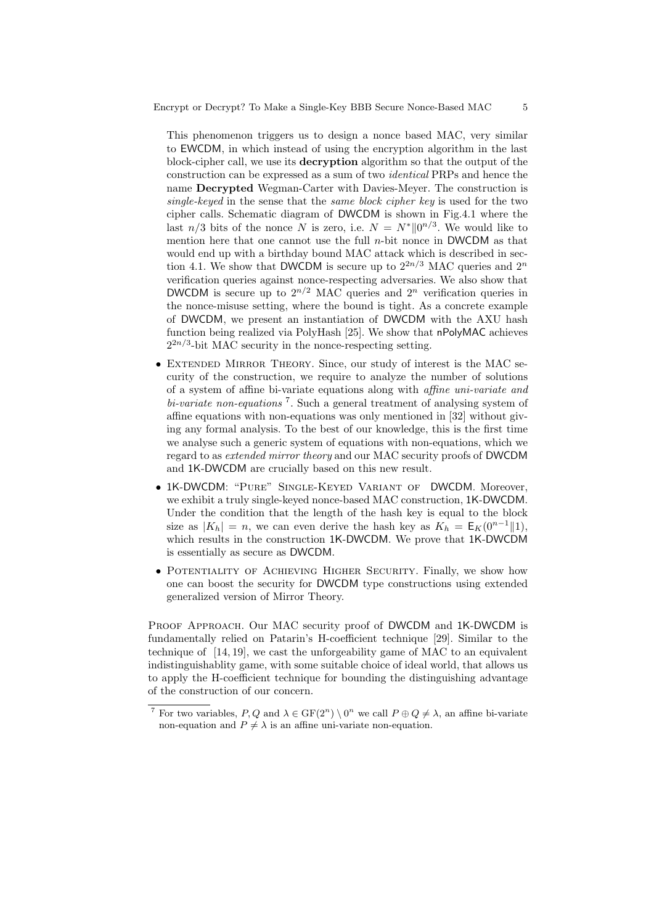This phenomenon triggers us to design a nonce based MAC, very similar to EWCDM, in which instead of using the encryption algorithm in the last block-cipher call, we use its decryption algorithm so that the output of the construction can be expressed as a sum of two identical PRPs and hence the name Decrypted Wegman-Carter with Davies-Meyer. The construction is single-keyed in the sense that the same block cipher key is used for the two cipher calls. Schematic diagram of DWCDM is shown in Fig.4.1 where the last  $n/3$  bits of the nonce N is zero, i.e.  $N = N^* ||0^{n/3}$ . We would like to mention here that one cannot use the full  $n$ -bit nonce in DWCDM as that would end up with a birthday bound MAC attack which is described in section 4.1. We show that DWCDM is secure up to  $2^{2n/3}$  MAC queries and  $2^n$ verification queries against nonce-respecting adversaries. We also show that DWCDM is secure up to  $2^{n/2}$  MAC queries and  $2^n$  verification queries in the nonce-misuse setting, where the bound is tight. As a concrete example of DWCDM, we present an instantiation of DWCDM with the AXU hash function being realized via PolyHash [25]. We show that nPolyMAC achieves  $2^{2n/3}$ -bit MAC security in the nonce-respecting setting.

- EXTENDED MIRROR THEORY. Since, our study of interest is the MAC security of the construction, we require to analyze the number of solutions of a system of affine bi-variate equations along with affine uni-variate and  $bi-variate$  non-equations<sup>7</sup>. Such a general treatment of analysing system of affine equations with non-equations was only mentioned in [32] without giving any formal analysis. To the best of our knowledge, this is the first time we analyse such a generic system of equations with non-equations, which we regard to as extended mirror theory and our MAC security proofs of DWCDM and 1K-DWCDM are crucially based on this new result.
- 1K-DWCDM: "Pure" Single-Keyed Variant of DWCDM. Moreover, we exhibit a truly single-keyed nonce-based MAC construction, 1K-DWCDM. Under the condition that the length of the hash key is equal to the block size as  $|K_h| = n$ , we can even derive the hash key as  $K_h = \mathsf{E}_K(0^{n-1} \| 1)$ , which results in the construction 1K-DWCDM. We prove that 1K-DWCDM is essentially as secure as DWCDM.
- POTENTIALITY OF ACHIEVING HIGHER SECURITY. Finally, we show how one can boost the security for DWCDM type constructions using extended generalized version of Mirror Theory.

PROOF APPROACH. Our MAC security proof of DWCDM and 1K-DWCDM is fundamentally relied on Patarin's H-coefficient technique [29]. Similar to the technique of [14, 19], we cast the unforgeability game of MAC to an equivalent indistinguishablity game, with some suitable choice of ideal world, that allows us to apply the H-coefficient technique for bounding the distinguishing advantage of the construction of our concern.

<sup>&</sup>lt;sup>7</sup> For two variables, P, Q and  $\lambda \in \mathrm{GF}(2^n) \setminus 0^n$  we call  $P \oplus Q \neq \lambda$ , an affine bi-variate non-equation and  $P \neq \lambda$  is an affine uni-variate non-equation.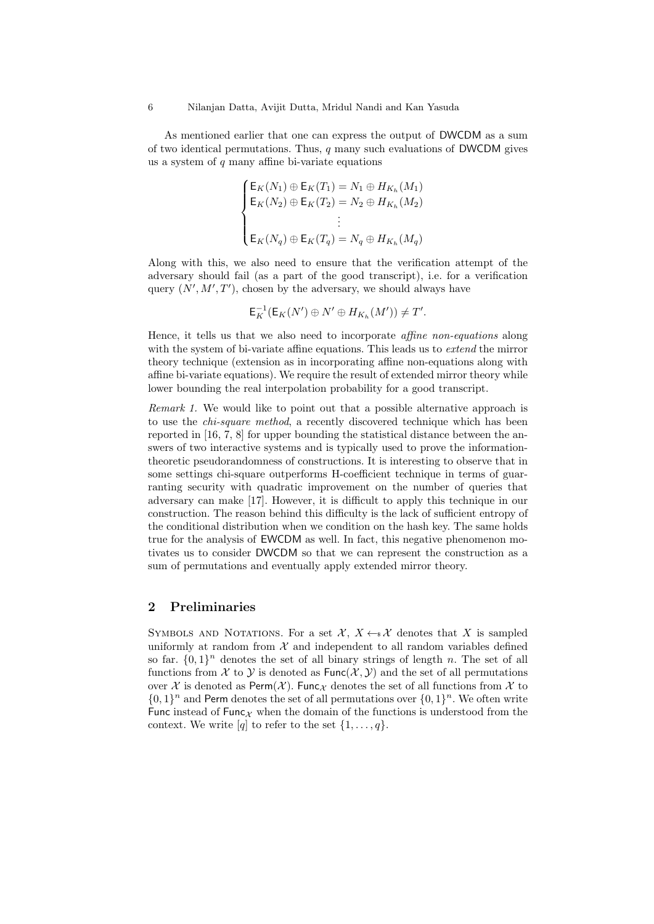As mentioned earlier that one can express the output of DWCDM as a sum of two identical permutations. Thus,  $q$  many such evaluations of DWCDM gives us a system of  $q$  many affine bi-variate equations

$$
\begin{cases} \mathsf{E}_K(N_1) \oplus \mathsf{E}_K(T_1) = N_1 \oplus H_{K_h}(M_1) \\ \mathsf{E}_K(N_2) \oplus \mathsf{E}_K(T_2) = N_2 \oplus H_{K_h}(M_2) \\ \vdots \\ \mathsf{E}_K(N_q) \oplus \mathsf{E}_K(T_q) = N_q \oplus H_{K_h}(M_q) \end{cases}
$$

Along with this, we also need to ensure that the verification attempt of the adversary should fail (as a part of the good transcript), i.e. for a verification query  $(N', M', T')$ , chosen by the adversary, we should always have

$$
\mathsf{E}_K^{-1}(\mathsf{E}_K(N')\oplus N'\oplus H_{K_h}(M'))\neq T'.
$$

Hence, it tells us that we also need to incorporate affine non-equations along with the system of bi-variate affine equations. This leads us to *extend* the mirror theory technique (extension as in incorporating affine non-equations along with affine bi-variate equations). We require the result of extended mirror theory while lower bounding the real interpolation probability for a good transcript.

Remark 1. We would like to point out that a possible alternative approach is to use the *chi-square method*, a recently discovered technique which has been reported in [16, 7, 8] for upper bounding the statistical distance between the answers of two interactive systems and is typically used to prove the informationtheoretic pseudorandomness of constructions. It is interesting to observe that in some settings chi-square outperforms H-coefficient technique in terms of guarranting security with quadratic improvement on the number of queries that adversary can make [17]. However, it is difficult to apply this technique in our construction. The reason behind this difficulty is the lack of sufficient entropy of the conditional distribution when we condition on the hash key. The same holds true for the analysis of EWCDM as well. In fact, this negative phenomenon motivates us to consider DWCDM so that we can represent the construction as a sum of permutations and eventually apply extended mirror theory.

## 2 Preliminaries

SYMBOLS AND NOTATIONS. For a set  $\mathcal{X}, X \leftarrow \mathcal{X}$  denotes that X is sampled uniformly at random from  $X$  and independent to all random variables defined so far.  $\{0,1\}^n$  denotes the set of all binary strings of length n. The set of all functions from X to Y is denoted as  $Func(X, Y)$  and the set of all permutations over X is denoted as Perm(X). Func<sub>X</sub> denotes the set of all functions from X to  $\{0,1\}^n$  and Perm denotes the set of all permutations over  $\{0,1\}^n$ . We often write Func instead of Func $\chi$  when the domain of the functions is understood from the context. We write [q] to refer to the set  $\{1, \ldots, q\}$ .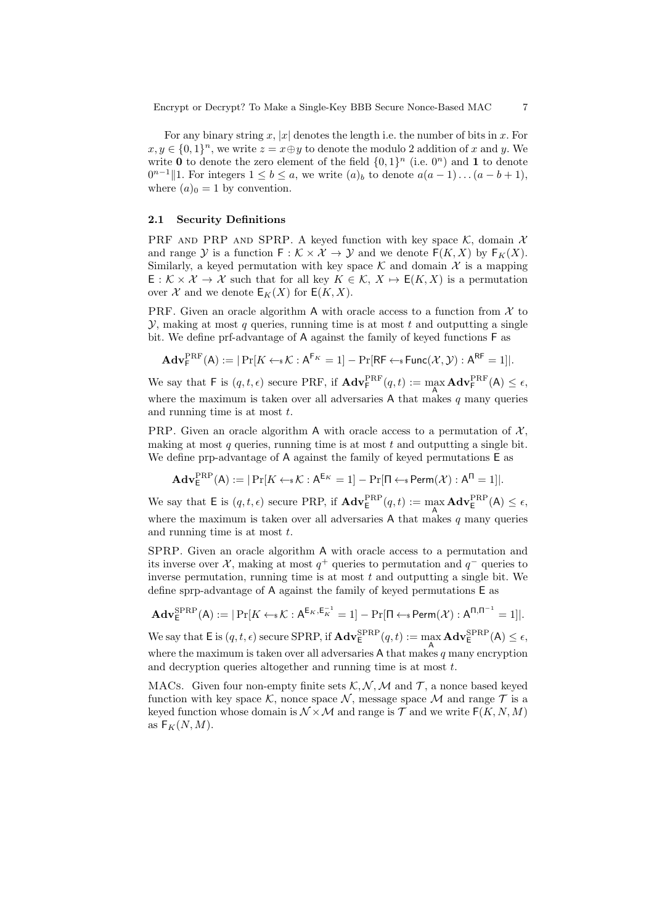For any binary string x, |x| denotes the length i.e. the number of bits in x. For  $x, y \in \{0, 1\}^n$ , we write  $z = x \oplus y$  to denote the modulo 2 addition of x and y. We write 0 to denote the zero element of the field  $\{0,1\}^n$  (i.e.  $0^n$ ) and 1 to denote  $0^{n-1}$ ||1. For integers  $1 \leq b \leq a$ , we write  $(a)_b$  to denote  $a(a-1)...(a-b+1)$ , where  $(a)_0 = 1$  by convention.

#### 2.1 Security Definitions

PRF AND PRP AND SPRP. A keyed function with key space K, domain  $\mathcal{X}$ and range Y is a function  $F : \mathcal{K} \times \mathcal{X} \to \mathcal{Y}$  and we denote  $F(K, X)$  by  $F_K(X)$ . Similarly, a keyed permutation with key space  $\mathcal K$  and domain  $\mathcal X$  is a mapping  $\mathsf{E}: \mathcal{K} \times \mathcal{X} \to \mathcal{X}$  such that for all key  $K \in \mathcal{K}, X \mapsto \mathsf{E}(K, X)$  is a permutation over X and we denote  $E_K(X)$  for  $E(K, X)$ .

PRF. Given an oracle algorithm A with oracle access to a function from  $\mathcal X$  to  $\mathcal{Y}$ , making at most q queries, running time is at most t and outputting a single bit. We define prf-advantage of A against the family of keyed functions F as

$$
\mathbf{Adv}_{\mathsf{F}}^{\mathrm{PRF}}(\mathsf{A}) := |\Pr[K \leftarrow \!\! \ast \mathcal{K} : \mathsf{A}^{\mathsf{F}_{K}} = 1] - \Pr[\mathsf{RF} \leftarrow \!\! \ast \mathsf{Func}(\mathcal{X}, \mathcal{Y}) : \mathsf{A}^{\mathsf{RF}} = 1]|.
$$

We say that F is  $(q, t, \epsilon)$  secure PRF, if  $\mathbf{Adv}_{\mathsf{F}}^{\text{PRF}}(q, t) := \max_{\mathsf{A}} \mathbf{Adv}_{\mathsf{F}}^{\text{PRF}}(\mathsf{A}) \leq \epsilon$ , where the maximum is taken over all adversaries A that makes  $q$  many queries and running time is at most  $t$ .

PRP. Given an oracle algorithm A with oracle access to a permutation of  $\mathcal{X}$ . making at most  $q$  queries, running time is at most  $t$  and outputting a single bit. We define prp-advantage of A against the family of keyed permutations  $E$  as

$$
\mathbf{Adv}_{\mathsf{E}}^{\mathrm{PRP}}(\mathsf{A}) := |\Pr[K \leftarrow \!\! \ast \mathcal{K} : \mathsf{A}^{\mathsf{E}_{K}} = 1] - \Pr[\Pi \leftarrow \!\! \ast \mathsf{Perm}(\mathcal{X}) : \mathsf{A}^\Pi = 1]|.
$$

We say that  $\mathsf{E}$  is  $(q, t, \epsilon)$  secure PRP, if  $\mathbf{Adv}_{\mathsf{E}}^{\text{PRP}}(q, t) := \max_{\mathsf{A}} \mathbf{Adv}_{\mathsf{E}}^{\text{PRP}}(\mathsf{A}) \leq \epsilon$ , where the maximum is taken over all adversaries A that makes  $q$  many queries and running time is at most  $t$ .

SPRP. Given an oracle algorithm A with oracle access to a permutation and its inverse over  $\mathcal{X}$ , making at most  $q^+$  queries to permutation and  $q^-$  queries to inverse permutation, running time is at most  $t$  and outputting a single bit. We define sprp-advantage of A against the family of keyed permutations E as

$$
\mathbf{Adv}_{\mathsf{E}}^{\mathrm{SPRP}}(\mathsf{A}) := |\Pr[K \leftarrow \mathsf{s} \mathcal{K} : \mathsf{A}^{\mathsf{E}_{K}, \mathsf{E}_{K}^{-1}} = 1] - \Pr[\Pi \leftarrow \mathsf{s}\operatorname{Perm}(\mathcal{X}) : \mathsf{A}^{\Pi, \Pi^{-1}} = 1]|.
$$

We say that  $\mathsf{E}$  is  $(q, t, \epsilon)$  secure SPRP, if  $\mathbf{Adv}_{\mathsf{E}}^{\mathrm{SPRP}}(q, t) := \max_{\mathsf{A}} \mathbf{Adv}_{\mathsf{E}}^{\mathrm{SPRP}}(\mathsf{A}) \leq \epsilon$ , where the maximum is taken over all adversaries  $A$  that makes  $q$  many encryption and decryption queries altogether and running time is at most t.

MACs. Given four non-empty finite sets  $K, N, M$  and  $T$ , a nonce based keyed function with key space K, nonce space N, message space M and range  $\mathcal T$  is a keyed function whose domain is  $\mathcal{N} \times \mathcal{M}$  and range is  $\mathcal{T}$  and we write  $F(K, N, M)$ as  $F_K(N, M)$ .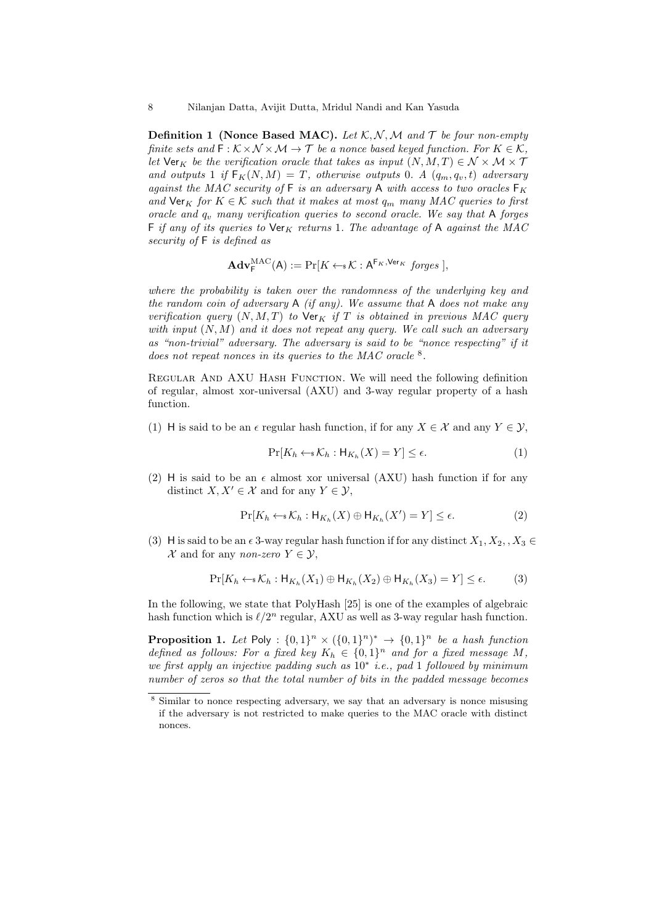**Definition 1 (Nonce Based MAC).** Let  $K, N, M$  and  $T$  be four non-empty finite sets and  $\mathsf{F}:\mathcal{K}\times\mathcal{N}\times\mathcal{M}\rightarrow\mathcal{T}$  be a nonce based keyed function. For  $K\in\mathcal{K}$ , let  $\forall$ er<sub>K</sub> be the verification oracle that takes as input  $(N, M, T) \in \mathcal{N} \times \mathcal{M} \times \mathcal{T}$ and outputs 1 if  $F_K(N,M) = T$ , otherwise outputs 0. A  $(q_m, q_v, t)$  adversary against the MAC security of  $\mathsf F$  is an adversary  $\mathsf A$  with access to two oracles  $\mathsf F_K$ and  $\text{Ver}_K$  for  $K \in \mathcal{K}$  such that it makes at most  $q_m$  many MAC queries to first oracle and  $q_v$  many verification queries to second oracle. We say that A forges F if any of its queries to  $\forall$ er<sub>K</sub> returns 1. The advantage of A against the MAC security of F is defined as

$$
\mathbf{Adv}_{\mathsf{F}}^{\mathrm{MAC}}(\mathsf{A}) := \Pr[K \leftarrow \mathsf{s} \mathcal{K} : \mathsf{A}^{\mathsf{F}_{K}, \mathsf{Ver}_{K}} \text{~forges} \,],
$$

where the probability is taken over the randomness of the underlying key and the random coin of adversary  $A$  (if any). We assume that  $A$  does not make any verification query  $(N, M, T)$  to  $\text{Ver}_K$  if T is obtained in previous MAC query with input  $(N, M)$  and it does not repeat any query. We call such an adversary as "non-trivial" adversary. The adversary is said to be "nonce respecting" if it does not repeat nonces in its queries to the MAC oracle  $8$ .

REGULAR AND AXU HASH FUNCTION. We will need the following definition of regular, almost xor-universal (AXU) and 3-way regular property of a hash function.

(1) H is said to be an  $\epsilon$  regular hash function, if for any  $X \in \mathcal{X}$  and any  $Y \in \mathcal{Y}$ ,

$$
\Pr[K_h \leftarrow * \mathcal{K}_h : \mathsf{H}_{K_h}(X) = Y] \le \epsilon. \tag{1}
$$

(2) H is said to be an  $\epsilon$  almost xor universal (AXU) hash function if for any distinct  $X, X' \in \mathcal{X}$  and for any  $Y \in \mathcal{Y}$ ,

$$
\Pr[K_h \leftarrow * \mathcal{K}_h : \mathsf{H}_{K_h}(X) \oplus \mathsf{H}_{K_h}(X') = Y] \le \epsilon. \tag{2}
$$

(3) H is said to be an  $\epsilon$  3-way regular hash function if for any distinct  $X_1, X_2, X_3 \in$ X and for any non-zero  $Y \in \mathcal{Y}$ ,

$$
\Pr[K_h \leftarrow \mathcal{K}_h : \mathsf{H}_{K_h}(X_1) \oplus \mathsf{H}_{K_h}(X_2) \oplus \mathsf{H}_{K_h}(X_3) = Y] \le \epsilon.
$$
 (3)

In the following, we state that PolyHash [25] is one of the examples of algebraic hash function which is  $\ell/2^n$  regular, AXU as well as 3-way regular hash function.

**Proposition 1.** Let Poly :  $\{0,1\}^n \times (\{0,1\}^n)^* \rightarrow \{0,1\}^n$  be a hash function defined as follows: For a fixed key  $K_h \in \{0,1\}^n$  and for a fixed message M, we first apply an injective padding such as 10<sup>∗</sup> i.e., pad 1 followed by minimum number of zeros so that the total number of bits in the padded message becomes

<sup>8</sup> Similar to nonce respecting adversary, we say that an adversary is nonce misusing if the adversary is not restricted to make queries to the MAC oracle with distinct nonces.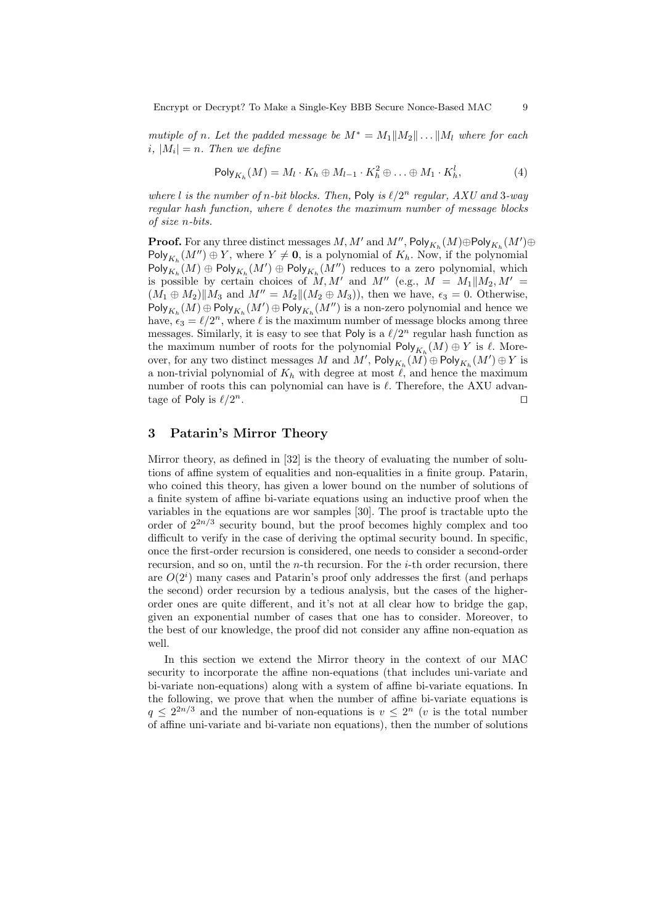Encrypt or Decrypt? To Make a Single-Key BBB Secure Nonce-Based MAC 9

mutiple of n. Let the padded message be  $M^* = M_1||M_2|| \dots ||M_l$  where for each  $i, |M_i| = n.$  Then we define

$$
\mathsf{Poly}_{K_h}(M) = M_l \cdot K_h \oplus M_{l-1} \cdot K_h^2 \oplus \ldots \oplus M_1 \cdot K_h^l, \tag{4}
$$

where l is the number of n-bit blocks. Then, Poly is  $\ell/2^n$  regular, AXU and 3-way regular hash function, where  $\ell$  denotes the maximum number of message blocks of size n-bits.

 $\mathbf{Proof.}$  For any three distinct messages  $M, M'$  and  $M'', \mathsf{Poly}_{K_h}(M) \oplus \mathsf{Poly}_{K_h}(M') \oplus$  $\mathsf{Poly}_{K_h}(M'') \oplus Y$ , where  $Y \neq \mathbf{0}$ , is a polynomial of  $K_h$ . Now, if the polynomial  $\mathsf{Poly}_{K_h}(M) \oplus \mathsf{Poly}_{K_h}(M') \oplus \mathsf{Poly}_{K_h}(M'')$  reduces to a zero polynomial, which is possible by certain choices of M, M' and M'' (e.g.,  $M = M_1||M_2, M' =$  $(M_1 \oplus M_2)$   $\|M_3$  and  $M'' = M_2$   $\|(M_2 \oplus M_3)$ , then we have,  $\epsilon_3 = 0$ . Otherwise,  $\mathsf{Poly}_{K_h}(M) \oplus \mathsf{Poly}_{K_h}(M') \oplus \mathsf{Poly}_{K_h}(M'') \text{ is a non-zero polynomial and hence we}$ have,  $\epsilon_3 = \ell/2^n$ , where  $\ell$  is the maximum number of message blocks among three messages. Similarly, it is easy to see that Poly is a  $\ell/2^n$  regular hash function as the maximum number of roots for the polynomial  $\mathsf{Poly}_{K_h}(M) \oplus Y$  is  $\ell$ . Moreover, for any two distinct messages  $M$  and  $M'$ ,  $\mathsf{Poly}_{K_h}(M)\oplus \mathsf{Poly}_{K_h}(M')\oplus Y$  is a non-trivial polynomial of  $K_h$  with degree at most  $\ell$ , and hence the maximum number of roots this can polynomial can have is  $\ell$ . Therefore, the AXU advantage of Poly is  $\ell/2^n$ .  $n$ .

## 3 Patarin's Mirror Theory

Mirror theory, as defined in [32] is the theory of evaluating the number of solutions of affine system of equalities and non-equalities in a finite group. Patarin, who coined this theory, has given a lower bound on the number of solutions of a finite system of affine bi-variate equations using an inductive proof when the variables in the equations are wor samples [30]. The proof is tractable upto the order of  $2^{2n/3}$  security bound, but the proof becomes highly complex and too difficult to verify in the case of deriving the optimal security bound. In specific, once the first-order recursion is considered, one needs to consider a second-order recursion, and so on, until the  $n$ -th recursion. For the  $i$ -th order recursion, there are  $O(2<sup>i</sup>)$  many cases and Patarin's proof only addresses the first (and perhaps the second) order recursion by a tedious analysis, but the cases of the higherorder ones are quite different, and it's not at all clear how to bridge the gap, given an exponential number of cases that one has to consider. Moreover, to the best of our knowledge, the proof did not consider any affine non-equation as well.

In this section we extend the Mirror theory in the context of our MAC security to incorporate the affine non-equations (that includes uni-variate and bi-variate non-equations) along with a system of affine bi-variate equations. In the following, we prove that when the number of affine bi-variate equations is  $q \leq 2^{2n/3}$  and the number of non-equations is  $v \leq 2^n$  (v is the total number of affine uni-variate and bi-variate non equations), then the number of solutions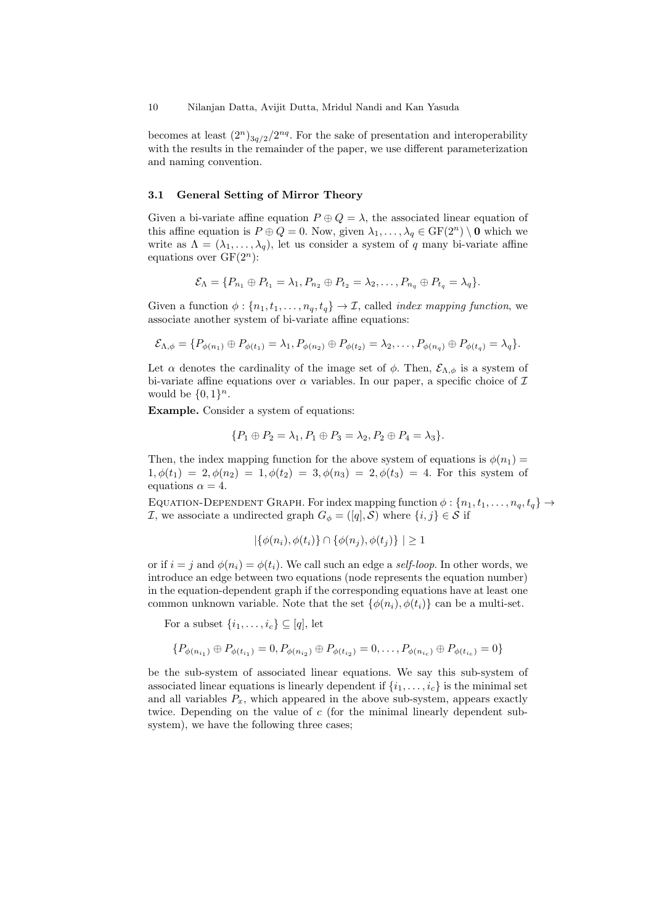becomes at least  $(2^n)_{3q/2}/2^{nq}$ . For the sake of presentation and interoperability with the results in the remainder of the paper, we use different parameterization and naming convention.

#### 3.1 General Setting of Mirror Theory

Given a bi-variate affine equation  $P \oplus Q = \lambda$ , the associated linear equation of this affine equation is  $P \oplus Q = 0$ . Now, given  $\lambda_1, \ldots, \lambda_q \in \mathrm{GF}(2^n) \setminus \mathbf{0}$  which we write as  $\Lambda = (\lambda_1, \ldots, \lambda_q)$ , let us consider a system of q many bi-variate affine equations over  $GF(2^n)$ :

$$
\mathcal{E}_{\Lambda} = \{P_{n_1} \oplus P_{t_1} = \lambda_1, P_{n_2} \oplus P_{t_2} = \lambda_2, \ldots, P_{n_q} \oplus P_{t_q} = \lambda_q\}.
$$

Given a function  $\phi: \{n_1, t_1, \ldots, n_q, t_q\} \to \mathcal{I}$ , called *index mapping function*, we associate another system of bi-variate affine equations:

$$
\mathcal{E}_{\Lambda,\phi} = \{P_{\phi(n_1)} \oplus P_{\phi(t_1)} = \lambda_1, P_{\phi(n_2)} \oplus P_{\phi(t_2)} = \lambda_2, \ldots, P_{\phi(n_q)} \oplus P_{\phi(t_q)} = \lambda_q\}.
$$

Let  $\alpha$  denotes the cardinality of the image set of  $\phi$ . Then,  $\mathcal{E}_{\Lambda,\phi}$  is a system of bi-variate affine equations over  $\alpha$  variables. In our paper, a specific choice of  $\mathcal I$ would be  $\{0,1\}^n$ .

Example. Consider a system of equations:

$$
\{P_1 \oplus P_2 = \lambda_1, P_1 \oplus P_3 = \lambda_2, P_2 \oplus P_4 = \lambda_3\}.
$$

Then, the index mapping function for the above system of equations is  $\phi(n_1)$  =  $1, \phi(t_1) = 2, \phi(n_2) = 1, \phi(t_2) = 3, \phi(n_3) = 2, \phi(t_3) = 4$ . For this system of equations  $\alpha = 4$ .

EQUATION-DEPENDENT GRAPH. For index mapping function  $\phi: \{n_1, t_1, \ldots, n_q, t_q\} \rightarrow$ *I*, we associate a undirected graph  $G_{\phi} = ([q], \mathcal{S})$  where  $\{i, j\} \in \mathcal{S}$  if

$$
|\{\phi(n_i), \phi(t_i)\} \cap \{\phi(n_j), \phi(t_j)\}| \ge 1
$$

or if  $i = j$  and  $\phi(n_i) = \phi(t_i)$ . We call such an edge a self-loop. In other words, we introduce an edge between two equations (node represents the equation number) in the equation-dependent graph if the corresponding equations have at least one common unknown variable. Note that the set  $\{\phi(n_i), \phi(t_i)\}\)$  can be a multi-set.

For a subset  $\{i_1, \ldots, i_c\} \subseteq [q]$ , let

$$
\{P_{\phi(n_{i_1})} \oplus P_{\phi(t_{i_1})} = 0, P_{\phi(n_{i_2})} \oplus P_{\phi(t_{i_2})} = 0, \dots, P_{\phi(n_{i_c})} \oplus P_{\phi(t_{i_c})} = 0\}
$$

be the sub-system of associated linear equations. We say this sub-system of associated linear equations is linearly dependent if  $\{i_1, \ldots, i_c\}$  is the minimal set and all variables  $P_x$ , which appeared in the above sub-system, appears exactly twice. Depending on the value of  $c$  (for the minimal linearly dependent subsystem), we have the following three cases;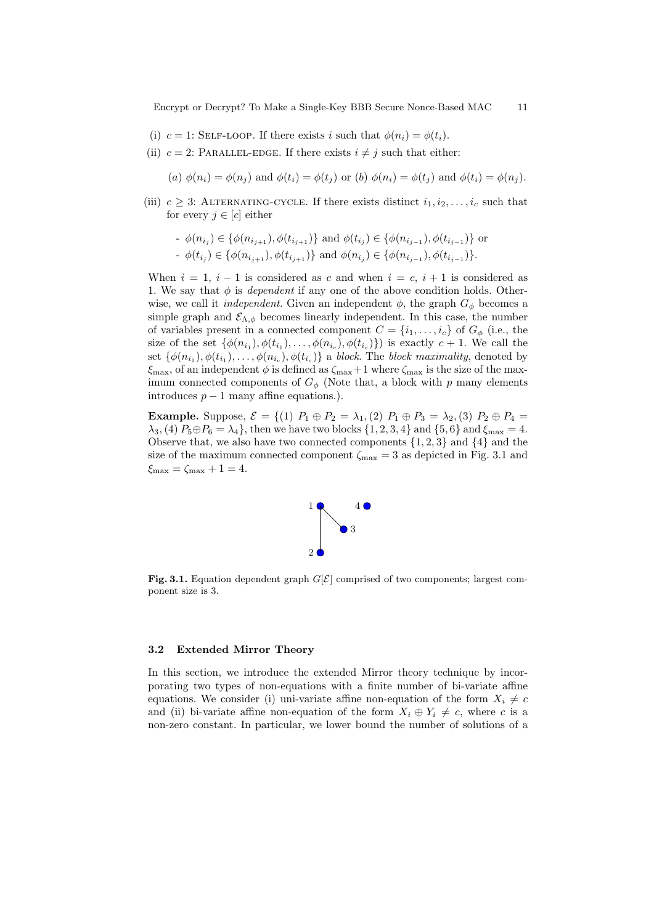Encrypt or Decrypt? To Make a Single-Key BBB Secure Nonce-Based MAC 11

- (i)  $c = 1$ : SELF-LOOP. If there exists i such that  $\phi(n_i) = \phi(t_i)$ .
- (ii)  $c = 2$ : PARALLEL-EDGE. If there exists  $i \neq j$  such that either:

(a)  $\phi(n_i) = \phi(n_i)$  and  $\phi(t_i) = \phi(t_i)$  or (b)  $\phi(n_i) = \phi(t_i)$  and  $\phi(t_i) = \phi(n_i)$ .

(iii)  $c \geq 3$ : ALTERNATING-CYCLE. If there exists distinct  $i_1, i_2, \ldots, i_c$  such that for every  $j \in [c]$  either

- 
$$
\phi(n_{i_j}) \in \{\phi(n_{i_{j+1}}), \phi(t_{i_{j+1}})\}\
$$
 and  $\phi(t_{i_j}) \in \{\phi(n_{i_{j-1}}), \phi(t_{i_{j-1}})\}\$  or  
-  $\phi(t_{i_j}) \in \{\phi(n_{i_{j+1}}), \phi(t_{i_{j+1}})\}\$  and  $\phi(n_{i_j}) \in \{\phi(n_{i_{j-1}}), \phi(t_{i_{j-1}})\}\.$ 

When  $i = 1$ ,  $i - 1$  is considered as c and when  $i = c$ ,  $i + 1$  is considered as 1. We say that  $\phi$  is *dependent* if any one of the above condition holds. Otherwise, we call it *independent*. Given an independent  $\phi$ , the graph  $G_{\phi}$  becomes a simple graph and  $\mathcal{E}_{\Lambda,\phi}$  becomes linearly independent. In this case, the number of variables present in a connected component  $C = \{i_1, \ldots, i_c\}$  of  $G_{\phi}$  (i.e., the size of the set  $\{\phi(n_{i_1}), \phi(t_{i_1}), \ldots, \phi(n_{i_c}), \phi(t_{i_c})\}\)$  is exactly  $c+1$ . We call the set  $\{\phi(n_{i_1}), \phi(t_{i_1}), \dots, \phi(n_{i_c}), \phi(t_{i_c})\}$  a block. The block maximality, denoted by  $\xi_{\text{max}}$ , of an independent  $\phi$  is defined as  $\zeta_{\text{max}}+1$  where  $\zeta_{\text{max}}$  is the size of the maximum connected components of  $G_{\phi}$  (Note that, a block with p many elements introduces  $p − 1$  many affine equations.).

**Example.** Suppose,  $\mathcal{E} = \{(1) P_1 \oplus P_2 = \lambda_1, (2) P_1 \oplus P_3 = \lambda_2, (3) P_2 \oplus P_4 =$  $\lambda_3$ , (4)  $P_5 \oplus P_6 = \lambda_4$ , then we have two blocks  $\{1, 2, 3, 4\}$  and  $\{5, 6\}$  and  $\xi_{\text{max}} = 4$ . Observe that, we also have two connected components  $\{1, 2, 3\}$  and  $\{4\}$  and the size of the maximum connected component  $\zeta_{\text{max}} = 3$  as depicted in Fig. 3.1 and  $\xi_{\text{max}} = \zeta_{\text{max}} + 1 = 4.$ 



Fig. 3.1. Equation dependent graph  $G[\mathcal{E}]$  comprised of two components; largest component size is 3.

#### 3.2 Extended Mirror Theory

In this section, we introduce the extended Mirror theory technique by incorporating two types of non-equations with a finite number of bi-variate affine equations. We consider (i) uni-variate affine non-equation of the form  $X_i \neq c$ and (ii) bi-variate affine non-equation of the form  $X_i \oplus Y_i \neq c$ , where c is a non-zero constant. In particular, we lower bound the number of solutions of a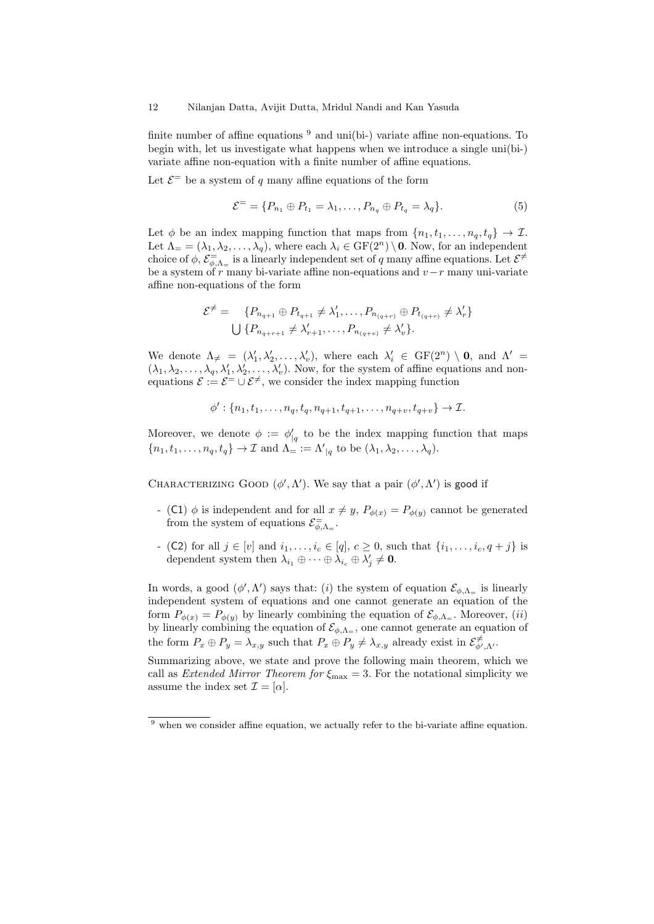finite number of affine equations  $9$  and uni(bi-) variate affine non-equations. To begin with, let us investigate what happens when we introduce a single uni(bi-) variate affine non-equation with a finite number of affine equations.

Let  $\mathcal{E}^=$  be a system of q many affine equations of the form

$$
\mathcal{E}^= = \{P_{n_1} \oplus P_{t_1} = \lambda_1, \dots, P_{n_q} \oplus P_{t_q} = \lambda_q\}.
$$
 (5)

Let  $\phi$  be an index mapping function that maps from  $\{n_1, t_1, \ldots, n_q, t_q\} \to \mathcal{I}$ . Let  $\Lambda = (\lambda_1, \lambda_2, \ldots, \lambda_q)$ , where each  $\lambda_i \in \mathrm{GF}(2^n) \setminus \mathbf{0}$ . Now, for an independent choice of  $\phi$ ,  $\mathcal{E} = \bigcup_{\phi,\Lambda_{=}}\phi$  is a linearly independent set of q many affine equations. Let  $\mathcal{E}^{\neq}$ be a system of r many bi-variate affine non-equations and  $v-r$  many uni-variate affine non-equations of the form

$$
\mathcal{E}^{\neq} = \{ P_{n_{q+1}} \oplus P_{t_{q+1}} \neq \lambda'_1, \dots, P_{n_{(q+r)}} \oplus P_{t_{(q+r)}} \neq \lambda'_r \}
$$
  

$$
\bigcup \{ P_{n_{q+r+1}} \neq \lambda'_{r+1}, \dots, P_{n_{(q+v)}} \neq \lambda'_v \}.
$$

We denote  $\Lambda_{\neq} = (\lambda'_1, \lambda'_2, \ldots, \lambda'_v)$ , where each  $\lambda'_i \in GF(2^n) \setminus \mathbf{0}$ , and  $\Lambda' =$  $(\lambda_1, \lambda_2, \ldots, \lambda_q, \lambda'_1, \lambda'_2, \ldots, \lambda'_v)$ . Now, for the system of affine equations and nonequations  $\mathcal{E} := \mathcal{E}^{\pm} \cup \mathcal{E}^{\neq}$ , we consider the index mapping function

$$
\phi': \{n_1, t_1, \dots, n_q, t_q, n_{q+1}, t_{q+1}, \dots, n_{q+v}, t_{q+v}\} \to \mathcal{I}.
$$

Moreover, we denote  $\phi := \phi'_{|q}$  to be the index mapping function that maps  $\{n_1, t_1, \ldots, n_q, t_q\} \to \mathcal{I}$  and  $\Lambda = \Lambda'_{|q}$  to be  $(\lambda_1, \lambda_2, \ldots, \lambda_q)$ .

CHARACTERIZING GOOD  $(\phi', \Lambda')$ . We say that a pair  $(\phi', \Lambda')$  is good if

- (C1)  $\phi$  is independent and for all  $x \neq y$ ,  $P_{\phi(x)} = P_{\phi(y)}$  cannot be generated from the system of equations  $\mathcal{E}^=_{\phi,\Lambda_\equiv}$ .
- (C2) for all  $j \in [v]$  and  $i_1, ..., i_c \in [q], c \ge 0$ , such that  $\{i_1, ..., i_c, q+j\}$  is dependent system then  $\lambda_{i_1} \oplus \cdots \oplus \lambda_{i_c} \oplus \lambda'_j \neq \mathbf{0}$ .

In words, a good  $(\phi', \Lambda')$  says that: (i) the system of equation  $\mathcal{E}_{\phi, \Lambda_{=}}$  is linearly independent system of equations and one cannot generate an equation of the form  $P_{\phi(x)} = P_{\phi(y)}$  by linearly combining the equation of  $\mathcal{E}_{\phi, \Lambda_{=}}$ . Moreover, (*ii*) by linearly combining the equation of  $\mathcal{E}_{\phi,\Lambda_{=}}$ , one cannot generate an equation of the form  $P_x \oplus P_y = \lambda_{x,y}$  such that  $P_x \oplus P_y \neq \lambda_{x,y}$  already exist in  $\mathcal{E}^{\neq}_{\phi',\Lambda'}$ .

Summarizing above, we state and prove the following main theorem, which we call as *Extended Mirror Theorem for*  $\xi_{\text{max}} = 3$ . For the notational simplicity we assume the index set  $\mathcal{I} = [\alpha]$ .

 $9$  when we consider affine equation, we actually refer to the bi-variate affine equation.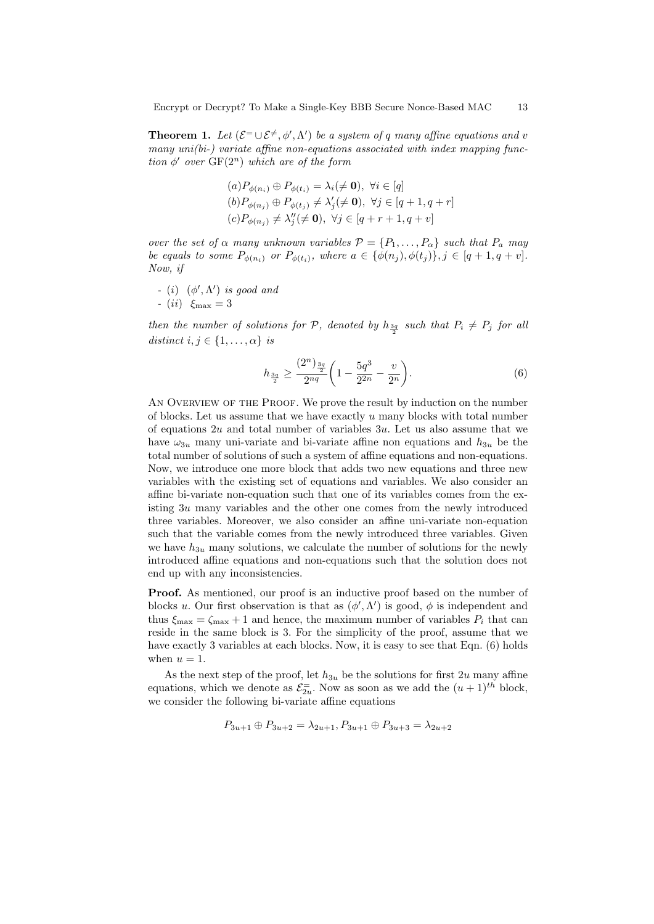**Theorem 1.** Let  $(\mathcal{E}^{\pm} \cup \mathcal{E}^{\neq}, \phi', \Lambda')$  be a system of q many affine equations and v many  $uni(bi-)$  variate affine non-equations associated with index mapping function  $\phi'$  over  $GF(2^n)$  which are of the form

$$
(a)P_{\phi(n_i)} \oplus P_{\phi(t_i)} = \lambda_i(\neq \mathbf{0}), \ \forall i \in [q]
$$
  
\n
$$
(b)P_{\phi(n_j)} \oplus P_{\phi(t_j)} \neq \lambda'_j(\neq \mathbf{0}), \ \forall j \in [q+1, q+r]
$$
  
\n
$$
(c)P_{\phi(n_j)} \neq \lambda''_j(\neq \mathbf{0}), \ \forall j \in [q+r+1, q+v]
$$

over the set of  $\alpha$  many unknown variables  $\mathcal{P} = \{P_1, \ldots, P_\alpha\}$  such that  $P_a$  may be equals to some  $P_{\phi(n_i)}$  or  $P_{\phi(t_i)}$ , where  $a \in {\phi(n_j), \phi(t_j)}$ ,  $j \in [q + 1, q + v]$ . Now, if

- (i)  $(\phi', \Lambda')$  is good and
- $(ii) \xi_{\text{max}} = 3$

then the number of solutions for  $P$ , denoted by  $h_{\frac{3q}{2}}$  such that  $P_i \neq P_j$  for all distinct  $i, j \in \{1, \ldots, \alpha\}$  is

$$
h_{\frac{3q}{2}} \ge \frac{(2^n)_{\frac{3q}{2}}}{2^{nq}} \left(1 - \frac{5q^3}{2^{2n}} - \frac{v}{2^n}\right).
$$
\n(6)

AN OVERVIEW OF THE PROOF. We prove the result by induction on the number of blocks. Let us assume that we have exactly  $u$  many blocks with total number of equations  $2u$  and total number of variables  $3u$ . Let us also assume that we have  $\omega_{3u}$  many uni-variate and bi-variate affine non equations and  $h_{3u}$  be the total number of solutions of such a system of affine equations and non-equations. Now, we introduce one more block that adds two new equations and three new variables with the existing set of equations and variables. We also consider an affine bi-variate non-equation such that one of its variables comes from the existing 3u many variables and the other one comes from the newly introduced three variables. Moreover, we also consider an affine uni-variate non-equation such that the variable comes from the newly introduced three variables. Given we have  $h_{3u}$  many solutions, we calculate the number of solutions for the newly introduced affine equations and non-equations such that the solution does not end up with any inconsistencies.

**Proof.** As mentioned, our proof is an inductive proof based on the number of blocks u. Our first observation is that as  $(\phi', \Lambda')$  is good,  $\phi$  is independent and thus  $\xi_{\text{max}} = \zeta_{\text{max}} + 1$  and hence, the maximum number of variables  $P_i$  that can reside in the same block is 3. For the simplicity of the proof, assume that we have exactly 3 variables at each blocks. Now, it is easy to see that Eqn. (6) holds when  $u = 1$ .

As the next step of the proof, let  $h_{3u}$  be the solutions for first 2u many affine equations, which we denote as  $\mathcal{E}_{2u}^-$ . Now as soon as we add the  $(u+1)^{th}$  block, we consider the following bi-variate affine equations

$$
P_{3u+1} \oplus P_{3u+2} = \lambda_{2u+1}, P_{3u+1} \oplus P_{3u+3} = \lambda_{2u+2}
$$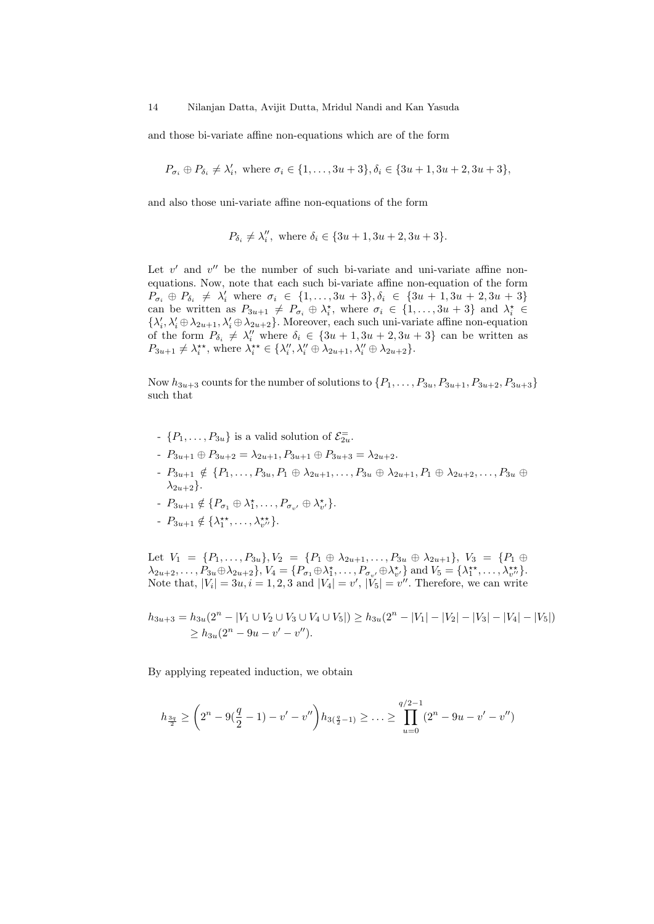and those bi-variate affine non-equations which are of the form

$$
P_{\sigma_i} \oplus P_{\delta_i} \neq \lambda'_i
$$
, where  $\sigma_i \in \{1, ..., 3u + 3\}, \delta_i \in \{3u + 1, 3u + 2, 3u + 3\},\$ 

and also those uni-variate affine non-equations of the form

$$
P_{\delta_i} \neq \lambda_i''
$$
, where  $\delta_i \in \{3u + 1, 3u + 2, 3u + 3\}$ .

Let  $v'$  and  $v''$  be the number of such bi-variate and uni-variate affine nonequations. Now, note that each such bi-variate affine non-equation of the form  $P_{\sigma_i} \oplus P_{\delta_i} \neq \lambda'_i$  where  $\sigma_i \in \{1, ..., 3u + 3\}, \delta_i \in \{3u + 1, 3u + 2, 3u + 3\}$ can be written as  $P_{3u+1} \neq P_{\sigma_i} \oplus \lambda_i^*$ , where  $\sigma_i \in \{1, ..., 3u+3\}$  and  $\lambda_i^* \in$  $\{\lambda'_i,\lambda'_i\oplus\lambda_{2u+1},\lambda'_i\oplus\lambda_{2u+2}\}.$  Moreover, each such uni-variate affine non-equation of the form  $P_{\delta_i} \neq \lambda_i''$  where  $\delta_i \in \{3u+1, 3u+2, 3u+3\}$  can be written as  $P_{3u+1} \neq \lambda_i^{**}$ , where  $\lambda_i^{**} \in {\{\lambda_i'', \lambda_i'' \oplus \lambda_{2u+1}, \lambda_i'' \oplus \lambda_{2u+2}\}}$ .

Now  $h_{3u+3}$  counts for the number of solutions to  $\{P_1, \ldots, P_{3u}, P_{3u+1}, P_{3u+2}, P_{3u+3}\}$ such that

- $\{P_1, \ldots, P_{3u}\}\$ is a valid solution of  $\mathcal{E}_{2u}^-$ .
- $P_{3u+1} \oplus P_{3u+2} = \lambda_{2u+1}, P_{3u+1} \oplus P_{3u+3} = \lambda_{2u+2}.$
- $P_{3u+1} \notin \{P_1, \ldots, P_{3u}, P_1 \oplus \lambda_{2u+1}, \ldots, P_{3u} \oplus \lambda_{2u+1}, P_1 \oplus \lambda_{2u+2}, \ldots, P_{3u} \oplus$  $\lambda_{2u+2}$ .
- $-P_{3u+1} \notin \{P_{\sigma_1} \oplus \lambda_1^{\star}, \ldots, P_{\sigma_{v'}} \oplus \lambda_{v'}^{\star}\}.$
- $-P_{3u+1} \notin {\lambda_1^{\star\star}, \ldots, \lambda_{v''}^{\star\star}}.$

Let  $V_1 = \{P_1, \ldots, P_{3u}\}, V_2 = \{P_1 \oplus \lambda_{2u+1}, \ldots, P_{3u} \oplus \lambda_{2u+1}\}, V_3 = \{P_1 \oplus \lambda_{2u+1}, \ldots, P_{3u} \oplus \lambda_{2u+1}\}$  $\lambda_{2u+2}, \ldots, P_{3u} \oplus \lambda_{2u+2} \}, V_4 = \{ P_{\sigma_1} \oplus \lambda_1^*, \ldots, P_{\sigma_{v'}} \oplus \lambda_{v'}^* \}$  and  $V_5 = \{ \lambda_1^{**}, \ldots, \lambda_{v''}^{**} \}.$ Note that,  $|V_i| = 3u, i = 1, 2, 3$  and  $|V_4| = v'$ ,  $|V_5| = v''$ . Therefore, we can write

$$
h_{3u+3} = h_{3u}(2^n - |V_1 \cup V_2 \cup V_3 \cup V_4 \cup V_5|) \ge h_{3u}(2^n - |V_1| - |V_2| - |V_3| - |V_4| - |V_5|)
$$
  
\n
$$
\ge h_{3u}(2^n - 9u - v' - v'').
$$

By applying repeated induction, we obtain

$$
h_{\frac{3q}{2}} \ge \left(2^n - 9\left(\frac{q}{2} - 1\right) - v' - v''\right)h_{3\left(\frac{q}{2} - 1\right)} \ge \dots \ge \prod_{u=0}^{q/2-1} \left(2^n - 9u - v' - v''\right)
$$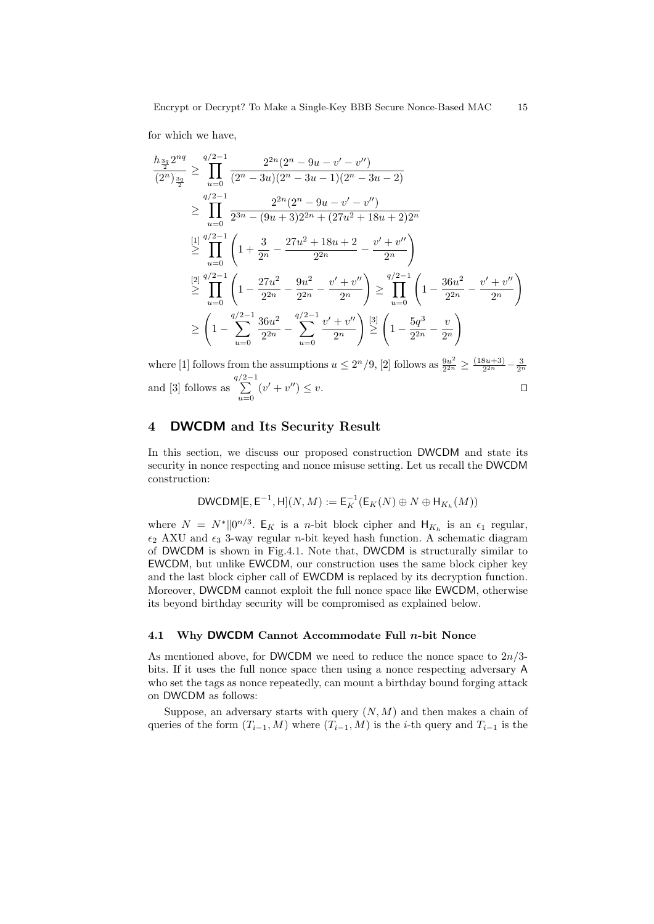for which we have,

$$
\frac{h_{\frac{3q}{2}}^{2nq}}{(2^n)_{\frac{3q}{2}}} \geq \prod_{u=0}^{q/2-1} \frac{2^{2n}(2^n - 9u - v' - v'')}{(2^n - 3u - 1)(2^n - 3u - 1)(2^n - 3u - 2)}
$$
\n
$$
\geq \prod_{u=0}^{q/2-1} \frac{2^{2n}(2^n - 9u - v' - v'')}{2^{3n} - (9u + 3)2^{2n} + (27u^2 + 18u + 2)2^n}
$$
\n
$$
\stackrel{[1]}{\geq} \prod_{u=0}^{q/2-1} \left(1 + \frac{3}{2^n} - \frac{27u^2 + 18u + 2}{2^{2n}} - \frac{v' + v''}{2^n}\right)
$$
\n
$$
\stackrel{[2]}{\geq} \prod_{u=0}^{q/2-1} \left(1 - \frac{27u^2}{2^{2n}} - \frac{9u^2}{2^{2n}} - \frac{v' + v''}{2^n}\right) \geq \prod_{u=0}^{q/2-1} \left(1 - \frac{36u^2}{2^{2n}} - \frac{v' + v''}{2^n}\right)
$$
\n
$$
\geq \left(1 - \sum_{u=0}^{q/2-1} \frac{36u^2}{2^{2n}} - \sum_{u=0}^{q/2-1} \frac{v' + v''}{2^n}\right) \stackrel{[3]}{\geq} \left(1 - \frac{5q^3}{2^{2n}} - \frac{v}{2^n}\right)
$$

where [1] follows from the assumptions  $u \leq 2^{n}/9$ , [2] follows as  $\frac{9u^{2}}{2^{2n}}$  $\frac{9u^2}{2^{2n}} \geq \frac{(18u+3)}{2^{2n}}$  $\frac{8u+3)}{2^{2n}}-\frac{3}{2^n}$ and [3] follows as  $\sum_{ }^{q/2-1}$  $\sum_{u=0}$   $(v' + v'') \leq v.$ 

## 4 DWCDM and Its Security Result

In this section, we discuss our proposed construction DWCDM and state its security in nonce respecting and nonce misuse setting. Let us recall the DWCDM construction:

$$
\mathsf{DWCDM}[{\mathsf E},{\mathsf E}^{-1},{\mathsf H}](N,M):={\mathsf E}_K^{-1}({\mathsf E}_K(N)\oplus N\oplus {\mathsf H}_{K_h}(M))
$$

where  $N = N^* ||0^{n/3}$ .  $E_K$  is a *n*-bit block cipher and  $H_{K_h}$  is an  $\epsilon_1$  regular,  $\epsilon_2$  AXU and  $\epsilon_3$  3-way regular *n*-bit keyed hash function. A schematic diagram of DWCDM is shown in Fig.4.1. Note that, DWCDM is structurally similar to EWCDM, but unlike EWCDM, our construction uses the same block cipher key and the last block cipher call of EWCDM is replaced by its decryption function. Moreover, DWCDM cannot exploit the full nonce space like EWCDM, otherwise its beyond birthday security will be compromised as explained below.

#### 4.1 Why DWCDM Cannot Accommodate Full n-bit Nonce

As mentioned above, for DWCDM we need to reduce the nonce space to  $2n/3$ bits. If it uses the full nonce space then using a nonce respecting adversary A who set the tags as nonce repeatedly, can mount a birthday bound forging attack on DWCDM as follows:

Suppose, an adversary starts with query  $(N, M)$  and then makes a chain of queries of the form  $(T_{i-1}, M)$  where  $(T_{i-1}, M)$  is the *i*-th query and  $T_{i-1}$  is the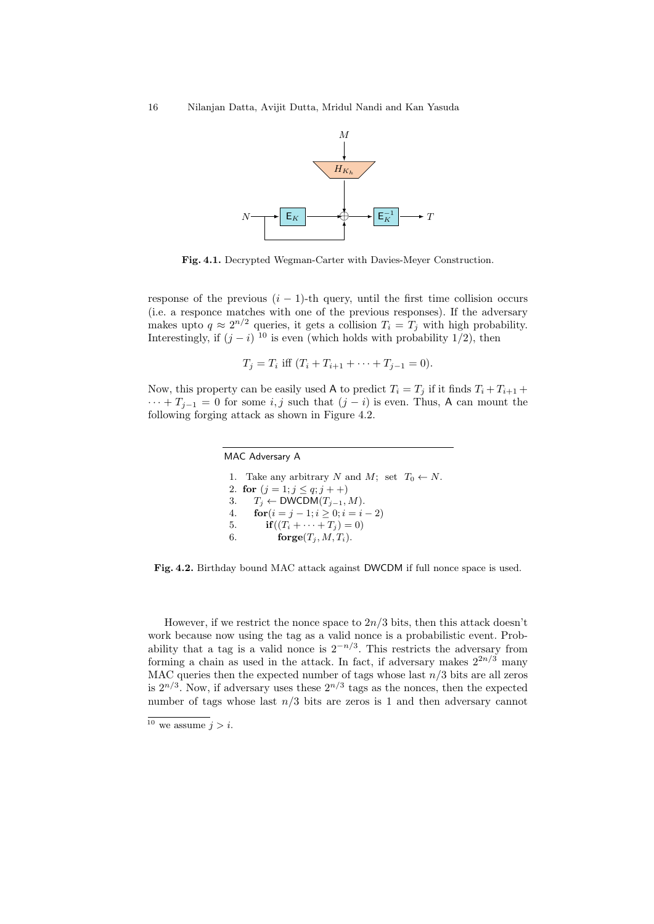

Fig. 4.1. Decrypted Wegman-Carter with Davies-Meyer Construction.

response of the previous  $(i - 1)$ -th query, until the first time collision occurs (i.e. a responce matches with one of the previous responses). If the adversary makes upto  $q \approx 2^{n/2}$  queries, it gets a collision  $T_i = T_j$  with high probability. Interestingly, if  $(j - i)^{10}$  is even (which holds with probability 1/2), then

$$
T_j = T_i
$$
 iff  $(T_i + T_{i+1} + \cdots + T_{j-1} = 0)$ .

Now, this property can be easily used A to predict  $T_i = T_j$  if it finds  $T_i + T_{i+1}$  +  $\cdots + T_{i-1} = 0$  for some i, j such that  $(j - i)$  is even. Thus, A can mount the following forging attack as shown in Figure 4.2.

> MAC Adversary A 1. Take any arbitrary N and M; set  $T_0 \leftarrow N$ . 2. for  $(j = 1; j \leq q; j++)$ 3.  $T_i \leftarrow \text{DWCDM}(T_{i-1}, M)$ . 4. **for** $(i = j - 1; i \ge 0; i = i - 2)$ 5. **if** $((T_i + \cdots + T_j) = 0)$ 6. forge $(T_i, M, T_i)$ .

Fig. 4.2. Birthday bound MAC attack against DWCDM if full nonce space is used.

However, if we restrict the nonce space to  $2n/3$  bits, then this attack doesn't work because now using the tag as a valid nonce is a probabilistic event. Probability that a tag is a valid nonce is  $2^{-n/3}$ . This restricts the adversary from forming a chain as used in the attack. In fact, if adversary makes  $2^{2n/3}$  many MAC queries then the expected number of tags whose last  $n/3$  bits are all zeros is  $2^{n/3}$ . Now, if adversary uses these  $2^{n/3}$  tags as the nonces, then the expected number of tags whose last  $n/3$  bits are zeros is 1 and then adversary cannot

 $\frac{10}{10}$  we assume  $j > i$ .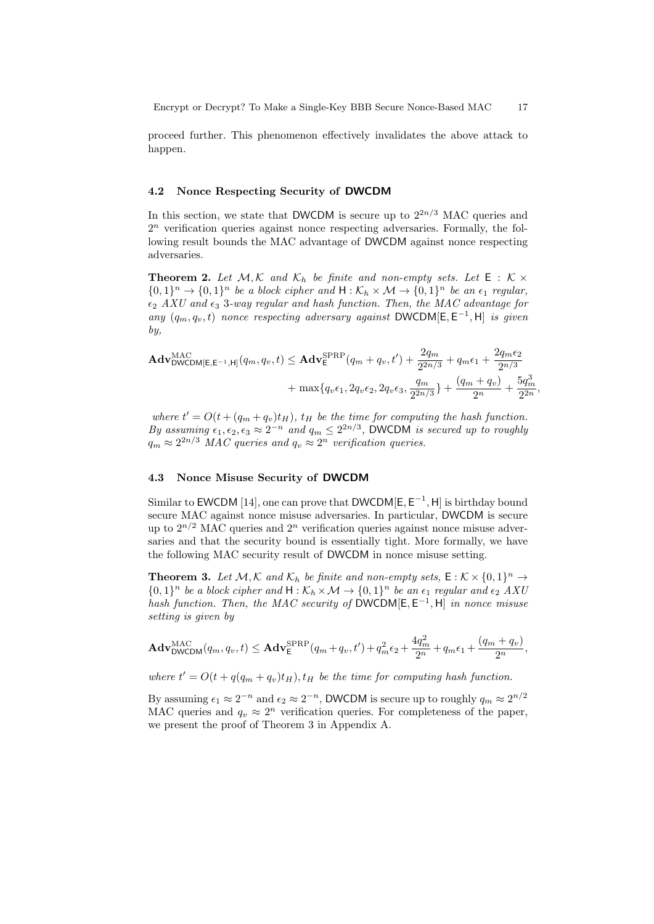proceed further. This phenomenon effectively invalidates the above attack to happen.

## 4.2 Nonce Respecting Security of DWCDM

In this section, we state that DWCDM is secure up to  $2^{2n/3}$  MAC queries and 2 <sup>n</sup> verification queries against nonce respecting adversaries. Formally, the following result bounds the MAC advantage of DWCDM against nonce respecting adversaries.

**Theorem 2.** Let  $M, K$  and  $K_h$  be finite and non-empty sets. Let  $E : K \times$  $\{0,1\}^n \to \{0,1\}^n$  be a block cipher and  $H : \mathcal{K}_h \times \mathcal{M} \to \{0,1\}^n$  be an  $\epsilon_1$  regular,  $\epsilon_2$  AXU and  $\epsilon_3$  3-way regular and hash function. Then, the MAC advantage for any  $(q_m, q_v, t)$  nonce respecting adversary against DWCDM[E, E<sup>-1</sup>, H] is given by,

$$
\mathbf{Adv}_{\mathsf{DWCDM}[\mathsf{E},\mathsf{E}^{-1},\mathsf{H}]}^{\mathsf{MAC}}(q_m, q_v, t) \leq \mathbf{Adv}_{\mathsf{E}}^{\mathsf{SPRP}}(q_m + q_v, t') + \frac{2q_m}{2^{2n/3}} + q_m \epsilon_1 + \frac{2q_m \epsilon_2}{2^{n/3}} + \max\{q_v \epsilon_1, 2q_v \epsilon_2, 2q_v \epsilon_3, \frac{q_m}{2^{2n/3}}\} + \frac{(q_m + q_v)}{2^n} + \frac{5q_m^3}{2^{2n}},
$$

where  $t' = O(t + (q_m + q_v)t_H)$ ,  $t_H$  be the time for computing the hash function. By assuming  $\epsilon_1, \epsilon_2, \epsilon_3 \approx 2^{-n}$  and  $q_m \leq 2^{2n/3}$ , DWCDM is secured up to roughly  $q_m \approx 2^{2n/3}$  MAC queries and  $q_v \approx 2^n$  verification queries.

#### 4.3 Nonce Misuse Security of DWCDM

Similar to EWCDM [14], one can prove that  $DWCDM[E, E^{-1}, H]$  is birthday bound secure MAC against nonce misuse adversaries. In particular, DWCDM is secure up to  $2^{n/2}$  MAC queries and  $2^n$  verification queries against nonce misuse adversaries and that the security bound is essentially tight. More formally, we have the following MAC security result of DWCDM in nonce misuse setting.

**Theorem 3.** Let  $M, K$  and  $K_h$  be finite and non-empty sets,  $E: K \times \{0,1\}^n \to$  $\{0,1\}^n$  be a block cipher and  $H:\mathcal{K}_h\times\mathcal{M}\to\{0,1\}^n$  be an  $\epsilon_1$  regular and  $\epsilon_2$  AXU hash function. Then, the MAC security of DWCDM[ $E, E^{-1}, H$ ] in nonce misuse setting is given by

$$
\mathbf{Adv}_{\mathsf{DWCDM}}^{\mathsf{MAC}}(q_m, q_v, t) \leq \mathbf{Adv}_{\mathsf{E}}^{\mathsf{SPRP}}(q_m + q_v, t') + q_m^2 \epsilon_2 + \frac{4q_m^2}{2^n} + q_m \epsilon_1 + \frac{(q_m + q_v)}{2^n},
$$

where  $t' = O(t + q(q_m + q_v)t_H), t_H$  be the time for computing hash function.

By assuming  $\epsilon_1 \approx 2^{-n}$  and  $\epsilon_2 \approx 2^{-n}$ , DWCDM is secure up to roughly  $q_m \approx 2^{n/2}$ MAC queries and  $q_v \approx 2^n$  verification queries. For completeness of the paper, we present the proof of Theorem 3 in Appendix A.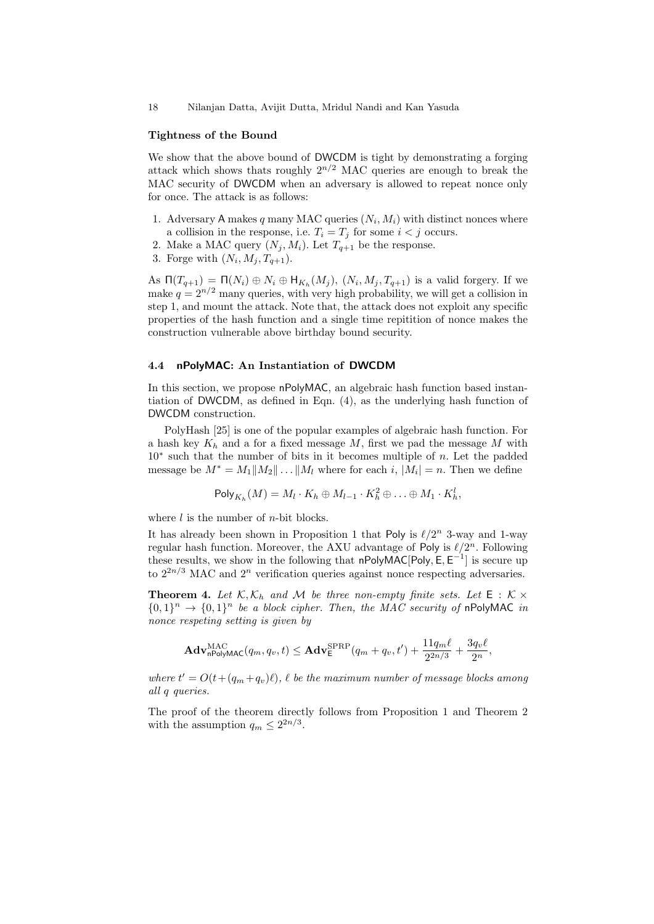18 Nilanjan Datta, Avijit Dutta, Mridul Nandi and Kan Yasuda

#### Tightness of the Bound

We show that the above bound of DWCDM is tight by demonstrating a forging attack which shows thats roughly  $2^{n/2}$  MAC queries are enough to break the MAC security of DWCDM when an adversary is allowed to repeat nonce only for once. The attack is as follows:

- 1. Adversary A makes q many MAC queries  $(N_i, M_i)$  with distinct nonces where a collision in the response, i.e.  $T_i = T_j$  for some  $i < j$  occurs.
- 2. Make a MAC query  $(N_j, M_i)$ . Let  $T_{q+1}$  be the response.
- 3. Forge with  $(N_i, M_j, T_{q+1})$ .

As  $\Pi(T_{q+1}) = \Pi(N_i) \oplus N_i \oplus \mathsf{H}_{K_h}(M_j)$ ,  $(N_i, M_j, T_{q+1})$  is a valid forgery. If we make  $q = 2^{n/2}$  many queries, with very high probability, we will get a collision in step 1, and mount the attack. Note that, the attack does not exploit any specific properties of the hash function and a single time repitition of nonce makes the construction vulnerable above birthday bound security.

#### 4.4 nPolyMAC: An Instantiation of DWCDM

In this section, we propose nPolyMAC, an algebraic hash function based instantiation of DWCDM, as defined in Eqn. (4), as the underlying hash function of DWCDM construction.

PolyHash [25] is one of the popular examples of algebraic hash function. For a hash key  $K_h$  and a for a fixed message M, first we pad the message M with 10<sup>∗</sup> such that the number of bits in it becomes multiple of n. Let the padded message be  $M^* = M_1||M_2|| \dots ||M_l$  where for each i,  $|M_i| = n$ . Then we define

$$
\mathsf{Poly}_{K_h}(M) = M_l \cdot K_h \oplus M_{l-1} \cdot K_h^2 \oplus \ldots \oplus M_1 \cdot K_h^l,
$$

where  $l$  is the number of *n*-bit blocks.

It has already been shown in Proposition 1 that Poly is  $\ell/2^n$  3-way and 1-way regular hash function. Moreover, the AXU advantage of Poly is  $\ell/2^n$ . Following these results, we show in the following that  $n$ PolyMAC[Poly, E,  $E^{-1}$ ] is secure up to  $2^{2n/3}$  MAC and  $2^n$  verification queries against nonce respecting adversaries.

**Theorem 4.** Let  $K, K_h$  and M be three non-empty finite sets. Let  $E : K \times$  ${0,1}^n \rightarrow {0,1}^n$  be a block cipher. Then, the MAC security of nPolyMAC in nonce respeting setting is given by

$$
\mathbf{Adv}_{\mathsf{nPolyMAC}}^{\mathrm{MAC}}(q_m, q_v, t) \leq \mathbf{Adv}_{\mathsf{E}}^{\mathrm{SPRP}}(q_m + q_v, t') + \frac{11q_m\ell}{2^{2n/3}} + \frac{3q_v\ell}{2^n},
$$

where  $t' = O(t + (q_m + q_v)\ell)$ ,  $\ell$  be the maximum number of message blocks among all q queries.

The proof of the theorem directly follows from Proposition 1 and Theorem 2 with the assumption  $q_m \leq 2^{2n/3}$ .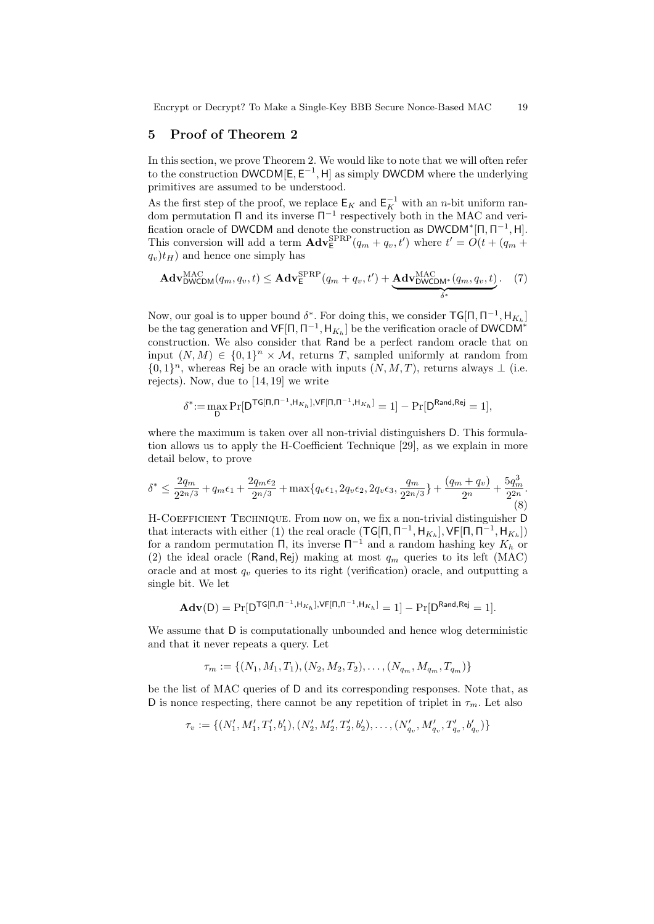Encrypt or Decrypt? To Make a Single-Key BBB Secure Nonce-Based MAC 19

## 5 Proof of Theorem 2

In this section, we prove Theorem 2. We would like to note that we will often refer to the construction  $\mathsf{DWCDM}[E, E^{-1}, H]$  as simply DWCDM where the underlying primitives are assumed to be understood.

As the first step of the proof, we replace  $\mathsf{E}_K$  and  $\mathsf{E}_K^{-1}$  with an *n*-bit uniform random permutation  $\Pi$  and its inverse  $\Pi^{-1}$  respectively both in the MAC and verification oracle of DWCDM and denote the construction as  $DWCDM^*[\Pi, \Pi^{-1}, H]$ . This conversion will add a term  $\mathbf{Adv}_{\mathsf{E}}^{\mathrm{SPRP}}(q_m + q_v, t')$  where  $t' = \mathcal{O}(t + (q_m +$  $q_v(t_H)$  and hence one simply has

$$
\mathbf{Adv}_{\mathsf{DWCDM}}^{\mathsf{MAC}}(q_m, q_v, t) \leq \mathbf{Adv}_{\mathsf{E}}^{\mathsf{SPRP}}(q_m + q_v, t') + \underbrace{\mathbf{Adv}_{\mathsf{DWCDM}^*}^{\mathsf{MAC}}(q_m, q_v, t)}_{\delta^*}.
$$
 (7)

Now, our goal is to upper bound  $\delta^*$ . For doing this, we consider  $\mathsf{TG}[\Pi,\Pi^{-1},\mathsf{H}_{K_h}]$ be the tag generation and  $\mathsf{VF}[\Pi, \Pi^{-1}, \mathsf{H}_{K_h}]$  be the verification oracle of DWCDM<sup>\*</sup> construction. We also consider that Rand be a perfect random oracle that on input  $(N, M) \in \{0, 1\}^n \times M$ , returns T, sampled uniformly at random from  ${0,1}<sup>n</sup>$ , whereas Rej be an oracle with inputs  $(N, M, T)$ , returns always  $\perp$  (i.e. rejects). Now, due to [14, 19] we write

$$
\delta^* := \max_{\mathsf{D}} \Pr[\mathsf{D}^{\mathsf{TG}[\mathsf{\Pi},\mathsf{\Pi}^{-1},\mathsf{H}_{K_h}],\mathsf{VF}[\mathsf{\Pi},\mathsf{\Pi}^{-1},\mathsf{H}_{K_h}]} = 1] - \Pr[\mathsf{D}^{\mathsf{Rand},\mathsf{Rej}} = 1],
$$

where the maximum is taken over all non-trivial distinguishers D. This formulation allows us to apply the H-Coefficient Technique [29], as we explain in more detail below, to prove

$$
\delta^* \le \frac{2q_m}{2^{2n/3}} + q_m \epsilon_1 + \frac{2q_m \epsilon_2}{2^{n/3}} + \max\{q_v \epsilon_1, 2q_v \epsilon_2, 2q_v \epsilon_3, \frac{q_m}{2^{2n/3}}\} + \frac{(q_m + q_v)}{2^n} + \frac{5q_m^3}{2^{2n}}.
$$
(8)

H-COEFFICIENT TECHNIQUE. From now on, we fix a non-trivial distinguisher D that interacts with either (1) the real oracle  $(\mathsf{TG}[\Pi,\Pi^{-1},\mathsf{H}_{K_h}],\mathsf{VF}[\Pi,\Pi^{-1},\mathsf{H}_{K_h}])$ for a random permutation  $\Pi$ , its inverse  $\Pi^{-1}$  and a random hashing key  $K_h$  or (2) the ideal oracle (Rand, Rej) making at most  $q_m$  queries to its left (MAC) oracle and at most  $q_v$  queries to its right (verification) oracle, and outputting a single bit. We let

$$
\mathbf{Adv}(\mathsf{D}) = \Pr[\mathsf{D}^{\mathsf{TG}[\mathsf{\Pi},\mathsf{\Pi}^{-1},\mathsf{H}_{K_h}],\mathsf{VF}[\mathsf{\Pi},\mathsf{\Pi}^{-1},\mathsf{H}_{K_h}]} = 1] - \Pr[\mathsf{D}^{\mathsf{Rand},\mathsf{Rej}} = 1].
$$

We assume that D is computationally unbounded and hence wlog deterministic and that it never repeats a query. Let

$$
\tau_m := \{ (N_1, M_1, T_1), (N_2, M_2, T_2), \dots, (N_{q_m}, M_{q_m}, T_{q_m}) \}
$$

be the list of MAC queries of D and its corresponding responses. Note that, as D is nonce respecting, there cannot be any repetition of triplet in  $\tau_m$ . Let also

$$
\tau_v := \{ (N'_1, M'_1, T'_1, b'_1), (N'_2, M'_2, T'_2, b'_2), \dots, (N'_{q_v}, M'_{q_v}, T'_{q_v}, b'_{q_v}) \}
$$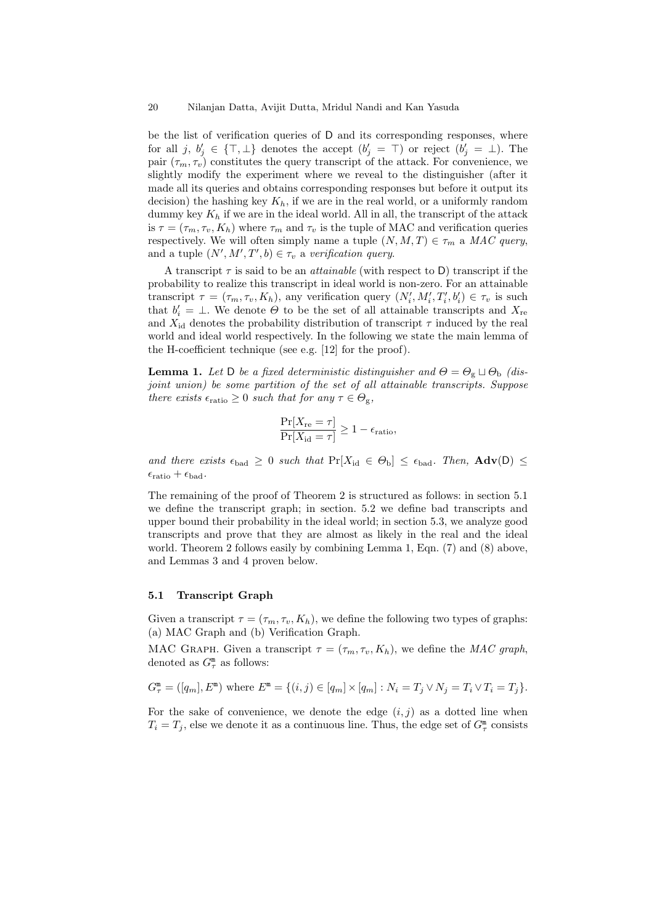be the list of verification queries of D and its corresponding responses, where for all j,  $b'_j \in \{\top, \bot\}$  denotes the accept  $(b'_j = \top)$  or reject  $(b'_j = \bot)$ . The pair  $(\tau_m, \tau_v)$  constitutes the query transcript of the attack. For convenience, we slightly modify the experiment where we reveal to the distinguisher (after it made all its queries and obtains corresponding responses but before it output its decision) the hashing key  $K_h$ , if we are in the real world, or a uniformly random dummy key  $K_h$  if we are in the ideal world. All in all, the transcript of the attack is  $\tau = (\tau_m, \tau_v, K_h)$  where  $\tau_m$  and  $\tau_v$  is the tuple of MAC and verification queries respectively. We will often simply name a tuple  $(N, M, T) \in \tau_m$  a MAC query, and a tuple  $(N', M', T', b) \in \tau_v$  a verification query.

A transcript  $\tau$  is said to be an *attainable* (with respect to D) transcript if the probability to realize this transcript in ideal world is non-zero. For an attainable transcript  $\tau = (\tau_m, \tau_v, K_h)$ , any verification query  $(N'_i, M'_i, T'_i, b'_i) \in \tau_v$  is such that  $b_i' = \perp$ . We denote  $\Theta$  to be the set of all attainable transcripts and  $X_{\text{re}}$ and  $X_{\rm id}$  denotes the probability distribution of transcript  $\tau$  induced by the real world and ideal world respectively. In the following we state the main lemma of the H-coefficient technique (see e.g. [12] for the proof).

**Lemma 1.** Let D be a fixed deterministic distinguisher and  $\Theta = \Theta_{g} \sqcup \Theta_{b}$  (disjoint union) be some partition of the set of all attainable transcripts. Suppose there exists  $\epsilon_{\text{ratio}} \geq 0$  such that for any  $\tau \in \Theta_{g}$ ,

$$
\frac{\Pr[X_{\text{re}} = \tau]}{\Pr[X_{\text{id}} = \tau]} \ge 1 - \epsilon_{\text{ratio}},
$$

and there exists  $\epsilon_{bad} \geq 0$  such that  $Pr[X_{id} \in \Theta_b] \leq \epsilon_{bad}$ . Then,  $Adv(D) \leq$  $\epsilon_{\text{ratio}} + \epsilon_{\text{bad}}.$ 

The remaining of the proof of Theorem 2 is structured as follows: in section 5.1 we define the transcript graph; in section. 5.2 we define bad transcripts and upper bound their probability in the ideal world; in section 5.3, we analyze good transcripts and prove that they are almost as likely in the real and the ideal world. Theorem 2 follows easily by combining Lemma 1, Eqn. (7) and (8) above, and Lemmas 3 and 4 proven below.

## 5.1 Transcript Graph

Given a transcript  $\tau = (\tau_m, \tau_v, K_h)$ , we define the following two types of graphs: (a) MAC Graph and (b) Verification Graph.

MAC GRAPH. Given a transcript  $\tau = (\tau_m, \tau_v, K_h)$ , we define the MAC graph, denoted as  $G_{\tau}^{\mathfrak{m}}$  as follows:

$$
G_{\tau}^{\mathbf{m}} = ([q_m], E^{\mathbf{m}}) \text{ where } E^{\mathbf{m}} = \{ (i, j) \in [q_m] \times [q_m] : N_i = T_j \vee N_j = T_i \vee T_i = T_j \}.
$$

For the sake of convenience, we denote the edge  $(i, j)$  as a dotted line when  $T_i = T_j$ , else we denote it as a continuous line. Thus, the edge set of  $G_{\tau}^{\mathfrak{m}}$  consists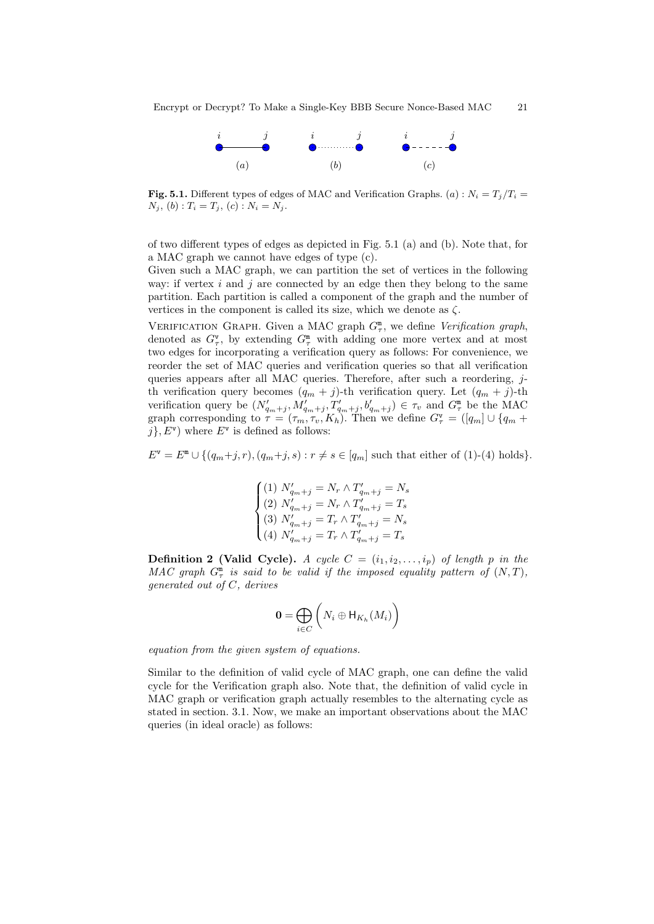

**Fig. 5.1.** Different types of edges of MAC and Verification Graphs. (a) :  $N_i = T_i/T_i =$  $N_j, (b) : T_i = T_j, (c) : N_i = N_j.$ 

of two different types of edges as depicted in Fig. 5.1 (a) and (b). Note that, for a MAC graph we cannot have edges of type (c).

Given such a MAC graph, we can partition the set of vertices in the following way: if vertex i and j are connected by an edge then they belong to the same partition. Each partition is called a component of the graph and the number of vertices in the component is called its size, which we denote as  $\zeta$ .

VERIFICATION GRAPH. Given a MAC graph  $G_{\tau}^{\mathfrak{m}}$ , we define *Verification graph*, denoted as  $G_{\tau}^{\mathbf{v}}$ , by extending  $G_{\tau}^{\mathfrak{m}}$  with adding one more vertex and at most two edges for incorporating a verification query as follows: For convenience, we reorder the set of MAC queries and verification queries so that all verification queries appears after all MAC queries. Therefore, after such a reordering,  $j$ th verification query becomes  $(q_m + j)$ -th verification query. Let  $(q_m + j)$ -th verification query be  $(N'_{q_m+j}, N'_{q_m+j}, T'_{q_m+j}, b'_{q_m+j}) \in \tau_v$  and  $G^{\mathbb{m}}_{\tau}$  be the MAC graph corresponding to  $\tau = (\tau_m, \tau_v, K_h)$ . Then we define  $G_{\tau}^{\mathbf{v}} = ([q_m] \cup \{q_m +$  $j\}$ ,  $E^{\mathsf{v}}$ ) where  $E^{\mathsf{v}}$  is defined as follows:

 $E^{\mathsf{v}} = E^{\mathsf{m}} \cup \{ (q_m+j, r), (q_m+j, s) : r \neq s \in [q_m] \text{ such that either of (1)-(4) holds} \}.$ 

$$
\begin{cases} (1) \ N'_{q_m+j} = N_r \wedge T'_{q_m+j} = N_s \\ (2) \ N'_{q_m+j} = N_r \wedge T'_{q_m+j} = T_s \\ (3) \ N'_{q_m+j} = T_r \wedge T'_{q_m+j} = N_s \\ (4) \ N'_{q_m+j} = T_r \wedge T'_{q_m+j} = T_s \end{cases}
$$

**Definition 2 (Valid Cycle).** A cycle  $C = (i_1, i_2, \ldots, i_p)$  of length p in the MAC graph  $G_{\tau}^{\mathfrak{m}}$  is said to be valid if the imposed equality pattern of  $(N, T)$ , generated out of C, derives

$$
\mathbf{0} = \bigoplus_{i \in C} \left( N_i \oplus \mathsf{H}_{K_h}(M_i) \right)
$$

equation from the given system of equations.

Similar to the definition of valid cycle of MAC graph, one can define the valid cycle for the Verification graph also. Note that, the definition of valid cycle in MAC graph or verification graph actually resembles to the alternating cycle as stated in section. 3.1. Now, we make an important observations about the MAC queries (in ideal oracle) as follows: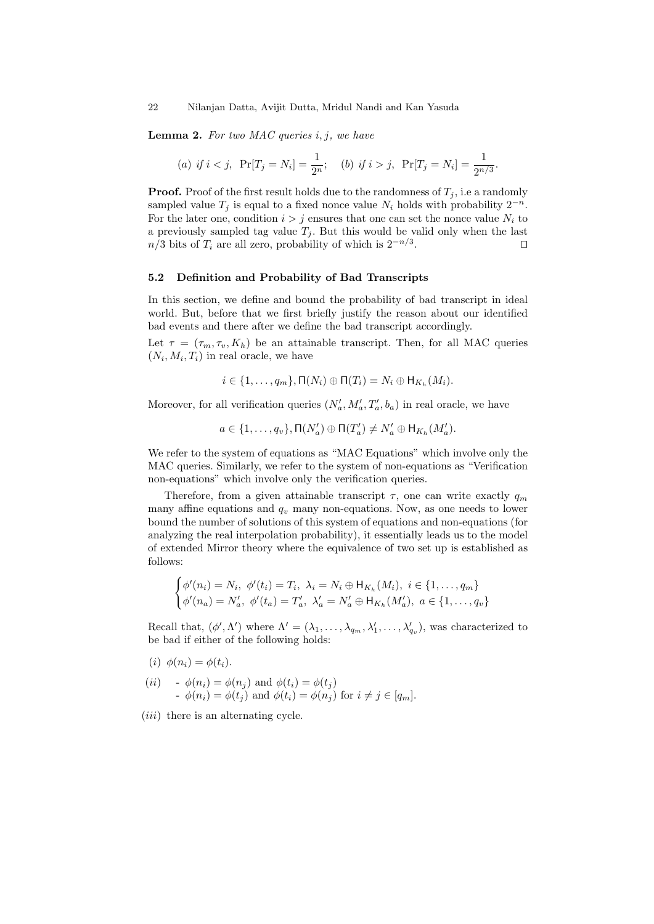**Lemma 2.** For two MAC queries  $i, j$ , we have

(a) if 
$$
i < j
$$
,  $Pr[T_j = N_i] = \frac{1}{2^n}$ ; (b) if  $i > j$ ,  $Pr[T_j = N_i] = \frac{1}{2^{n/3}}$ .

**Proof.** Proof of the first result holds due to the randomness of  $T_j$ , i.e a randomly sampled value  $T_j$  is equal to a fixed nonce value  $N_i$  holds with probability  $2^{-n}$ . For the later one, condition  $i > j$  ensures that one can set the nonce value  $N_i$  to a previously sampled tag value  $T_i$ . But this would be valid only when the last  $n/3$  bits of  $T_i$  are all zero, probability of which is  $2^{-n/3}$ . . The contract of the contract  $\Box$ 

#### 5.2 Definition and Probability of Bad Transcripts

In this section, we define and bound the probability of bad transcript in ideal world. But, before that we first briefly justify the reason about our identified bad events and there after we define the bad transcript accordingly.

Let  $\tau = (\tau_m, \tau_v, K_h)$  be an attainable transcript. Then, for all MAC queries  $(N_i, M_i, T_i)$  in real oracle, we have

$$
i \in \{1, \ldots, q_m\}, \Pi(N_i) \oplus \Pi(T_i) = N_i \oplus \mathsf{H}_{K_h}(M_i).
$$

Moreover, for all verification queries  $(N'_a, M'_a, T'_a, b_a)$  in real oracle, we have

$$
a \in \{1,\ldots,q_v\}, \Pi(N'_a) \oplus \Pi(T'_a) \neq N'_a \oplus \mathsf{H}_{K_h}(M'_a).
$$

We refer to the system of equations as "MAC Equations" which involve only the MAC queries. Similarly, we refer to the system of non-equations as "Verification non-equations" which involve only the verification queries.

Therefore, from a given attainable transcript  $\tau$ , one can write exactly  $q_m$ many affine equations and  $q_v$  many non-equations. Now, as one needs to lower bound the number of solutions of this system of equations and non-equations (for analyzing the real interpolation probability), it essentially leads us to the model of extended Mirror theory where the equivalence of two set up is established as follows:

$$
\begin{cases} \phi'(n_i) = N_i, & \phi'(t_i) = T_i, \ \lambda_i = N_i \oplus H_{K_h}(M_i), \ i \in \{1, ..., q_m\} \\ \phi'(n_a) = N'_a, & \phi'(t_a) = T'_a, \ \lambda'_a = N'_a \oplus H_{K_h}(M'_a), \ a \in \{1, ..., q_v\} \end{cases}
$$

Recall that,  $(\phi', \Lambda')$  where  $\Lambda' = (\lambda_1, \ldots, \lambda_{q_m}, \lambda'_1, \ldots, \lambda'_{q_v})$ , was characterized to be bad if either of the following holds:

- (i)  $\phi(n_i) = \phi(t_i)$ .
- (*ii*)  $\phi(n_i) = \phi(n_j)$  and  $\phi(t_i) = \phi(t_j)$  $-\phi(n_i) = \phi(t_j)$  and  $\phi(t_i) = \phi(n_j)$  for  $i \neq j \in [q_m]$ .
- $(iii)$  there is an alternating cycle.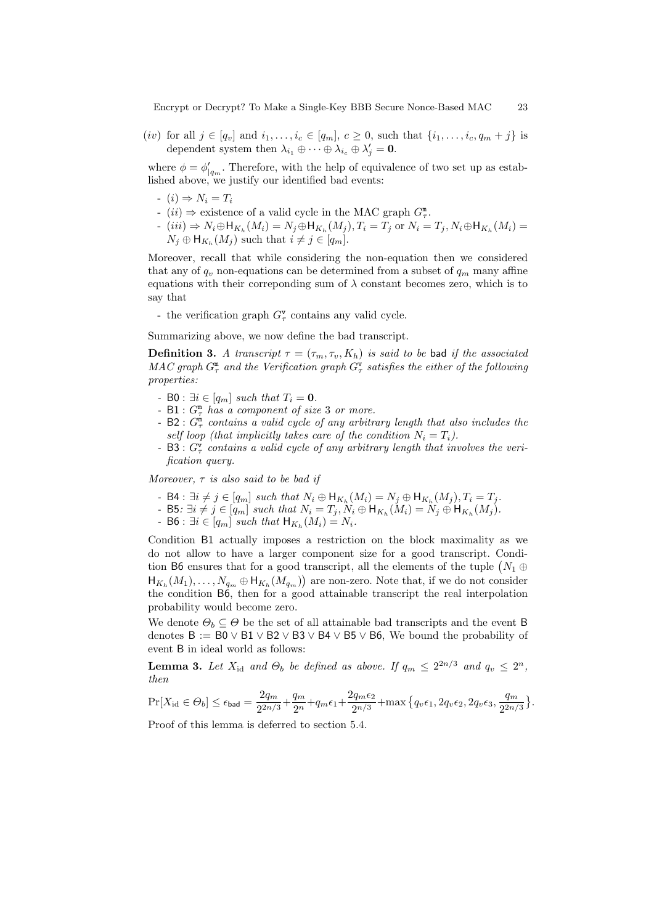Encrypt or Decrypt? To Make a Single-Key BBB Secure Nonce-Based MAC 23

(*iv*) for all  $j \in [q_v]$  and  $i_1, ..., i_c \in [q_m]$ ,  $c \ge 0$ , such that  $\{i_1, ..., i_c, q_m + j\}$  is dependent system then  $\lambda_{i_1} \oplus \cdots \oplus \lambda_{i_c} \oplus \lambda'_j = \mathbf{0}.$ 

where  $\phi = \phi'_{|q_m}$ . Therefore, with the help of equivalence of two set up as established above, we justify our identified bad events:

- $(i) \Rightarrow N_i = T_i$
- (*ii*)  $\Rightarrow$  existence of a valid cycle in the MAC graph  $G_{\tau}^{\mathfrak{m}}$ .
- $(iii) \Rightarrow N_i \oplus H_{K_h}(M_i) = N_j \oplus H_{K_h}(M_j), T_i = T_j$  or  $N_i = T_j, N_i \oplus H_{K_h}(M_i) =$  $N_j \oplus \mathsf{H}_{K_h}(M_j)$  such that  $i \neq j \in [q_m]$ .

Moreover, recall that while considering the non-equation then we considered that any of  $q_v$  non-equations can be determined from a subset of  $q_m$  many affine equations with their corresponding sum of  $\lambda$  constant becomes zero, which is to say that

- the verification graph  $G_{\tau}^{\mathbf{v}}$  contains any valid cycle.

Summarizing above, we now define the bad transcript.

**Definition 3.** A transcript  $\tau = (\tau_m, \tau_v, K_h)$  is said to be bad if the associated  $MAC$  graph  $G_{\tau}^{\mathfrak{m}}$  and the Verification graph  $G_{\tau}^{\mathsf{v}}$  satisfies the either of the following properties:

- B0 :  $\exists i \in [q_m]$  such that  $T_i = 0$ .
- $B1: G^{\mathfrak{m}}$  has a component of size 3 or more.
- B2 :  $G_{\tau}^{\mathfrak{m}}$  contains a valid cycle of any arbitrary length that also includes the self loop (that implicitly takes care of the condition  $N_i = T_i$ ).
- B3 :  $G_{\tau}^{\nu}$  contains a valid cycle of any arbitrary length that involves the verification query.

Moreover,  $\tau$  is also said to be bad if

- B4 :  $\exists i \neq j \in [q_m]$  such that  $N_i \oplus \mathsf{H}_{K_h}(M_i) = N_j \oplus \mathsf{H}_{K_h}(M_j)$ ,  $T_i = T_j$ .
- B5:  $\exists i \neq j \in [q_m]$  such that  $N_i = T_j, N_i \oplus \mathsf{H}_{K_h}(M_i) = N_j \oplus \mathsf{H}_{K_h}(M_j)$ .
- B6 :  $\exists i \in [q_m]$  such that  $\mathsf{H}_{K_h}(M_i) = N_i$ .

Condition B1 actually imposes a restriction on the block maximality as we do not allow to have a larger component size for a good transcript. Condition B6 ensures that for a good transcript, all the elements of the tuple  $(N_1 \oplus$  $\mathsf{H}_{K_h}(M_1),\ldots,N_{q_m}\oplus\mathsf{H}_{K_h}(M_{q_m})\right)$  are non-zero. Note that, if we do not consider the condition B6, then for a good attainable transcript the real interpolation probability would become zero.

We denote  $\Theta_b \subseteq \Theta$  be the set of all attainable bad transcripts and the event B denotes  $B := B0 \vee B1 \vee B2 \vee B3 \vee B4 \vee B5 \vee B6$ , We bound the probability of event B in ideal world as follows:

**Lemma 3.** Let  $X_{\text{id}}$  and  $\Theta_b$  be defined as above. If  $q_m \leq 2^{2n/3}$  and  $q_v \leq 2^n$ , then

$$
\Pr[X_{\text{id}}\in\Theta_b]\leq \epsilon_{\text{bad}}=\frac{2q_m}{2^{2n/3}}+\frac{q_m}{2^n}+q_m\epsilon_1+\frac{2q_m\epsilon_2}{2^{n/3}}+\max\big\{q_v\epsilon_1,2q_v\epsilon_2,2q_v\epsilon_3,\frac{q_m}{2^{2n/3}}\big\}.
$$

Proof of this lemma is deferred to section 5.4.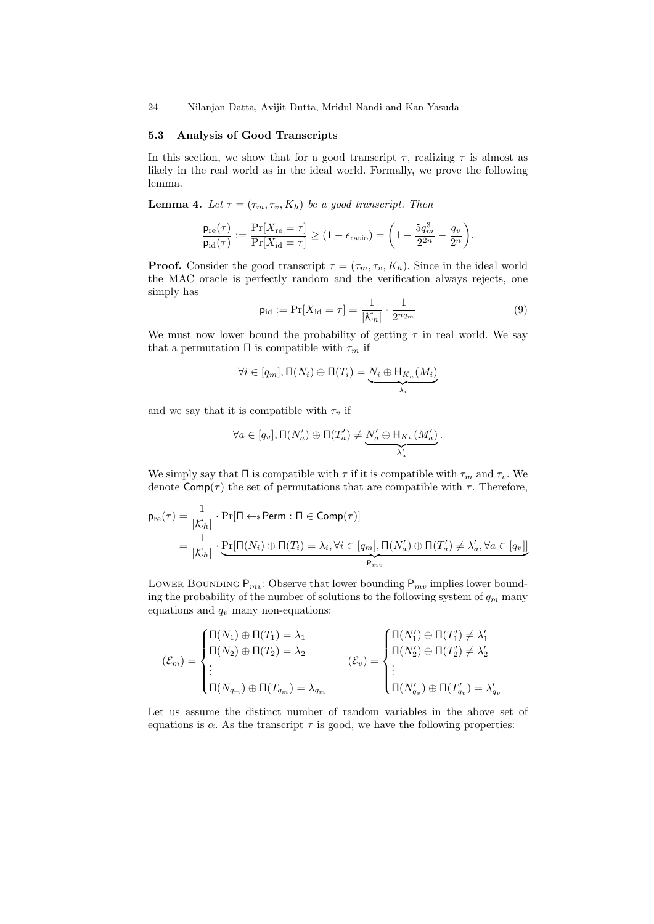24 Nilanjan Datta, Avijit Dutta, Mridul Nandi and Kan Yasuda

#### 5.3 Analysis of Good Transcripts

In this section, we show that for a good transcript  $\tau$ , realizing  $\tau$  is almost as likely in the real world as in the ideal world. Formally, we prove the following lemma.

**Lemma 4.** Let  $\tau = (\tau_m, \tau_v, K_h)$  be a good transcript. Then

$$
\frac{\mathsf{p}_{\mathrm{re}}(\tau)}{\mathsf{p}_{\mathrm{id}}(\tau)} := \frac{\Pr[X_{\mathrm{re}} = \tau]}{\Pr[X_{\mathrm{id}} = \tau]} \ge (1 - \epsilon_{\mathrm{ratio}}) = \left(1 - \frac{5q_m^3}{2^{2n}} - \frac{q_v}{2^n}\right)
$$

**Proof.** Consider the good transcript  $\tau = (\tau_m, \tau_v, K_h)$ . Since in the ideal world the MAC oracle is perfectly random and the verification always rejects, one simply has

$$
\mathsf{p}_{\mathrm{id}} := \Pr[X_{\mathrm{id}} = \tau] = \frac{1}{|\mathcal{K}_h|} \cdot \frac{1}{2^{nq_m}} \tag{9}
$$

.

We must now lower bound the probability of getting  $\tau$  in real world. We say that a permutation  $\Pi$  is compatible with  $\tau_m$  if

$$
\forall i \in [q_m], \Pi(N_i) \oplus \Pi(T_i) = \underbrace{N_i \oplus H_{K_h}(M_i)}_{\lambda_i}
$$

and we say that it is compatible with  $\tau_v$  if

$$
\forall a \in [q_v], \Pi(N'_a) \oplus \Pi(T'_a) \neq \underbrace{N'_a \oplus H_{K_h}(M'_a)}_{\lambda'_a}.
$$

We simply say that  $\Pi$  is compatible with  $\tau$  if it is compatible with  $\tau_m$  and  $\tau_v$ . We denote  $\mathsf{Comp}(\tau)$  the set of permutations that are compatible with  $\tau$ . Therefore,

$$
\begin{aligned} \mathsf{p}_{\mathrm{re}}(\tau) &= \frac{1}{|\mathcal{K}_h|} \cdot \Pr[\Pi \leftarrow \mathsf{s}\ \mathsf{Perm} : \Pi \in \mathsf{Comp}(\tau)] \\ &= \frac{1}{|\mathcal{K}_h|} \cdot \underbrace{\Pr[\Pi(N_i) \oplus \Pi(T_i) = \lambda_i, \forall i \in [q_m], \Pi(N'_a) \oplus \Pi(T'_a) \neq \lambda'_a, \forall a \in [q_v]]}_{\mathsf{P}_{mv}} \end{aligned}
$$

LOWER BOUNDING  $P_{mv}$ : Observe that lower bounding  $P_{mv}$  implies lower bounding the probability of the number of solutions to the following system of  $q_m$  many equations and  $q_v$  many non-equations:

$$
(\mathcal{E}_m) = \begin{cases} \Pi(N_1) \oplus \Pi(T_1) = \lambda_1 \\ \Pi(N_2) \oplus \Pi(T_2) = \lambda_2 \\ \vdots \\ \Pi(N_{q_m}) \oplus \Pi(T_{q_m}) = \lambda_{q_m} \end{cases} \qquad (\mathcal{E}_v) = \begin{cases} \Pi(N'_1) \oplus \Pi(T'_1) \neq \lambda'_1 \\ \Pi(N'_2) \oplus \Pi(T'_2) \neq \lambda'_2 \\ \vdots \\ \Pi(N'_{q_v}) \oplus \Pi(T'_{q_v}) = \lambda'_{q_v} \end{cases}
$$

Let us assume the distinct number of random variables in the above set of equations is  $\alpha$ . As the transcript  $\tau$  is good, we have the following properties: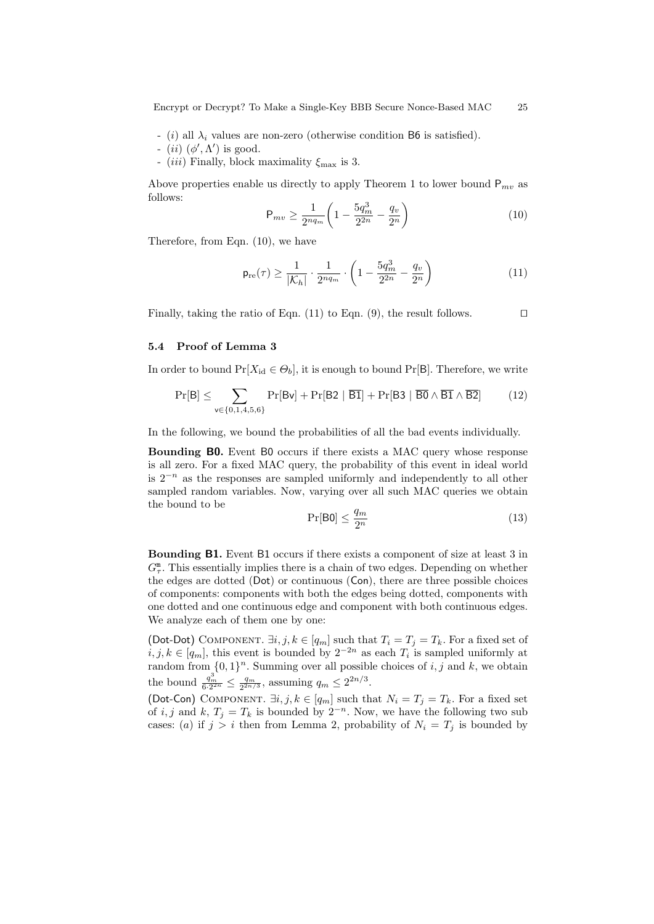Encrypt or Decrypt? To Make a Single-Key BBB Secure Nonce-Based MAC 25

- (i) all  $\lambda_i$  values are non-zero (otherwise condition B6 is satisfied).
- (ii)  $(\phi', \Lambda')$  is good.
- (iii) Finally, block maximality  $\xi_{\text{max}}$  is 3.

Above properties enable us directly to apply Theorem 1 to lower bound  $P_{mv}$  as follows:

$$
\mathsf{P}_{mv} \ge \frac{1}{2^{nq_m}} \left( 1 - \frac{5q_m^3}{2^{2n}} - \frac{q_v}{2^n} \right) \tag{10}
$$

Therefore, from Eqn. (10), we have

$$
\mathsf{p}_{\mathrm{re}}(\tau) \ge \frac{1}{|\mathcal{K}_h|} \cdot \frac{1}{2^{nq_m}} \cdot \left(1 - \frac{5q_m^3}{2^{2n}} - \frac{q_v}{2^n}\right) \tag{11}
$$

Finally, taking the ratio of Eqn. (11) to Eqn. (9), the result follows.  $\Box$ 

#### 5.4 Proof of Lemma 3

In order to bound  $Pr[X_{id} \in \Theta_b]$ , it is enough to bound  $Pr[B]$ . Therefore, we write

$$
\Pr[B] \leq \sum_{v \in \{0,1,4,5,6\}} \Pr[{\sf B} v] + \Pr[{\sf B2} \mid \overline{\sf B1}] + \Pr[{\sf B3} \mid \overline{\sf B0} \wedge \overline{\sf B1} \wedge \overline{\sf B2}] \qquad (12)
$$

In the following, we bound the probabilities of all the bad events individually.

Bounding B0. Event B0 occurs if there exists a MAC query whose response is all zero. For a fixed MAC query, the probability of this event in ideal world is  $2^{-n}$  as the responses are sampled uniformly and independently to all other sampled random variables. Now, varying over all such MAC queries we obtain the bound to be

$$
\Pr[\text{B0}] \le \frac{q_m}{2^n} \tag{13}
$$

Bounding B1. Event B1 occurs if there exists a component of size at least 3 in  $G_{\tau}^{\mathfrak{m}}$ . This essentially implies there is a chain of two edges. Depending on whether the edges are dotted (Dot) or continuous (Con), there are three possible choices of components: components with both the edges being dotted, components with one dotted and one continuous edge and component with both continuous edges. We analyze each of them one by one:

(Dot-Dot) COMPONENT.  $\exists i, j, k \in [q_m]$  such that  $T_i = T_j = T_k$ . For a fixed set of  $i, j, k \in [q_m]$ , this event is bounded by  $2^{-2n}$  as each  $T_i$  is sampled uniformly at random from  $\{0,1\}^n$ . Summing over all possible choices of i, j and k, we obtain the bound  $\frac{q_m^3}{6 \cdot 2^{2n}} \le \frac{q_m}{2^{2n/3}}$ , assuming  $q_m \le 2^{2n/3}$ .

(Dot-Con) COMPONENT.  $\exists i, j, k \in [q_m]$  such that  $N_i = T_j = T_k$ . For a fixed set of i, j and k,  $T_j = T_k$  is bounded by  $2^{-n}$ . Now, we have the following two sub cases: (a) if  $j > i$  then from Lemma 2, probability of  $N_i = T_j$  is bounded by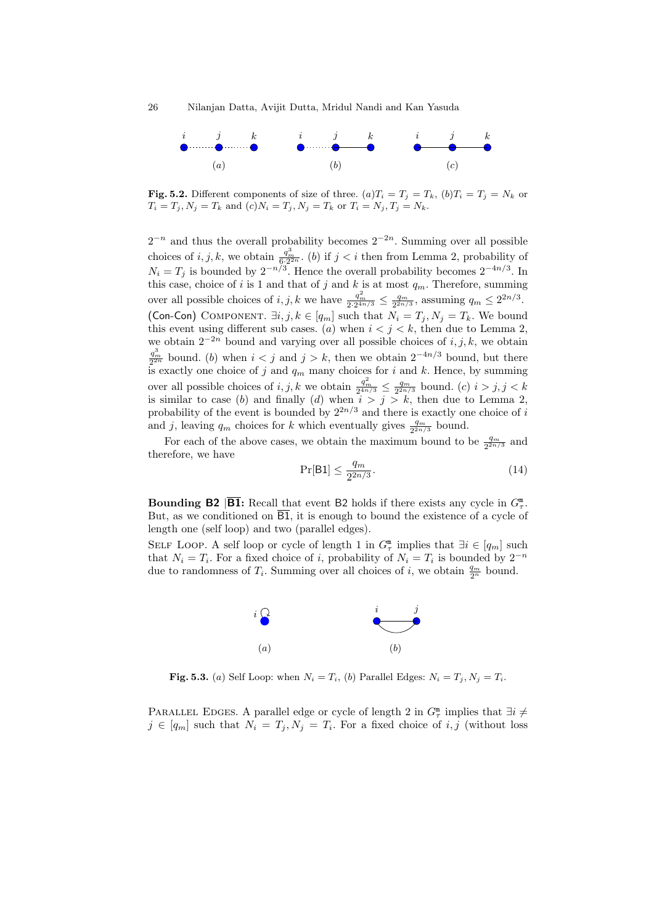26 Nilanjan Datta, Avijit Dutta, Mridul Nandi and Kan Yasuda



Fig. 5.2. Different components of size of three.  $(a)T_i = T_j = T_k$ ,  $(b)T_i = T_j = N_k$  or  $T_i = T_j, N_j = T_k$  and  $(c)N_i = T_j, N_j = T_k$  or  $T_i = N_j, T_j = N_k$ .

 $2^{-n}$  and thus the overall probability becomes  $2^{-2n}$ . Summing over all possible choices of  $i, j, k$ , we obtain  $\frac{q_m^3}{6 \cdot 2^{2n}}$ . (b) if  $j < i$  then from Lemma 2, probability of  $N_i = T_j$  is bounded by  $2^{-n/3}$ . Hence the overall probability becomes  $2^{-4n/3}$ . In this case, choice of i is 1 and that of j and k is at most  $q_m$ . Therefore, summing over all possible choices of  $i, j, k$  we have  $\frac{q_m^2}{2 \cdot 2^{4n/3}} \leq \frac{q_m}{2^{2n/3}}$ , assuming  $q_m \leq 2^{2n/3}$ . (Con-Con) COMPONENT.  $\exists i, j, k \in [q_m]$  such that  $N_i = T_j, N_j = T_k$ . We bound this event using different sub cases. (a) when  $i < j < k$ , then due to Lemma 2, we obtain  $2^{-2n}$  bound and varying over all possible choices of *i*, *j*, *k*, we obtain  $\frac{q_m^3}{2^{2n}}$  bound. (b) when  $i < j$  and  $j > k$ , then we obtain  $2^{-4n/3}$  bound, but there is exactly one choice of j and  $q_m$  many choices for i and k. Hence, by summing over all possible choices of  $i, j, k$  we obtain  $\frac{q_m^2}{2^{4n/3}} \leq \frac{q_m}{2^{2n/3}}$  bound.  $(c)$   $i > j, j < k$ is similar to case (b) and finally (d) when  $i > j > k$ , then due to Lemma 2, probability of the event is bounded by  $2^{2n/3}$  and there is exactly one choice of i and j, leaving  $q_m$  choices for k which eventually gives  $\frac{q_m}{2^{2n/3}}$  bound.

For each of the above cases, we obtain the maximum bound to be  $\frac{q_m}{2^{2n/3}}$  and therefore, we have

$$
\Pr[\mathsf{B1}] \le \frac{q_m}{2^{2n/3}}.\tag{14}
$$

**Bounding B2 B1**: Recall that event B2 holds if there exists any cycle in  $G_{\tau}^{\mathfrak{m}}$ . But, as we conditioned on  $\overline{B1}$ , it is enough to bound the existence of a cycle of length one (self loop) and two (parallel edges).

SELF LOOP. A self loop or cycle of length 1 in  $G_{\tau}^{\mathfrak{m}}$  implies that  $\exists i \in [q_m]$  such that  $N_i = T_i$ . For a fixed choice of i, probability of  $N_i = T_i$  is bounded by  $2^{-n}$ due to randomness of  $T_i$ . Summing over all choices of i, we obtain  $\frac{q_m}{2^n}$  bound.



Fig. 5.3. (a) Self Loop: when  $N_i = T_i$ , (b) Parallel Edges:  $N_i = T_j$ ,  $N_j = T_i$ .

PARALLEL EDGES. A parallel edge or cycle of length 2 in  $G_{\tau}^{\mathbb{m}}$  implies that  $\exists i \neq$  $j \in [q_m]$  such that  $N_i = T_j, N_j = T_i$ . For a fixed choice of i, j (without loss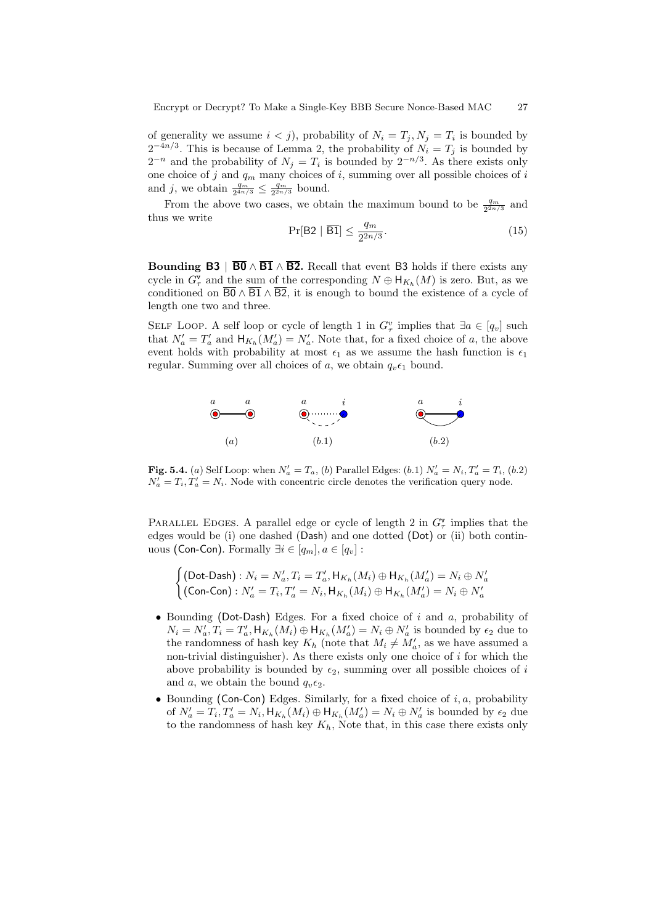of generality we assume  $i < j$ , probability of  $N_i = T_j, N_j = T_i$  is bounded by  $2^{-4n/3}$ . This is because of Lemma 2, the probability of  $N_i = T_j$  is bounded by  $2^{-n}$  and the probability of  $N_j = T_i$  is bounded by  $2^{-n/3}$ . As there exists only one choice of j and  $q_m$  many choices of i, summing over all possible choices of i and j, we obtain  $\frac{q_m}{2^{4n/3}} \leq \frac{q_m}{2^{2n/3}}$  bound.

From the above two cases, we obtain the maximum bound to be  $\frac{q_m}{2^{2n/3}}$  and thus we write

$$
\Pr[\mathsf{B2} \mid \overline{\mathsf{B1}}] \le \frac{q_m}{2^{2n/3}}.\tag{15}
$$

Bounding B3 |  $\overline{B0} \wedge \overline{B1} \wedge \overline{B2}$ . Recall that event B3 holds if there exists any cycle in  $G^{\mathsf{v}}_{\tau}$  and the sum of the corresponding  $N \oplus \mathsf{H}_{K_h}(M)$  is zero. But, as we conditioned on  $\overline{B0} \wedge \overline{B1} \wedge \overline{B2}$ , it is enough to bound the existence of a cycle of length one two and three.

SELF LOOP. A self loop or cycle of length 1 in  $G^v_\tau$  implies that  $\exists a \in [q_v]$  such that  $N'_a = T'_a$  and  $H_{K_h}(M'_a) = N'_a$ . Note that, for a fixed choice of a, the above event holds with probability at most  $\epsilon_1$  as we assume the hash function is  $\epsilon_1$ regular. Summing over all choices of a, we obtain  $q_v \epsilon_1$  bound.



**Fig. 5.4.** (a) Self Loop: when  $N'_a = T_a$ , (b) Parallel Edges: (b.1)  $N'_a = N_i$ ,  $T'_a = T_i$ , (b.2)  $N'_a = T_i, T'_a = N_i$ . Node with concentric circle denotes the verification query node.

PARALLEL EDGES. A parallel edge or cycle of length 2 in  $G^{\mathbf{v}}_{\tau}$  implies that the edges would be (i) one dashed (Dash) and one dotted (Dot) or (ii) both continuous (Con-Con). Formally  $\exists i \in [q_m], a \in [q_v]$ :

$$
\begin{cases} (\text{Dot-Dash}) : N_i = N'_a, T_i = T'_a, H_{K_h}(M_i) \oplus H_{K_h}(M'_a) = N_i \oplus N'_a \\ (\text{Con-Con}) : N'_a = T_i, T'_a = N_i, H_{K_h}(M_i) \oplus H_{K_h}(M'_a) = N_i \oplus N'_a \end{cases}
$$

- Bounding (Dot-Dash) Edges. For a fixed choice of  $i$  and  $a$ , probability of  $N_i = N'_a$ ,  $T_i = T'_a$ ,  $H_{K_h}(M_i) \oplus H_{K_h}(M'_a) = N_i \oplus N'_a$  is bounded by  $\epsilon_2$  due to the randomness of hash key  $K_h$  (note that  $M_i \neq M'_a$ , as we have assumed a non-trivial distinguisher). As there exists only one choice of  $i$  for which the above probability is bounded by  $\epsilon_2$ , summing over all possible choices of i and a, we obtain the bound  $q_v \epsilon_2$ .
- Bounding (Con-Con) Edges. Similarly, for a fixed choice of  $i, a$ , probability of  $N'_a = T_i$ ,  $T'_a = N_i$ ,  $H_{K_h}(M_i) \oplus H_{K_h}(M'_a) = N_i \oplus N'_a$  is bounded by  $\epsilon_2$  due to the randomness of hash key  $K_h$ , Note that, in this case there exists only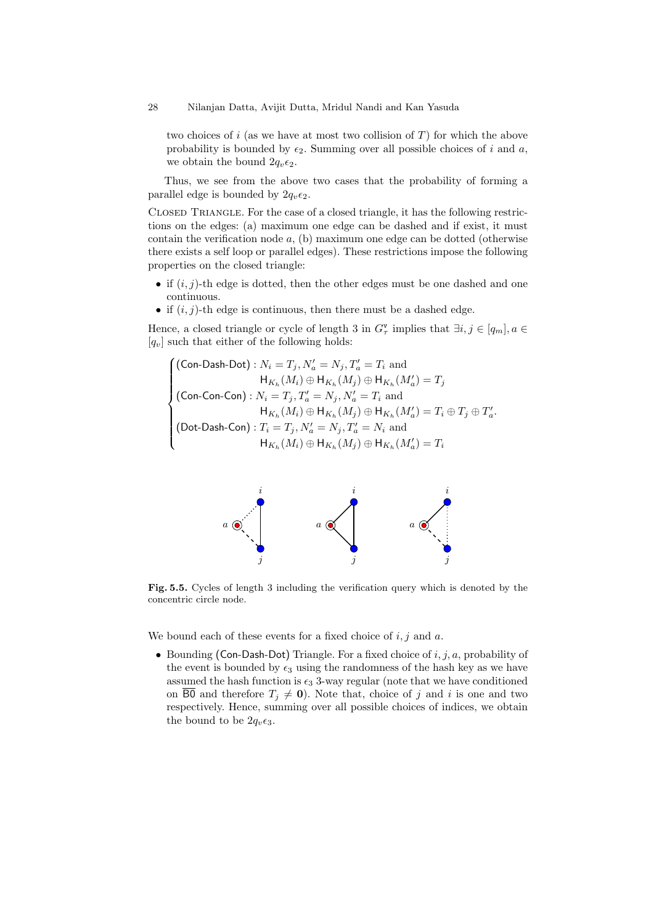two choices of  $i$  (as we have at most two collision of  $T$ ) for which the above probability is bounded by  $\epsilon_2$ . Summing over all possible choices of i and a, we obtain the bound  $2q_v\epsilon_2$ .

Thus, we see from the above two cases that the probability of forming a parallel edge is bounded by  $2q_v\epsilon_2$ .

Closed Triangle. For the case of a closed triangle, it has the following restrictions on the edges: (a) maximum one edge can be dashed and if exist, it must contain the verification node  $a$ , (b) maximum one edge can be dotted (otherwise there exists a self loop or parallel edges). These restrictions impose the following properties on the closed triangle:

- if  $(i, j)$ -th edge is dotted, then the other edges must be one dashed and one continuous.
- if  $(i, j)$ -th edge is continuous, then there must be a dashed edge.

Hence, a closed triangle or cycle of length 3 in  $G^{\mathbf{v}}_{\tau}$  implies that  $\exists i, j \in [q_m], a \in$  $[q_v]$  such that either of the following holds:

$$
\begin{cases}\n(\text{Con-Cash-Dot}): N_i = T_j, N'_a = N_j, T'_a = T_i \text{ and} \\
\qquad \qquad \mathsf{H}_{K_h}(M_i) \oplus \mathsf{H}_{K_h}(M_j) \oplus \mathsf{H}_{K_h}(M'_a) = T_j \\
(\text{Con-Con-Con}): N_i = T_j, T'_a = N_j, N'_a = T_i \text{ and} \\
\qquad \qquad \mathsf{H}_{K_h}(M_i) \oplus \mathsf{H}_{K_h}(M_j) \oplus \mathsf{H}_{K_h}(M'_a) = T_i \oplus T_j \oplus T'_a. \\
(\text{Dot-Cash-Con}): T_i = T_j, N'_a = N_j, T'_a = N_i \text{ and} \\
\qquad \qquad \mathsf{H}_{K_h}(M_i) \oplus \mathsf{H}_{K_h}(M_j) \oplus \mathsf{H}_{K_h}(M'_a) = T_i\n\end{cases}
$$



Fig. 5.5. Cycles of length 3 including the verification query which is denoted by the concentric circle node.

We bound each of these events for a fixed choice of  $i, j$  and  $a$ .

• Bounding (Con-Dash-Dot) Triangle. For a fixed choice of  $i, j, a$ , probability of the event is bounded by  $\epsilon_3$  using the randomness of the hash key as we have assumed the hash function is  $\epsilon_3$  3-way regular (note that we have conditioned on  $\overline{B0}$  and therefore  $T_j \neq 0$ ). Note that, choice of j and i is one and two respectively. Hence, summing over all possible choices of indices, we obtain the bound to be  $2q_v\epsilon_3$ .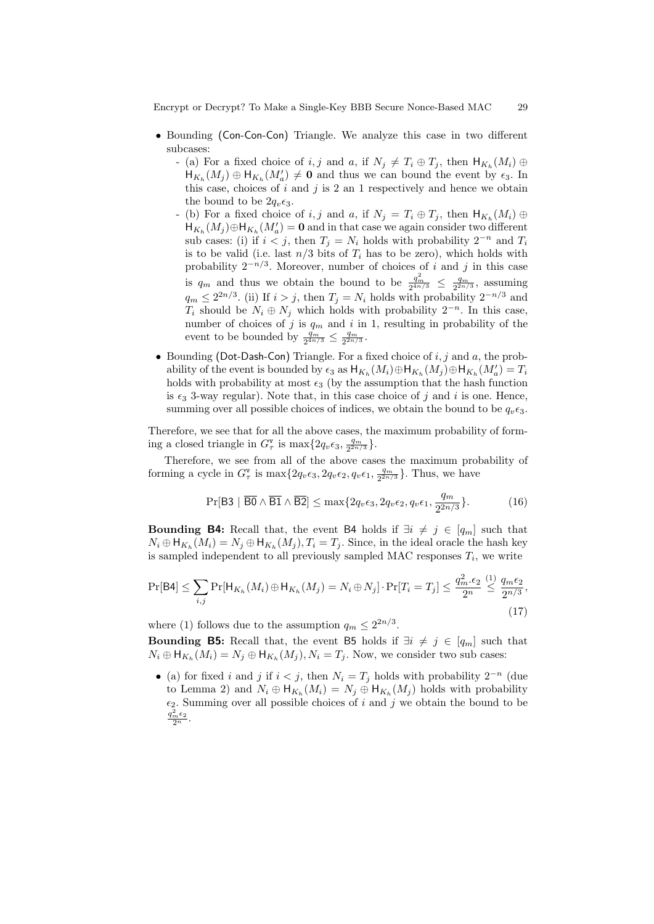Encrypt or Decrypt? To Make a Single-Key BBB Secure Nonce-Based MAC 29

- Bounding (Con-Con-Con) Triangle. We analyze this case in two different subcases:
	- (a) For a fixed choice of i, j and a, if  $N_j \neq T_i \oplus T_j$ , then  $H_{K_h}(M_i) \oplus$  $H_{K_h}(M_j) \oplus H_{K_h}(M'_a) \neq \mathbf{0}$  and thus we can bound the event by  $\epsilon_3$ . In this case, choices of  $i$  and  $j$  is 2 an 1 respectively and hence we obtain the bound to be  $2q_v\epsilon_3$ .
	- (b) For a fixed choice of  $i, j$  and  $a,$  if  $N_j = T_i \oplus T_j$ , then  $H_{K_h}(M_i) \oplus$  $H_{K_h}(M_j) \oplus H_{K_h}(M_a) = 0$  and in that case we again consider two different sub cases: (i) if  $i < j$ , then  $T_j = N_i$  holds with probability  $2^{-n}$  and  $T_i$ is to be valid (i.e. last  $n/3$  bits of  $T_i$  has to be zero), which holds with probability  $2^{-n/3}$ . Moreover, number of choices of i and j in this case is  $q_m$  and thus we obtain the bound to be  $\frac{q_m^2}{2^{4n/3}} \leq \frac{q_m}{2^{2n/3}}$ , assuming  $q_m \leq 2^{2n/3}$ . (ii) If  $i > j$ , then  $T_j = N_i$  holds with probability  $2^{-n/3}$  and  $T_i$  should be  $N_i \oplus N_j$  which holds with probability  $2^{-n}$ . In this case, number of choices of j is  $q_m$  and i in 1, resulting in probability of the event to be bounded by  $\frac{q_m}{2^{4n/3}} \leq \frac{q_m}{2^{2n/3}}$ .
- Bounding (Dot-Dash-Con) Triangle. For a fixed choice of  $i, j$  and  $a$ , the probability of the event is bounded by  $\epsilon_3$  as  $H_{K_h}(M_i) \oplus H_{K_h}(M_j) \oplus H_{K_h}(M'_a) = T_i$ holds with probability at most  $\epsilon_3$  (by the assumption that the hash function is  $\epsilon_3$  3-way regular). Note that, in this case choice of j and i is one. Hence, summing over all possible choices of indices, we obtain the bound to be  $q_n\epsilon_3$ .

Therefore, we see that for all the above cases, the maximum probability of forming a closed triangle in  $G_{\tau}^{\mathbf{v}}$  is  $\max\{2q_v\epsilon_3,\frac{q_m}{2^{2n/3}}\}.$ 

Therefore, we see from all of the above cases the maximum probability of forming a cycle in  $G^{\mathbf{v}}_{\tau}$  is  $\max\{2q_v\epsilon_3, 2q_v\epsilon_2, q_v\epsilon_1, \frac{q_m}{2^{2n/3}}\}$ . Thus, we have

$$
\Pr[\mathsf{B3} \mid \overline{\mathsf{B0}} \land \overline{\mathsf{B1}} \land \overline{\mathsf{B2}}] \le \max\{2q_v\epsilon_3, 2q_v\epsilon_2, q_v\epsilon_1, \frac{q_m}{2^{2n/3}}\}.\tag{16}
$$

**Bounding B4:** Recall that, the event B4 holds if  $\exists i \neq j \in [q_m]$  such that  $N_i \oplus \mathsf{H}_{K_h}(M_i) = N_j \oplus \mathsf{H}_{K_h}(M_j), T_i = T_j.$  Since, in the ideal oracle the hash key is sampled independent to all previously sampled MAC responses  $T_i$ , we write

$$
\Pr[\mathsf{B4}] \le \sum_{i,j} \Pr[\mathsf{H}_{K_h}(M_i) \oplus \mathsf{H}_{K_h}(M_j) = N_i \oplus N_j] \cdot \Pr[T_i = T_j] \le \frac{q_m^2 \cdot \epsilon_2}{2^n} \stackrel{(1)}{\le} \frac{q_m \epsilon_2}{2^{n/3}},\tag{17}
$$

where (1) follows due to the assumption  $q_m \leq 2^{2n/3}$ .

Bounding B5: Recall that, the event B5 holds if  $\exists i \neq j \in [q_m]$  such that  $N_i \oplus \mathsf{H}_{K_h}(M_i) = N_j \oplus \mathsf{H}_{K_h}(M_j), N_i = T_j$ . Now, we consider two sub cases:

• (a) for fixed i and j if  $i < j$ , then  $N_i = T_j$  holds with probability  $2^{-n}$  (due to Lemma 2) and  $N_i \oplus \mathsf{H}_{K_h}(M_i) = N_j \oplus \mathsf{H}_{K_h}(M_j)$  holds with probability  $\epsilon_2$ . Summing over all possible choices of i and j we obtain the bound to be  $rac{q_m^2 \epsilon_2}{2^n}$ .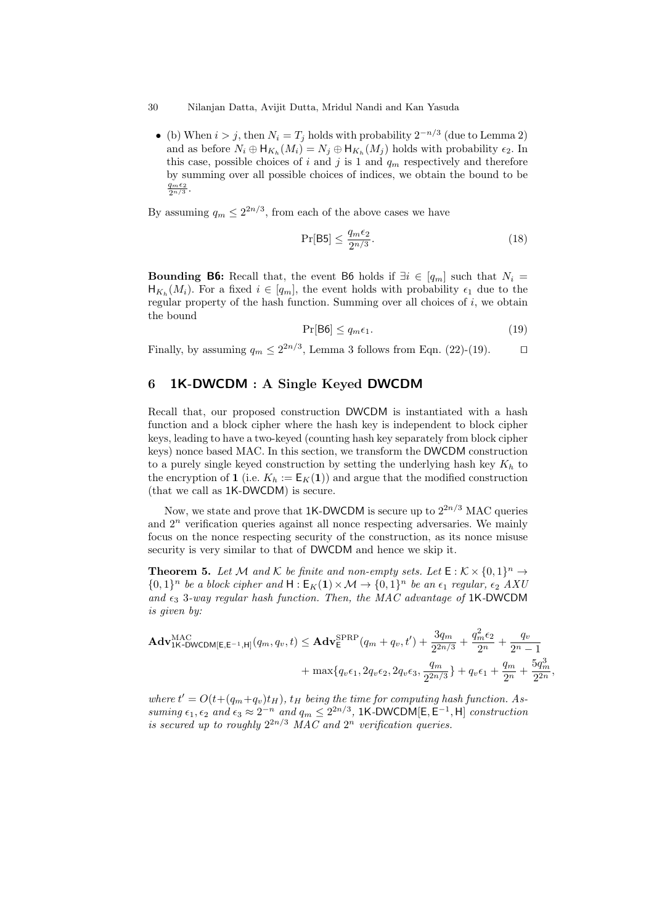#### 30 Nilanjan Datta, Avijit Dutta, Mridul Nandi and Kan Yasuda

• (b) When  $i > j$ , then  $N_i = T_j$  holds with probability  $2^{-n/3}$  (due to Lemma 2) and as before  $N_i \oplus \mathsf{H}_{K_h}(M_i) = N_j \oplus \mathsf{H}_{K_h}(M_j)$  holds with probability  $\epsilon_2$ . In this case, possible choices of i and j is 1 and  $q_m$  respectively and therefore by summing over all possible choices of indices, we obtain the bound to be  $\frac{q_m\epsilon_2}{2^{n/3}}$ .

By assuming  $q_m \leq 2^{2n/3}$ , from each of the above cases we have

$$
\Pr[\mathsf{B5}] \le \frac{q_m \epsilon_2}{2^{n/3}}.\tag{18}
$$

**Bounding B6:** Recall that, the event B6 holds if  $\exists i \in [q_m]$  such that  $N_i =$  $\mathsf{H}_{K_h}(M_i)$ . For a fixed  $i \in [q_m]$ , the event holds with probability  $\epsilon_1$  due to the regular property of the hash function. Summing over all choices of  $i$ , we obtain the bound

$$
\Pr[\mathsf{B6}] \le q_m \epsilon_1. \tag{19}
$$

Finally, by assuming  $q_m \leq 2^{2n/3}$ , Lemma 3 follows from Eqn. (22)-(19).  $\Box$ 

## 6 1K-DWCDM : A Single Keyed DWCDM

Recall that, our proposed construction DWCDM is instantiated with a hash function and a block cipher where the hash key is independent to block cipher keys, leading to have a two-keyed (counting hash key separately from block cipher keys) nonce based MAC. In this section, we transform the DWCDM construction to a purely single keyed construction by setting the underlying hash key  $K_h$  to the encryption of 1 (i.e.  $K_h := \mathsf{E}_K(1)$ ) and argue that the modified construction (that we call as 1K-DWCDM) is secure.

Now, we state and prove that 1K-DWCDM is secure up to  $2^{2n/3}$  MAC queries and  $2<sup>n</sup>$  verification queries against all nonce respecting adversaries. We mainly focus on the nonce respecting security of the construction, as its nonce misuse security is very similar to that of DWCDM and hence we skip it.

**Theorem 5.** Let M and K be finite and non-empty sets. Let  $E : K \times \{0,1\}^n \to$  $\{0,1\}^n$  be a block cipher and  $H: \mathsf{E}_K(\mathbf{1}) \times \mathcal{M} \to \{0,1\}^n$  be an  $\epsilon_1$  regular,  $\epsilon_2$  AXU and  $\epsilon_3$  3-way regular hash function. Then, the MAC advantage of 1K-DWCDM is given by:

$$
\mathbf{Adv}_{1\mathsf{K-DWCDM}[\mathsf{E},\mathsf{E}^{-1},\mathsf{H}]}^{\text{MAC}}(q_m, q_v, t) \leq \mathbf{Adv}_{\mathsf{E}}^{\text{SPRP}}(q_m + q_v, t') + \frac{3q_m}{2^{2n/3}} + \frac{q_m^2 \epsilon_2}{2^n} + \frac{q_v}{2^n - 1} + \max\{q_v \epsilon_1, 2q_v \epsilon_2, 2q_v \epsilon_3, \frac{q_m}{2^{2n/3}}\} + q_v \epsilon_1 + \frac{q_m}{2^n} + \frac{5q_m^3}{2^{2n}},
$$

where  $t' = O(t+(q_m+q_v)t_H)$ ,  $t_H$  being the time for computing hash function. Assuming  $\epsilon_1, \epsilon_2$  and  $\epsilon_3 \approx 2^{-n}$  and  $q_m \leq 2^{2n/3}$ , 1K-DWCDM[E, E<sup>-1</sup>, H] construction is secured up to roughly  $2^{2n/3}$  MAC and  $2^n$  verification queries.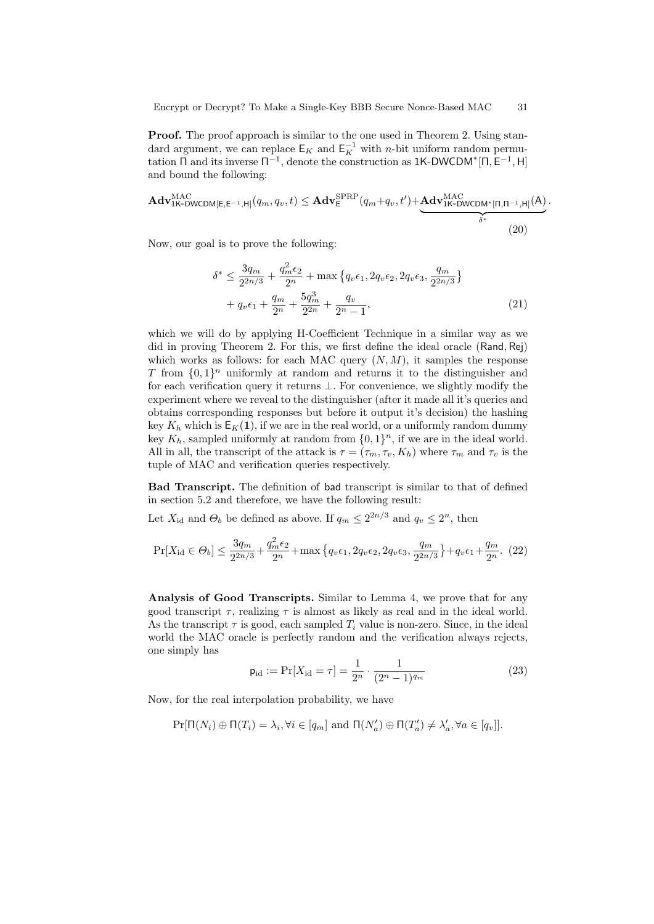**Proof.** The proof approach is similar to the one used in Theorem 2. Using standard argument, we can replace  $\mathsf{E}_K$  and  $\mathsf{E}_K^{-1}$  with *n*-bit uniform random permutation  $\Pi$  and its inverse  $\Pi^{-1}$ , denote the construction as 1K-DWCDM<sup>\*</sup> $[\Pi, \mathsf{E}^{-1}, \mathsf{H}]$ and bound the following:

$$
\mathbf{Adv}_{1\mathsf{K}\text{-}\mathsf{DWCDM}[\mathsf{E},\mathsf{E}^{-1},\mathsf{H}]}^{MAC}(q_m,q_v,t) \leq \mathbf{Adv}_{\mathsf{E}}^{\text{SPRP}}(q_m+q_v,t') + \underbrace{\mathbf{Adv}_{1\mathsf{K}\text{-}\mathsf{DWCDM}^*[\mathsf{\Pi},\mathsf{\Pi}^{-1},\mathsf{H}]}^{MAC}(A)}_{\delta^*}
$$
(20)

Now, our goal is to prove the following:

$$
\delta^* \le \frac{3q_m}{2^{2n/3}} + \frac{q_m^2 \epsilon_2}{2^n} + \max\left\{q_v \epsilon_1, 2q_v \epsilon_2, 2q_v \epsilon_3, \frac{q_m}{2^{2n/3}}\right\} + q_v \epsilon_1 + \frac{q_m}{2^n} + \frac{5q_m^3}{2^{2n}} + \frac{q_v}{2^n - 1},
$$
(21)

.

which we will do by applying H-Coefficient Technique in a similar way as we did in proving Theorem 2. For this, we first define the ideal oracle (Rand, Rej) which works as follows: for each MAC query  $(N, M)$ , it samples the response T from  $\{0,1\}^n$  uniformly at random and returns it to the distinguisher and for each verification query it returns ⊥. For convenience, we slightly modify the experiment where we reveal to the distinguisher (after it made all it's queries and obtains corresponding responses but before it output it's decision) the hashing key  $K_h$  which is  $E_K(1)$ , if we are in the real world, or a uniformly random dummy key  $K_h$ , sampled uniformly at random from  $\{0,1\}^n$ , if we are in the ideal world. All in all, the transcript of the attack is  $\tau = (\tau_m, \tau_v, K_h)$  where  $\tau_m$  and  $\tau_v$  is the tuple of MAC and verification queries respectively.

Bad Transcript. The definition of bad transcript is similar to that of defined in section 5.2 and therefore, we have the following result:

Let  $X_{\rm id}$  and  $\Theta_b$  be defined as above. If  $q_m \leq 2^{2n/3}$  and  $q_v \leq 2^n$ , then

$$
\Pr[X_{\rm id} \in \Theta_b] \le \frac{3q_m}{2^{2n/3}} + \frac{q_m^2 \epsilon_2}{2^n} + \max\left\{q_v \epsilon_1, 2q_v \epsilon_2, 2q_v \epsilon_3, \frac{q_m}{2^{2n/3}}\right\} + q_v \epsilon_1 + \frac{q_m}{2^n}.\tag{22}
$$

Analysis of Good Transcripts. Similar to Lemma 4, we prove that for any good transcript  $\tau$ , realizing  $\tau$  is almost as likely as real and in the ideal world. As the transcript  $\tau$  is good, each sampled  $T_i$  value is non-zero. Since, in the ideal world the MAC oracle is perfectly random and the verification always rejects, one simply has

$$
\mathsf{p}_{\mathrm{id}} := \Pr[X_{\mathrm{id}} = \tau] = \frac{1}{2^n} \cdot \frac{1}{(2^n - 1)^{q_m}} \tag{23}
$$

Now, for the real interpolation probability, we have

$$
\Pr[\Pi(N_i) \oplus \Pi(T_i) = \lambda_i, \forall i \in [q_m] \text{ and } \Pi(N'_a) \oplus \Pi(T'_a) \neq \lambda'_a, \forall a \in [q_v]].
$$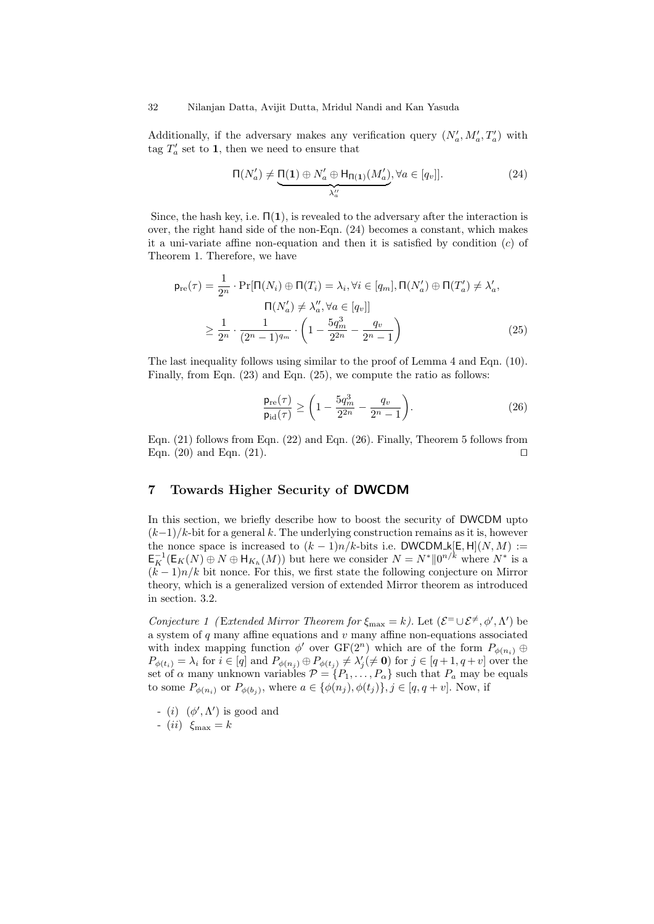Additionally, if the adversary makes any verification query  $(N'_a, M'_a, T'_a)$  with tag  $T_a'$  set to 1, then we need to ensure that

$$
\Pi(N'_a) \neq \underbrace{\Pi(1) \oplus N'_a \oplus H_{\Pi(1)}(M'_a)}_{\lambda''_a}, \forall a \in [q_v].
$$
\n(24)

Since, the hash key, i.e.  $\Pi(1)$ , is revealed to the adversary after the interaction is over, the right hand side of the non-Eqn. (24) becomes a constant, which makes it a uni-variate affine non-equation and then it is satisfied by condition  $(c)$  of Theorem 1. Therefore, we have

$$
\mathsf{p}_{\mathrm{re}}(\tau) = \frac{1}{2^n} \cdot \Pr[\Pi(N_i) \oplus \Pi(T_i) = \lambda_i, \forall i \in [q_m], \Pi(N'_a) \oplus \Pi(T'_a) \neq \lambda'_a, \newline \Pi(N'_a) \neq \lambda''_a, \forall a \in [q_v]]
$$
  

$$
\geq \frac{1}{2^n} \cdot \frac{1}{(2^n - 1)^{q_m}} \cdot \left(1 - \frac{5q_m^3}{2^{2n}} - \frac{q_v}{2^n - 1}\right)
$$
(25)

The last inequality follows using similar to the proof of Lemma 4 and Eqn. (10). Finally, from Eqn. (23) and Eqn. (25), we compute the ratio as follows:

$$
\frac{\mathsf{p}_{\rm re}(\tau)}{\mathsf{p}_{\rm id}(\tau)} \ge \left(1 - \frac{5q_m^3}{2^{2n}} - \frac{q_v}{2^n - 1}\right). \tag{26}
$$

Eqn. (21) follows from Eqn. (22) and Eqn. (26). Finally, Theorem 5 follows from Eqn. (20) and Eqn. (21).  $\Box$ 

## 7 Towards Higher Security of DWCDM

In this section, we briefly describe how to boost the security of DWCDM upto  $(k-1)/k$ -bit for a general k. The underlying construction remains as it is, however the nonce space is increased to  $(k-1)n/k$ -bits i.e. DWCDM k[E, H](N, M) :=  $\mathsf{E}_K^{-1}(\mathsf{E}_K(N) \oplus N \oplus \mathsf{H}_{K_h}(M))$  but here we consider  $N = N^* ||0^{n/k}$  where  $N^*$  is a  $(k-1)n/k$  bit nonce. For this, we first state the following conjecture on Mirror theory, which is a generalized version of extended Mirror theorem as introduced in section. 3.2.

Conjecture 1 (Extended Mirror Theorem for  $\xi_{\text{max}} = k$ ). Let  $(\mathcal{E}^{\pm} \cup \mathcal{E}^{\neq}, \phi', \Lambda')$  be a system of  $q$  many affine equations and  $v$  many affine non-equations associated with index mapping function  $\phi'$  over  $GF(2^n)$  which are of the form  $P_{\phi(n_i)} \oplus$  $P_{\phi(t_i)} = \lambda_i$  for  $i \in [q]$  and  $P_{\phi(n_j)} \oplus P_{\phi(t_j)} \neq \lambda'_j (\neq \mathbf{0})$  for  $j \in [q+1, q+v]$  over the set of  $\alpha$  many unknown variables  $\mathcal{P} = \{P_1, \ldots, P_\alpha\}$  such that  $P_a$  may be equals to some  $P_{\phi(n_i)}$  or  $P_{\phi(b_j)}$ , where  $a \in {\phi(n_j), \phi(t_j)}$ ,  $j \in [q, q + v]$ . Now, if

- (i)  $(\phi', \Lambda')$  is good and
- $(ii) \xi_{\text{max}} = k$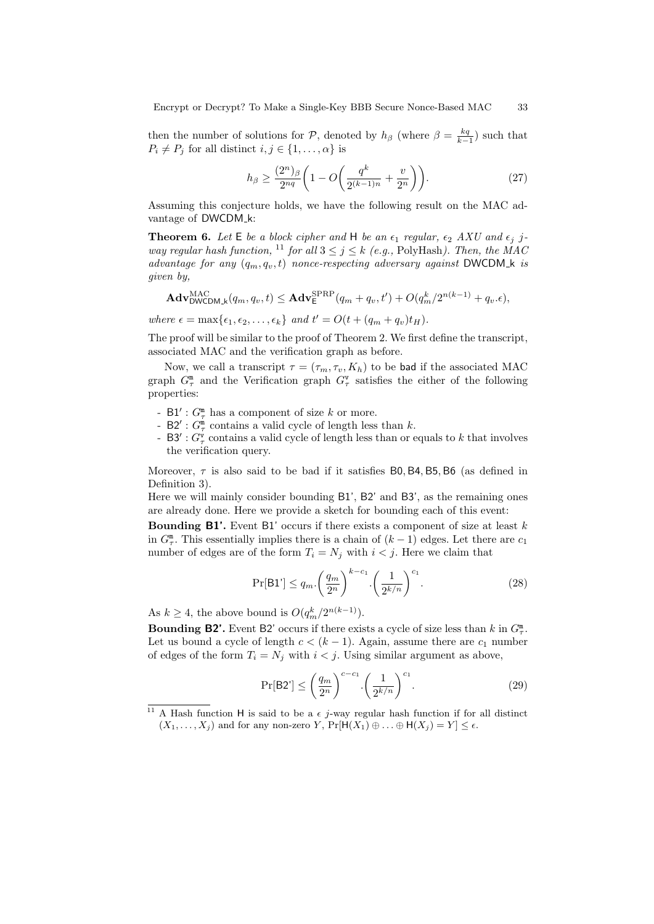then the number of solutions for P, denoted by  $h_\beta$  (where  $\beta = \frac{kq}{k-1}$ ) such that  $P_i \neq P_j$  for all distinct  $i, j \in \{1, \ldots, \alpha\}$  is

$$
h_{\beta} \ge \frac{(2^n)_{\beta}}{2^{nq}} \left( 1 - O\left( \frac{q^k}{2^{(k-1)n}} + \frac{v}{2^n} \right) \right).
$$
 (27)

Assuming this conjecture holds, we have the following result on the MAC advantage of DWCDM<sub>-k:</sub>

**Theorem 6.** Let  $E$  be a block cipher and  $H$  be an  $\epsilon_1$  regular,  $\epsilon_2$  AXU and  $\epsilon_j$  jway regular hash function, <sup>11</sup> for all  $3 \leq j \leq k$  (e.g., PolyHash). Then, the MAC advantage for any  $(q_m, q_v, t)$  nonce-respecting adversary against DWCDM k is given by,

$$
\mathbf{Adv}_{\mathsf{DWCDM}\_k}^{\mathsf{MAC}}(q_m, q_v, t) \leq \mathbf{Adv}_{\mathsf{E}}^{\mathsf{SPRP}}(q_m + q_v, t') + O(q_m^k/2^{n(k-1)} + q_v.\epsilon),
$$

where  $\epsilon = \max\{\epsilon_1, \epsilon_2, \ldots, \epsilon_k\}$  and  $t' = O(t + (q_m + q_v)t_H)$ .

The proof will be similar to the proof of Theorem 2. We first define the transcript, associated MAC and the verification graph as before.

Now, we call a transcript  $\tau = (\tau_m, \tau_v, K_h)$  to be bad if the associated MAC graph  $G_{\tau}^{\mathfrak{m}}$  and the Verification graph  $G_{\tau}^{\mathbf{v}}$  satisfies the either of the following properties:

- $B1'$ :  $G_{\tau}^{\mathfrak{m}}$  has a component of size k or more.
- B2':  $G_{\tau}^{\mathfrak{m}}$  contains a valid cycle of length less than k.
- B3':  $G^{\mathbf{v}}_{\tau}$  contains a valid cycle of length less than or equals to k that involves the verification query.

Moreover,  $\tau$  is also said to be bad if it satisfies B0, B4, B5, B6 (as defined in Definition 3).

Here we will mainly consider bounding B1', B2' and B3', as the remaining ones are already done. Here we provide a sketch for bounding each of this event:

**Bounding B1'.** Event B1' occurs if there exists a component of size at least  $k$ in  $G_{\tau}^{\mathbb{m}}$ . This essentially implies there is a chain of  $(k-1)$  edges. Let there are  $c_1$ number of edges are of the form  $T_i = N_j$  with  $i < j$ . Here we claim that

$$
\Pr[\mathsf{B1}'] \le q_m \cdot \left(\frac{q_m}{2^n}\right)^{k-c_1} \cdot \left(\frac{1}{2^{k/n}}\right)^{c_1}.\tag{28}
$$

As  $k \geq 4$ , the above bound is  $O(q_m^k / 2^{n(k-1)})$ .

**Bounding B2'.** Event B2' occurs if there exists a cycle of size less than k in  $G_{\tau}^{\mathfrak{m}}$ . Let us bound a cycle of length  $c < (k-1)$ . Again, assume there are  $c_1$  number of edges of the form  $T_i = N_j$  with  $i < j$ . Using similar argument as above,

$$
\Pr[\mathsf{B2'}] \le \left(\frac{q_m}{2^n}\right)^{c-c_1} \cdot \left(\frac{1}{2^{k/n}}\right)^{c_1}.\tag{29}
$$

<sup>&</sup>lt;sup>11</sup> A Hash function H is said to be a  $\epsilon$  j-way regular hash function if for all distinct  $(X_1, \ldots, X_j)$  and for any non-zero Y,  $\Pr[\mathsf{H}(X_1) \oplus \ldots \oplus \mathsf{H}(X_j) = Y] \leq \epsilon$ .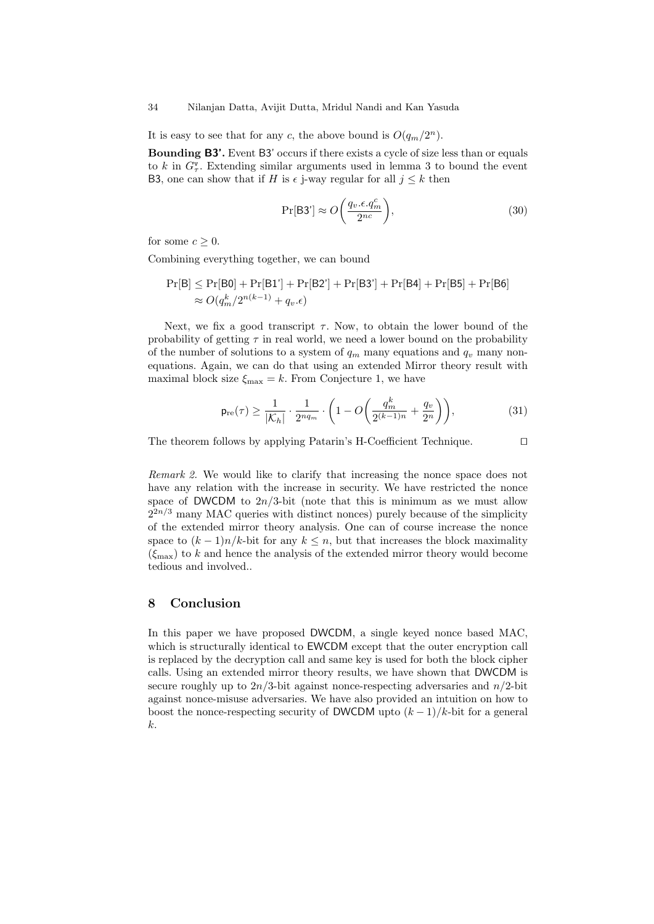#### 34 Nilanjan Datta, Avijit Dutta, Mridul Nandi and Kan Yasuda

It is easy to see that for any c, the above bound is  $O(q_m/2^n)$ .

Bounding B3'. Event B3' occurs if there exists a cycle of size less than or equals to k in  $G^{\mathsf{v}}_{\tau}$ . Extending similar arguments used in lemma 3 to bound the event B3, one can show that if H is  $\epsilon$  j-way regular for all  $j \leq k$  then

$$
\Pr[\mathsf{B3'}] \approx O\bigg(\frac{q_v.\epsilon.q_m^c}{2^{nc}}\bigg),\tag{30}
$$

for some  $c \geq 0$ .

Combining everything together, we can bound

$$
Pr[B] \le Pr[B0] + Pr[B1'] + Pr[B2'] + Pr[B3'] + Pr[B4] + Pr[B5] + Pr[B6]
$$
  
\n
$$
\approx O(q_m^k/2^{n(k-1)} + q_v.\epsilon)
$$

Next, we fix a good transcript  $\tau$ . Now, to obtain the lower bound of the probability of getting  $\tau$  in real world, we need a lower bound on the probability of the number of solutions to a system of  $q_m$  many equations and  $q_v$  many nonequations. Again, we can do that using an extended Mirror theory result with maximal block size  $\xi_{\text{max}} = k$ . From Conjecture 1, we have

$$
\mathsf{p}_{\mathrm{re}}(\tau) \ge \frac{1}{|\mathcal{K}_h|} \cdot \frac{1}{2^{nq_m}} \cdot \left(1 - O\left(\frac{q_m^k}{2^{(k-1)n}} + \frac{q_v}{2^n}\right)\right),\tag{31}
$$

The theorem follows by applying Patarin's H-Coefficient Technique.  $\Box$ 

Remark 2. We would like to clarify that increasing the nonce space does not have any relation with the increase in security. We have restricted the nonce space of DWCDM to  $2n/3$ -bit (note that this is minimum as we must allow  $2^{2n/3}$  many MAC queries with distinct nonces) purely because of the simplicity of the extended mirror theory analysis. One can of course increase the nonce space to  $(k-1)n/k$ -bit for any  $k \leq n$ , but that increases the block maximality  $(\xi_{\text{max}})$  to k and hence the analysis of the extended mirror theory would become tedious and involved..

## 8 Conclusion

In this paper we have proposed DWCDM, a single keyed nonce based MAC, which is structurally identical to **EWCDM** except that the outer encryption call is replaced by the decryption call and same key is used for both the block cipher calls. Using an extended mirror theory results, we have shown that DWCDM is secure roughly up to  $2n/3$ -bit against nonce-respecting adversaries and  $n/2$ -bit against nonce-misuse adversaries. We have also provided an intuition on how to boost the nonce-respecting security of DWCDM upto  $(k-1)/k$ -bit for a general k.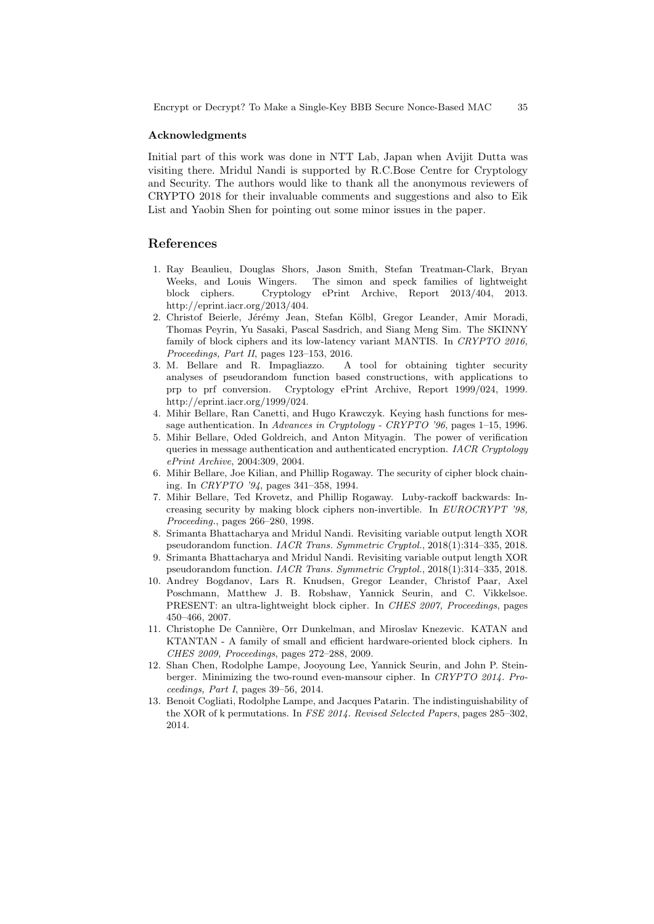#### Acknowledgments

Initial part of this work was done in NTT Lab, Japan when Avijit Dutta was visiting there. Mridul Nandi is supported by R.C.Bose Centre for Cryptology and Security. The authors would like to thank all the anonymous reviewers of CRYPTO 2018 for their invaluable comments and suggestions and also to Eik List and Yaobin Shen for pointing out some minor issues in the paper.

## References

- 1. Ray Beaulieu, Douglas Shors, Jason Smith, Stefan Treatman-Clark, Bryan Weeks, and Louis Wingers. The simon and speck families of lightweight block ciphers. Cryptology ePrint Archive, Report 2013/404, 2013. http://eprint.iacr.org/2013/404.
- 2. Christof Beierle, Jérémy Jean, Stefan Kölbl, Gregor Leander, Amir Moradi, Thomas Peyrin, Yu Sasaki, Pascal Sasdrich, and Siang Meng Sim. The SKINNY family of block ciphers and its low-latency variant MANTIS. In CRYPTO 2016, Proceedings, Part II, pages 123–153, 2016.
- 3. M. Bellare and R. Impagliazzo. A tool for obtaining tighter security analyses of pseudorandom function based constructions, with applications to prp to prf conversion. Cryptology ePrint Archive, Report 1999/024, 1999. http://eprint.iacr.org/1999/024.
- 4. Mihir Bellare, Ran Canetti, and Hugo Krawczyk. Keying hash functions for message authentication. In Advances in Cryptology - CRYPTO '96, pages 1–15, 1996.
- 5. Mihir Bellare, Oded Goldreich, and Anton Mityagin. The power of verification queries in message authentication and authenticated encryption. IACR Cryptology ePrint Archive, 2004:309, 2004.
- 6. Mihir Bellare, Joe Kilian, and Phillip Rogaway. The security of cipher block chaining. In CRYPTO '94, pages 341–358, 1994.
- 7. Mihir Bellare, Ted Krovetz, and Phillip Rogaway. Luby-rackoff backwards: Increasing security by making block ciphers non-invertible. In EUROCRYPT '98, Proceeding., pages 266–280, 1998.
- 8. Srimanta Bhattacharya and Mridul Nandi. Revisiting variable output length XOR pseudorandom function. IACR Trans. Symmetric Cryptol., 2018(1):314–335, 2018.
- 9. Srimanta Bhattacharya and Mridul Nandi. Revisiting variable output length XOR pseudorandom function. IACR Trans. Symmetric Cryptol., 2018(1):314–335, 2018.
- 10. Andrey Bogdanov, Lars R. Knudsen, Gregor Leander, Christof Paar, Axel Poschmann, Matthew J. B. Robshaw, Yannick Seurin, and C. Vikkelsoe. PRESENT: an ultra-lightweight block cipher. In CHES 2007, Proceedings, pages 450–466, 2007.
- 11. Christophe De Cannière, Orr Dunkelman, and Miroslav Knezevic. KATAN and KTANTAN - A family of small and efficient hardware-oriented block ciphers. In CHES 2009, Proceedings, pages 272–288, 2009.
- 12. Shan Chen, Rodolphe Lampe, Jooyoung Lee, Yannick Seurin, and John P. Steinberger. Minimizing the two-round even-mansour cipher. In CRYPTO 2014. Proceedings, Part I, pages 39–56, 2014.
- 13. Benoit Cogliati, Rodolphe Lampe, and Jacques Patarin. The indistinguishability of the XOR of k permutations. In FSE 2014. Revised Selected Papers, pages 285–302, 2014.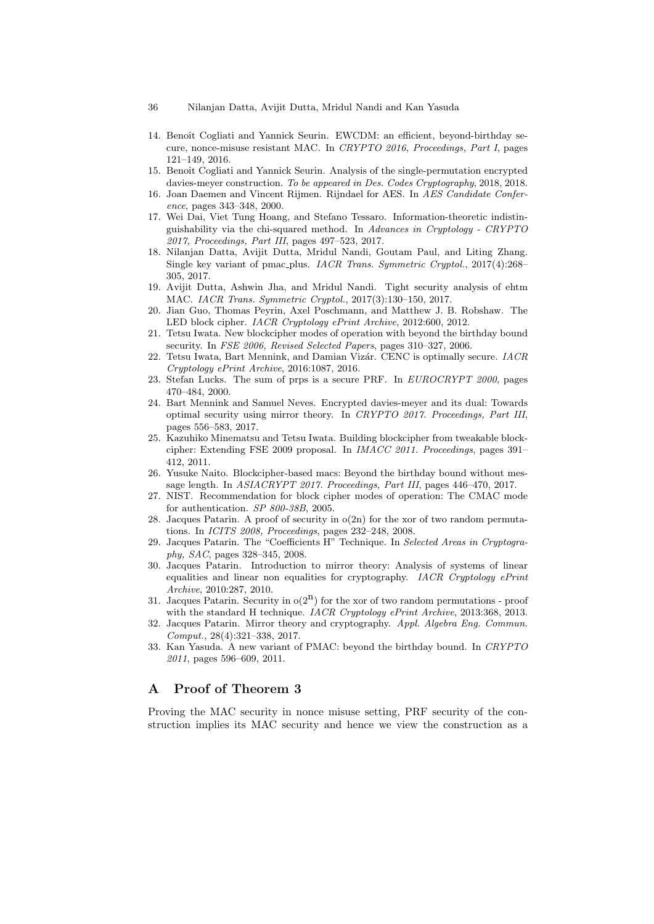- 14. Benoît Cogliati and Yannick Seurin. EWCDM: an efficient, beyond-birthday secure, nonce-misuse resistant MAC. In CRYPTO 2016, Proceedings, Part I, pages 121–149, 2016.
- 15. Benoît Cogliati and Yannick Seurin. Analysis of the single-permutation encrypted davies-meyer construction. To be appeared in Des. Codes Cryptography, 2018, 2018.
- 16. Joan Daemen and Vincent Rijmen. Rijndael for AES. In AES Candidate Conference, pages 343–348, 2000.
- 17. Wei Dai, Viet Tung Hoang, and Stefano Tessaro. Information-theoretic indistinguishability via the chi-squared method. In Advances in Cryptology - CRYPTO 2017, Proceedings, Part III, pages 497–523, 2017.
- 18. Nilanjan Datta, Avijit Dutta, Mridul Nandi, Goutam Paul, and Liting Zhang. Single key variant of pmac plus. IACR Trans. Symmetric Cryptol., 2017(4):268– 305, 2017.
- 19. Avijit Dutta, Ashwin Jha, and Mridul Nandi. Tight security analysis of ehtm MAC. IACR Trans. Symmetric Cryptol., 2017(3):130–150, 2017.
- 20. Jian Guo, Thomas Peyrin, Axel Poschmann, and Matthew J. B. Robshaw. The LED block cipher. IACR Cryptology ePrint Archive, 2012:600, 2012.
- 21. Tetsu Iwata. New blockcipher modes of operation with beyond the birthday bound security. In FSE 2006, Revised Selected Papers, pages 310–327, 2006.
- 22. Tetsu Iwata, Bart Mennink, and Damian Vizár. CENC is optimally secure.  $IACR$ Cryptology ePrint Archive, 2016:1087, 2016.
- 23. Stefan Lucks. The sum of prps is a secure PRF. In EUROCRYPT 2000, pages 470–484, 2000.
- 24. Bart Mennink and Samuel Neves. Encrypted davies-meyer and its dual: Towards optimal security using mirror theory. In CRYPTO 2017. Proceedings, Part III, pages 556–583, 2017.
- 25. Kazuhiko Minematsu and Tetsu Iwata. Building blockcipher from tweakable blockcipher: Extending FSE 2009 proposal. In IMACC 2011. Proceedings, pages 391– 412, 2011.
- 26. Yusuke Naito. Blockcipher-based macs: Beyond the birthday bound without message length. In ASIACRYPT 2017. Proceedings, Part III, pages 446-470, 2017.
- 27. NIST. Recommendation for block cipher modes of operation: The CMAC mode for authentication. SP 800-38B, 2005.
- 28. Jacques Patarin. A proof of security in o(2n) for the xor of two random permutations. In ICITS 2008, Proceedings, pages 232–248, 2008.
- 29. Jacques Patarin. The "Coefficients H" Technique. In Selected Areas in Cryptography, SAC, pages 328–345, 2008.
- 30. Jacques Patarin. Introduction to mirror theory: Analysis of systems of linear equalities and linear non equalities for cryptography. IACR Cryptology ePrint Archive, 2010:287, 2010.
- 31. Jacques Patarin. Security in  $o(2^n)$  for the xor of two random permutations proof with the standard H technique. *IACR Cryptology ePrint Archive*, 2013:368, 2013.
- 32. Jacques Patarin. Mirror theory and cryptography. Appl. Algebra Eng. Commun. Comput., 28(4):321–338, 2017.
- 33. Kan Yasuda. A new variant of PMAC: beyond the birthday bound. In CRYPTO 2011, pages 596–609, 2011.

## A Proof of Theorem 3

Proving the MAC security in nonce misuse setting, PRF security of the construction implies its MAC security and hence we view the construction as a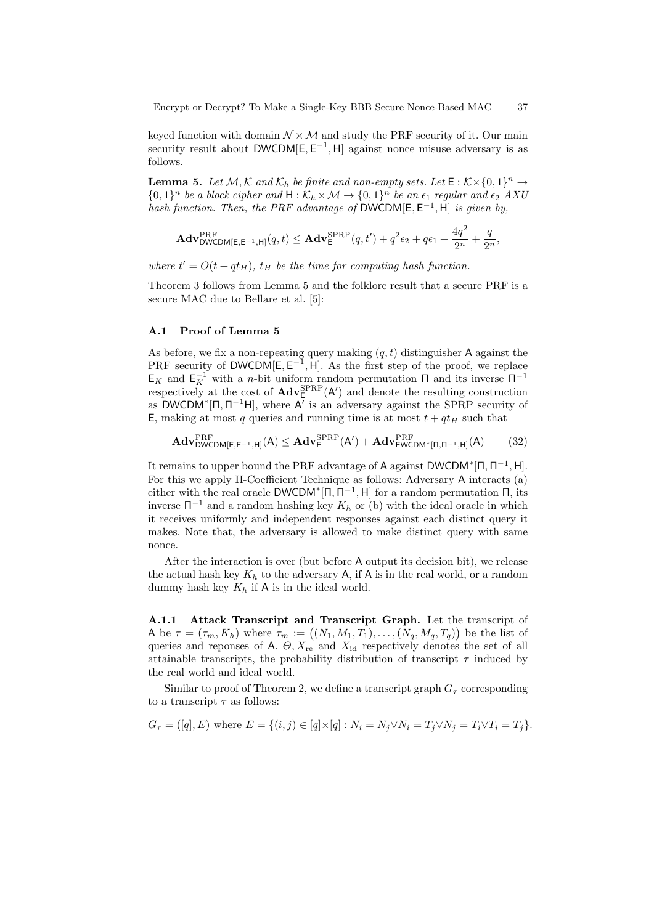keyed function with domain  $\mathcal{N} \times \mathcal{M}$  and study the PRF security of it. Our main security result about  $DWCDM[E, E^{-1}, H]$  against nonce misuse adversary is as follows.

**Lemma 5.** Let  $M$ ,  $K$  and  $K_h$  be finite and non-empty sets. Let  $E : K \times \{0,1\}^n \to$  $\{0,1\}^n$  be a block cipher and  $H:\mathcal{K}_h\times\mathcal{M}\to\{0,1\}^n$  be an  $\epsilon_1$  regular and  $\epsilon_2$  AXU hash function. Then, the PRF advantage of DWCDM[ $E, E^{-1}, H$ ] is given by,

$$
\mathbf{Adv}_{\mathsf{DWCDM}[\mathsf{E},\mathsf{E}^{-1},\mathsf{H}]}^{\mathsf{PRF}}(q,t) \leq \mathbf{Adv}_{\mathsf{E}}^{\mathsf{SPRP}}(q,t') + q^2 \epsilon_2 + q \epsilon_1 + \frac{4q^2}{2^n} + \frac{q}{2^n},
$$

where  $t' = O(t + qt_H)$ ,  $t_H$  be the time for computing hash function.

Theorem 3 follows from Lemma 5 and the folklore result that a secure PRF is a secure MAC due to Bellare et al. [5]:

#### A.1 Proof of Lemma 5

As before, we fix a non-repeating query making  $(q, t)$  distinguisher A against the PRF security of DWCDM $[E, E^{-1}, H]$ . As the first step of the proof, we replace  $E_K$  and  $E_K^{-1}$  with a *n*-bit uniform random permutation  $\Pi$  and its inverse  $\Pi^{-1}$ respectively at the cost of  $\mathbf{Adv}_{E}^{\text{SPRP}}(\mathsf{A}')$  and denote the resulting construction as DWCDM<sup>\*</sup>[ $\Pi$ ,  $\Pi$ <sup>-1</sup>H], where  $\overline{A'}$  is an adversary against the SPRP security of E, making at most q queries and running time is at most  $t + qt_H$  such that

$$
\mathbf{Adv}_{\mathsf{DWCDM}[E,E^{-1},H]}^{\mathsf{PRF}}(A) \leq \mathbf{Adv}_{E}^{\mathsf{SPRP}}(A') + \mathbf{Adv}_{\mathsf{EWCDM}^*[\Pi,\Pi^{-1},H]}^{\mathsf{PRF}}(A) \tag{32}
$$

It remains to upper bound the PRF advantage of A against  $DWCDM^*[\Pi, \Pi^{-1}, H]$ . For this we apply H-Coefficient Technique as follows: Adversary A interacts (a) either with the real oracle  $\mathsf{DWCDM}^*[\Pi, \Pi^{-1}, \mathsf{H}]$  for a random permutation  $\Pi$ , its inverse  $\Pi^{-1}$  and a random hashing key  $K_h$  or (b) with the ideal oracle in which it receives uniformly and independent responses against each distinct query it makes. Note that, the adversary is allowed to make distinct query with same nonce.

After the interaction is over (but before A output its decision bit), we release the actual hash key  $K_h$  to the adversary A, if A is in the real world, or a random dummy hash key  $K_h$  if  $A$  is in the ideal world.

A.1.1 Attack Transcript and Transcript Graph. Let the transcript of A be  $\tau = (\tau_m, K_h)$  where  $\tau_m := ((N_1, M_1, T_1), \ldots, (N_q, M_q, T_q))$  be the list of queries and reponses of A.  $\Theta$ ,  $X_{\text{re}}$  and  $X_{\text{id}}$  respectively denotes the set of all attainable transcripts, the probability distribution of transcript  $\tau$  induced by the real world and ideal world.

Similar to proof of Theorem 2, we define a transcript graph  $G_{\tau}$  corresponding to a transcript  $\tau$  as follows:

$$
G_{\tau} = ([q], E) \text{ where } E = \{(i, j) \in [q] \times [q] : N_i = N_j \vee N_i = T_j \vee N_j = T_i \vee T_i = T_j \}.
$$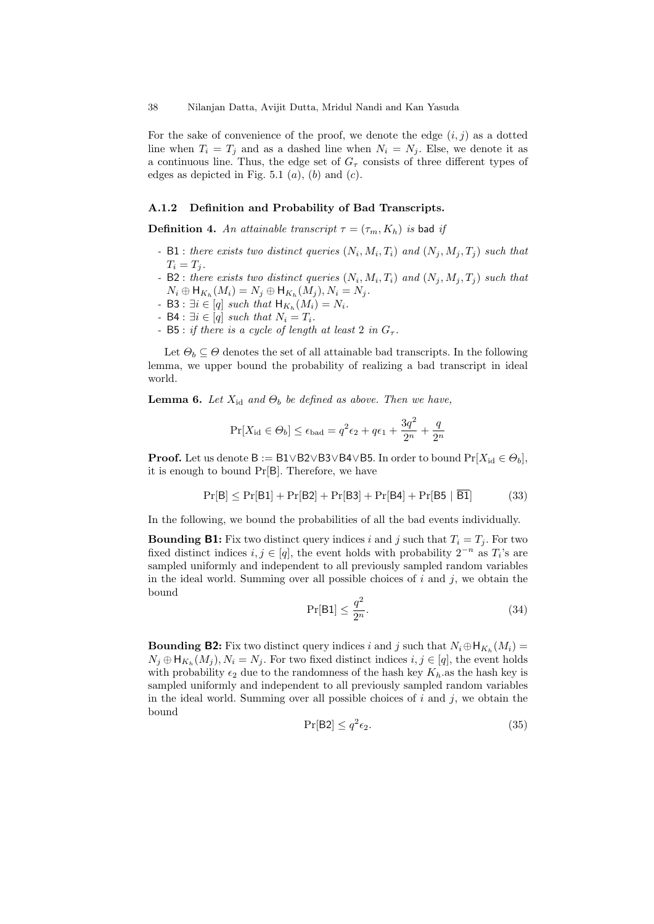For the sake of convenience of the proof, we denote the edge  $(i, j)$  as a dotted line when  $T_i = T_j$  and as a dashed line when  $N_i = N_j$ . Else, we denote it as a continuous line. Thus, the edge set of  $G<sub>\tau</sub>$  consists of three different types of edges as depicted in Fig. 5.1  $(a)$ ,  $(b)$  and  $(c)$ .

#### A.1.2 Definition and Probability of Bad Transcripts.

**Definition 4.** An attainable transcript  $\tau = (\tau_m, K_h)$  is bad if

- B1 : there exists two distinct queries  $(N_i, M_i, T_i)$  and  $(N_j, M_j, T_j)$  such that  $T_i = T_j$ .
- B2 : there exists two distinct queries  $(N_i, M_i, T_i)$  and  $(N_j, M_j, T_j)$  such that  $N_i \oplus \mathsf{H}_{K_h}(M_i) = N_j \oplus \mathsf{H}_{K_h}(M_j), N_i = N_j.$
- B3 :  $\exists i \in [q] \text{ such that } \mathsf{H}_{K_h}(M_i) = N_i.$
- B4 :  $\exists i \in [q] \text{ such that } N_i = T_i.$
- B5 : if there is a cycle of length at least 2 in  $G_{\tau}$ .

Let  $\Theta_b \subseteq \Theta$  denotes the set of all attainable bad transcripts. In the following lemma, we upper bound the probability of realizing a bad transcript in ideal world.

**Lemma 6.** Let  $X_{id}$  and  $\Theta_b$  be defined as above. Then we have,

$$
Pr[X_{\text{id}} \in \Theta_b] \le \epsilon_{\text{bad}} = q^2 \epsilon_2 + q \epsilon_1 + \frac{3q^2}{2^n} + \frac{q}{2^n}
$$

**Proof.** Let us denote B := B1∨B2∨B3∨B4∨B5. In order to bound  $Pr[X_{id} \in \Theta_b]$ , it is enough to bound Pr[B]. Therefore, we have

$$
Pr[B] \le Pr[B1] + Pr[B2] + Pr[B3] + Pr[B4] + Pr[B5 | B1] \tag{33}
$$

In the following, we bound the probabilities of all the bad events individually.

**Bounding B1:** Fix two distinct query indices i and j such that  $T_i = T_j$ . For two fixed distinct indices  $i, j \in [q]$ , the event holds with probability  $2^{-n}$  as  $T_i$ 's are sampled uniformly and independent to all previously sampled random variables in the ideal world. Summing over all possible choices of  $i$  and  $j$ , we obtain the bound

$$
\Pr[\mathsf{B1}] \le \frac{q^2}{2^n}.\tag{34}
$$

**Bounding B2:** Fix two distinct query indices i and j such that  $N_i \oplus H_{K_h}(M_i) =$  $N_j \oplus \mathsf{H}_{K_h}(M_j)$ ,  $N_i = N_j$ . For two fixed distinct indices  $i, j \in [q]$ , the event holds with probability  $\epsilon_2$  due to the randomness of the hash key K<sub>h</sub>.as the hash key is sampled uniformly and independent to all previously sampled random variables in the ideal world. Summing over all possible choices of  $i$  and  $j$ , we obtain the bound

$$
\Pr[\text{B2}] \le q^2 \epsilon_2. \tag{35}
$$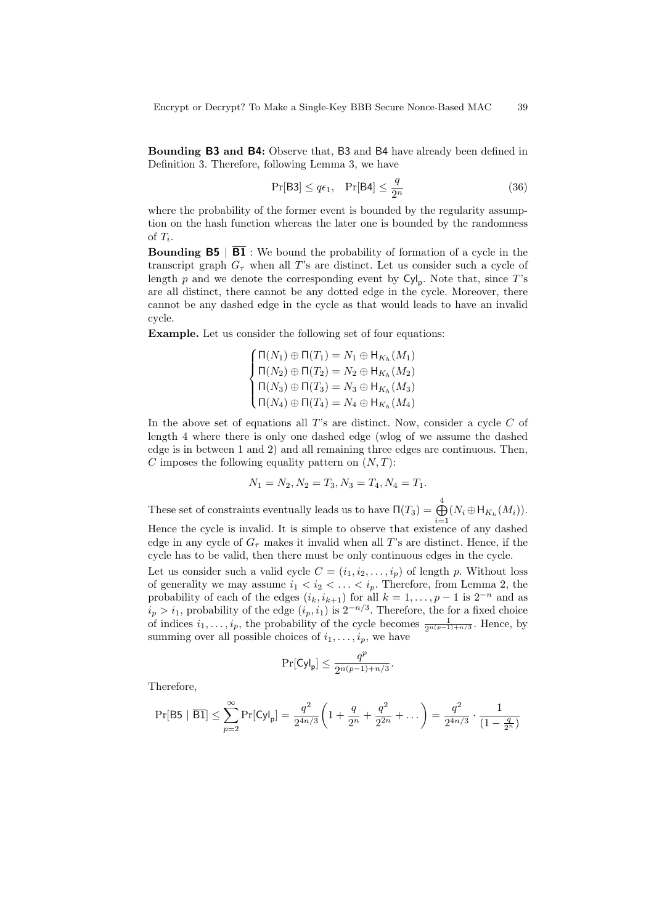Bounding B3 and B4: Observe that, B3 and B4 have already been defined in Definition 3. Therefore, following Lemma 3, we have

$$
\Pr[\mathsf{B3}] \le q\epsilon_1, \quad \Pr[\mathsf{B4}] \le \frac{q}{2^n} \tag{36}
$$

where the probability of the former event is bounded by the regularity assumption on the hash function whereas the later one is bounded by the randomness of  $T_i$ .

**Bounding B5** |  $\overline{B1}$  : We bound the probability of formation of a cycle in the transcript graph  $G<sub>\tau</sub>$  when all T's are distinct. Let us consider such a cycle of length  $p$  and we denote the corresponding event by  $\text{Cyl}_p$ . Note that, since T's are all distinct, there cannot be any dotted edge in the cycle. Moreover, there cannot be any dashed edge in the cycle as that would leads to have an invalid cycle.

Example. Let us consider the following set of four equations:

$$
\begin{cases}\n\Pi(N_1) \oplus \Pi(T_1) = N_1 \oplus \mathsf{H}_{K_h}(M_1) \\
\Pi(N_2) \oplus \Pi(T_2) = N_2 \oplus \mathsf{H}_{K_h}(M_2) \\
\Pi(N_3) \oplus \Pi(T_3) = N_3 \oplus \mathsf{H}_{K_h}(M_3) \\
\Pi(N_4) \oplus \Pi(T_4) = N_4 \oplus \mathsf{H}_{K_h}(M_4)\n\end{cases}
$$

In the above set of equations all  $T$ 's are distinct. Now, consider a cycle  $C$  of length 4 where there is only one dashed edge (wlog of we assume the dashed edge is in between 1 and 2) and all remaining three edges are continuous. Then, C imposes the following equality pattern on  $(N, T)$ :

$$
N_1 = N_2, N_2 = T_3, N_3 = T_4, N_4 = T_1.
$$

These set of constraints eventually leads us to have  $\Pi(T_3) = \bigoplus^4$  $\bigoplus_{i=1} (N_i \oplus \mathsf{H}_{K_h}(M_i)).$ 

Hence the cycle is invalid. It is simple to observe that existence of any dashed edge in any cycle of  $G<sub>\tau</sub>$  makes it invalid when all T's are distinct. Hence, if the cycle has to be valid, then there must be only continuous edges in the cycle.

Let us consider such a valid cycle  $C = (i_1, i_2, \ldots, i_p)$  of length p. Without loss of generality we may assume  $i_1 < i_2 < \ldots < i_p$ . Therefore, from Lemma 2, the probability of each of the edges  $(i_k, i_{k+1})$  for all  $k = 1, \ldots, p-1$  is  $2^{-n}$  and as  $i_p > i_1$ , probability of the edge  $(i_p, i_1)$  is  $2^{-n/3}$ . Therefore, the for a fixed choice of indices  $i_1, \ldots, i_p$ , the probability of the cycle becomes  $\frac{1}{2^{n(p-1)+n/3}}$ . Hence, by summing over all possible choices of  $i_1, \ldots, i_p$ , we have

$$
\Pr[\mathsf{Cyl_p}] \leq \frac{q^p}{2^{n(p-1)+n/3}}.
$$

Therefore,

$$
\Pr[\mathsf{B5} \mid \overline{\mathsf{B1}}] \le \sum_{p=2}^{\infty} \Pr[\mathsf{Cyl}_p] = \frac{q^2}{2^{4n/3}} \bigg( 1 + \frac{q}{2^n} + \frac{q^2}{2^{2n}} + \dots \bigg) = \frac{q^2}{2^{4n/3}} \cdot \frac{1}{(1 - \frac{q}{2^n})}
$$